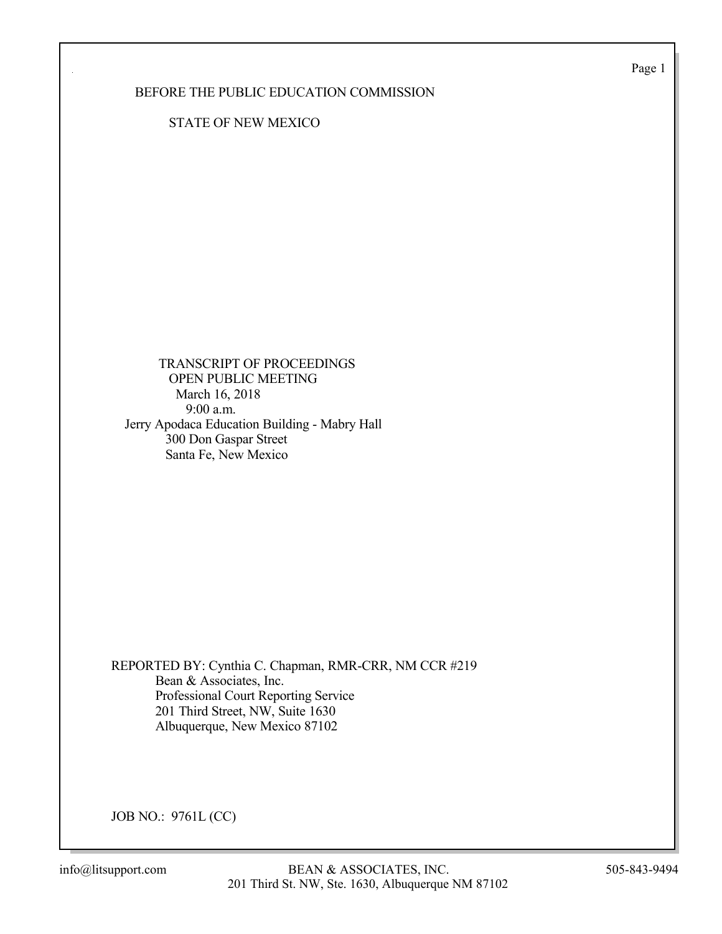Page 1

BEFORE THE PUBLIC EDUCATION COMMISSION

STATE OF NEW MEXICO

 TRANSCRIPT OF PROCEEDINGS OPEN PUBLIC MEETING March 16, 2018 9:00 a.m. Jerry Apodaca Education Building - Mabry Hall 300 Don Gaspar Street Santa Fe, New Mexico

REPORTED BY: Cynthia C. Chapman, RMR-CRR, NM CCR #219 Bean & Associates, Inc. Professional Court Reporting Service 201 Third Street, NW, Suite 1630 Albuquerque, New Mexico 87102

JOB NO.: 9761L (CC)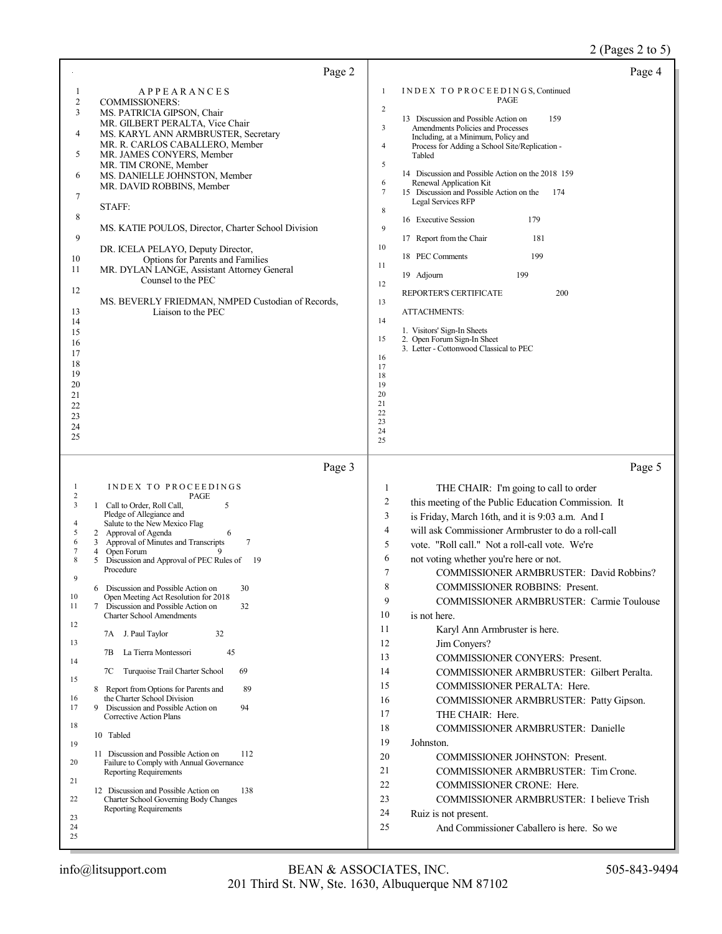## 2 (Pages 2 to 5)

| Page 2                                                                                                                                                                                                                                                                                                                                                                                                                                                                                                                                                                                                                                                                                                                                                                                                                                                                                                                                                                                                                                                                                                                                                                                   | Page 4                                                                                                                                                                                                                                                                                                                                                                                                                                                                                                                                                                                                                                                                                                                                                                                                                                                                                                                                                                                                                                                                                                                             |
|------------------------------------------------------------------------------------------------------------------------------------------------------------------------------------------------------------------------------------------------------------------------------------------------------------------------------------------------------------------------------------------------------------------------------------------------------------------------------------------------------------------------------------------------------------------------------------------------------------------------------------------------------------------------------------------------------------------------------------------------------------------------------------------------------------------------------------------------------------------------------------------------------------------------------------------------------------------------------------------------------------------------------------------------------------------------------------------------------------------------------------------------------------------------------------------|------------------------------------------------------------------------------------------------------------------------------------------------------------------------------------------------------------------------------------------------------------------------------------------------------------------------------------------------------------------------------------------------------------------------------------------------------------------------------------------------------------------------------------------------------------------------------------------------------------------------------------------------------------------------------------------------------------------------------------------------------------------------------------------------------------------------------------------------------------------------------------------------------------------------------------------------------------------------------------------------------------------------------------------------------------------------------------------------------------------------------------|
| <b>APPEARANCES</b><br>1<br>$\overline{c}$<br><b>COMMISSIONERS:</b><br>3<br>MS. PATRICIA GIPSON, Chair<br>MR. GILBERT PERALTA, Vice Chair<br>4<br>MS. KARYL ANN ARMBRUSTER, Secretary<br>MR. R. CARLOS CABALLERO, Member<br>5<br>MR. JAMES CONYERS, Member<br>MR. TIM CRONE, Member<br>6<br>MS. DANIELLE JOHNSTON, Member<br>MR. DAVID ROBBINS, Member<br>7<br>STAFF:<br>8<br>MS. KATIE POULOS, Director, Charter School Division<br>9<br>DR. ICELA PELAYO, Deputy Director,<br>Options for Parents and Families<br>10<br>11<br>MR. DYLAN LANGE, Assistant Attorney General<br>Counsel to the PEC<br>12<br>MS. BEVERLY FRIEDMAN, NMPED Custodian of Records,<br>13<br>Liaison to the PEC<br>14<br>15<br>16<br>17<br>18<br>19<br>20<br>21<br>22<br>23<br>24<br>25                                                                                                                                                                                                                                                                                                                                                                                                                          | 1<br>INDEX TO PROCEEDINGS, Continued<br>PAGE<br>2<br>13 Discussion and Possible Action on<br>159<br>3<br>Amendments Policies and Processes<br>Including, at a Minimum, Policy and<br>Process for Adding a School Site/Replication -<br>4<br>Tabled<br>5<br>14 Discussion and Possible Action on the 2018 159<br>6<br>Renewal Application Kit<br>7<br>15 Discussion and Possible Action on the<br>174<br>Legal Services RFP<br>8<br>179<br>16 Executive Session<br>9<br>17 Report from the Chair<br>181<br>10<br>199<br>18 PEC Comments<br>11<br>199<br>19 Adjourn<br>12<br>200<br>REPORTER'S CERTIFICATE<br>13<br><b>ATTACHMENTS:</b><br>14<br>1. Visitors' Sign-In Sheets<br>15<br>2. Open Forum Sign-In Sheet<br>3. Letter - Cottonwood Classical to PEC<br>16<br>17<br>18<br>19<br>20<br>21<br>22<br>23<br>24<br>25                                                                                                                                                                                                                                                                                                             |
| Page 3                                                                                                                                                                                                                                                                                                                                                                                                                                                                                                                                                                                                                                                                                                                                                                                                                                                                                                                                                                                                                                                                                                                                                                                   | Page 5                                                                                                                                                                                                                                                                                                                                                                                                                                                                                                                                                                                                                                                                                                                                                                                                                                                                                                                                                                                                                                                                                                                             |
| INDEX TO PROCEEDINGS<br>1<br>$\overline{c}$<br>PAGE<br>3<br>1 Call to Order, Roll Call,<br>5<br>Pledge of Allegiance and<br>Salute to the New Mexico Flag<br>4<br>5<br>2<br>Approval of Agenda<br>6<br>Approval of Minutes and Transcripts<br>$\tau$<br>3<br>6<br>Open Forum<br>7<br>4<br>9<br>5 Discussion and Approval of PEC Rules of<br>8<br>- 19<br>Procedure<br>9<br>30<br>6 Discussion and Possible Action on<br>10<br>Open Meeting Act Resolution for 2018<br>11<br>Discussion and Possible Action on<br>32<br>7<br><b>Charter School Amendments</b><br>12<br>32<br>7A J. Paul Taylor<br>13<br>45<br>La Tierra Montessori<br>7В<br>14<br>Turquoise Trail Charter School<br>69<br>7С<br>15<br>8 Report from Options for Parents and<br>89<br>the Charter School Division<br>16<br>17<br>Discussion and Possible Action on<br>94<br>9<br>Corrective Action Plans<br>18<br>10 Tabled<br>19<br>11 Discussion and Possible Action on<br>112<br>20<br>Failure to Comply with Annual Governance<br><b>Reporting Requirements</b><br>21<br>12 Discussion and Possible Action on<br>138<br>22<br>Charter School Governing Body Changes<br><b>Reporting Requirements</b><br>23<br>24<br>25 | THE CHAIR: I'm going to call to order<br>1<br>2<br>this meeting of the Public Education Commission. It<br>3<br>is Friday, March 16th, and it is 9:03 a.m. And I<br>4<br>will ask Commissioner Armbruster to do a roll-call<br>5<br>vote. "Roll call." Not a roll-call vote. We're<br>6<br>not voting whether you're here or not.<br>7<br>COMMISSIONER ARMBRUSTER: David Robbins?<br>8<br><b>COMMISSIONER ROBBINS: Present.</b><br>9<br><b>COMMISSIONER ARMBRUSTER: Carmie Toulouse</b><br>10<br>is not here.<br>11<br>Karyl Ann Armbruster is here.<br>12<br>Jim Conyers?<br>13<br><b>COMMISSIONER CONYERS: Present.</b><br>14<br>COMMISSIONER ARMBRUSTER: Gilbert Peralta.<br>15<br>COMMISSIONER PERALTA: Here.<br>16<br>COMMISSIONER ARMBRUSTER: Patty Gipson.<br>17<br>THE CHAIR: Here.<br>18<br><b>COMMISSIONER ARMBRUSTER: Danielle</b><br>19<br>Johnston.<br>20<br><b>COMMISSIONER JOHNSTON: Present.</b><br>21<br>COMMISSIONER ARMBRUSTER: Tim Crone.<br>22<br>COMMISSIONER CRONE: Here.<br>23<br>COMMISSIONER ARMBRUSTER: I believe Trish<br>24<br>Ruiz is not present.<br>25<br>And Commissioner Caballero is here. So we |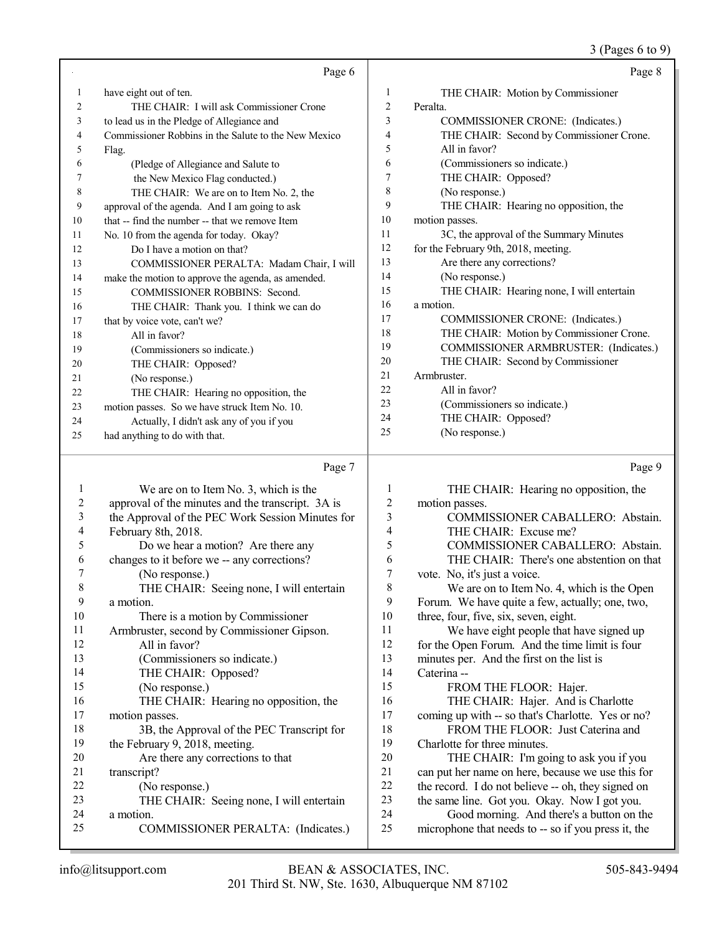|    | Page 6                                               |                | Page 8                                    |
|----|------------------------------------------------------|----------------|-------------------------------------------|
| 1  | have eight out of ten.                               | 1              | THE CHAIR: Motion by Commissioner         |
| 2  | THE CHAIR: I will ask Commissioner Crone             | 2              | Peralta.                                  |
| 3  | to lead us in the Pledge of Allegiance and           | 3              | COMMISSIONER CRONE: (Indicates.)          |
| 4  | Commissioner Robbins in the Salute to the New Mexico | $\overline{4}$ | THE CHAIR: Second by Commissioner Crone.  |
| 5  | Flag.                                                | 5              | All in favor?                             |
| 6  | (Pledge of Allegiance and Salute to                  | 6              | (Commissioners so indicate.)              |
|    | the New Mexico Flag conducted.)                      | 7              | THE CHAIR: Opposed?                       |
| 8  | THE CHAIR: We are on to Item No. 2, the              | 8              | (No response.)                            |
| 9  | approval of the agenda. And I am going to ask        | 9              | THE CHAIR: Hearing no opposition, the     |
| 10 | that -- find the number -- that we remove Item       | 10             | motion passes.                            |
| 11 | No. 10 from the agenda for today. Okay?              | 11             | 3C, the approval of the Summary Minutes   |
| 12 | Do I have a motion on that?                          | 12             | for the February 9th, 2018, meeting.      |
| 13 | COMMISSIONER PERALTA: Madam Chair, I will            | 13             | Are there any corrections?                |
| 14 | make the motion to approve the agenda, as amended.   | 14             | (No response.)                            |
| 15 | <b>COMMISSIONER ROBBINS: Second.</b>                 | 15             | THE CHAIR: Hearing none, I will entertain |
| 16 | THE CHAIR: Thank you. I think we can do              | 16             | a motion.                                 |
| 17 | that by voice vote, can't we?                        | 17             | COMMISSIONER CRONE: (Indicates.)          |
| 18 | All in favor?                                        | 18             | THE CHAIR: Motion by Commissioner Crone.  |
| 19 | (Commissioners so indicate.)                         | 19             | COMMISSIONER ARMBRUSTER: (Indicates.)     |
| 20 | THE CHAIR: Opposed?                                  | 20             | THE CHAIR: Second by Commissioner         |
| 21 | (No response.)                                       | 21             | Armbruster.                               |
| 22 | THE CHAIR: Hearing no opposition, the                | 22             | All in favor?                             |
| 23 | motion passes. So we have struck Item No. 10.        | 23             | (Commissioners so indicate.)              |
| 24 | Actually, I didn't ask any of you if you             | 24             | THE CHAIR: Opposed?                       |
| 25 | had anything to do with that.                        | 25             | (No response.)                            |
|    |                                                      |                |                                           |

#### Page 7

1 We are on to Item No. 3, which is the<br>2 approval of the minutes and the transcript 2 approval of the minutes and the transcript. 3A is<br>3 the Approval of the PEC Work Session Minutes 1 the Approval of the PEC Work Session Minutes for 4 February 8th, 2018.<br>5 Do we hear a 5 Do we hear a motion? Are there any<br>6 changes to it before we -- any corrections? 6 changes to it before we -- any corrections?<br>  $\frac{7}{7}$  (No response) 7 (No response.)<br>8 THE CHAIR THE CHAIR: Seeing none, I will entertain  $\frac{9}{10}$  a motion. 10 There is a motion by Commissioner<br>11 Armbruster second by Commissioner Gin 11 Armbruster, second by Commissioner Gipson.<br>12 All in favor? 12 All in favor?<br>13 (Commission (Commissioners so indicate.) THE CHAIR: Opposed? (No response.) 16 THE CHAIR: Hearing no opposition, the motion passes. motion passes. 18 3B, the Approval of the PEC Transcript for<br>19 the February 9 2018 meeting the February 9, 2018, meeting. 20 Are there any corrections to that<br>21 transcript? 21 transcript?<br>22 (No 22 (No response.)<br>23 THE CHAIR: 23 THE CHAIR: Seeing none, I will entertain<br>24 a motion 24 a motion.<br>25 CO COMMISSIONER PERALTA: (Indicates.) Page 9 THE CHAIR: Hearing no opposition, the motion passes. COMMISSIONER CABALLERO: Abstain. THE CHAIR: Excuse me? 5 COMMISSIONER CABALLERO: Abstain.<br>6 THE CHAIR: There's one abstention on that THE CHAIR: There's one abstention on that vote. No, it's just a voice. We are on to Item No. 4, which is the Open 9 Forum. We have quite a few, actually; one, two,<br>10 three, four, five, six, seven, eight. three, four, five, six, seven, eight. We have eight people that have signed up for the Open Forum. And the time limit is four minutes per. And the first on the list is Caterina -- 15 FROM THE FLOOR: Hajer. THE CHAIR: Hajer. And is Charlotte coming up with -- so that's Charlotte. Yes or no? 18 FROM THE FLOOR: Just Caterina and Charlotte for three minutes. 20 THE CHAIR: I'm going to ask you if you<br>21 can put her name on here, because we use this for can put her name on here, because we use this for the record. I do not believe -- oh, they signed on the same line. Got you. Okay. Now I got you. Good morning. And there's a button on the microphone that needs to -- so if you press it, the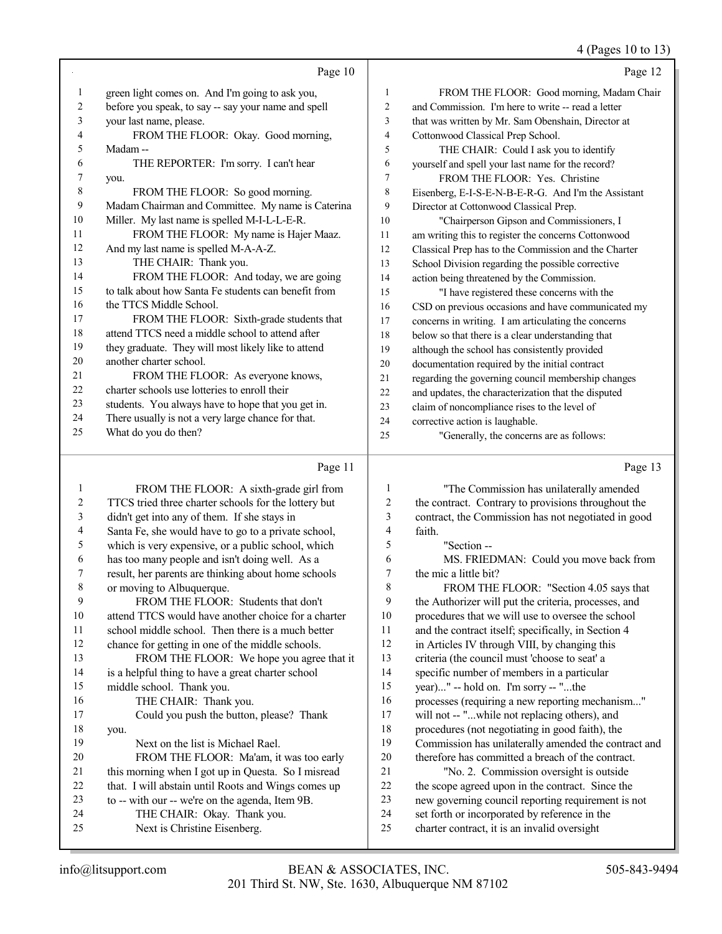4 (Pages 10 to 13)

|    | Page 10                                              |    | Page 12                                              |
|----|------------------------------------------------------|----|------------------------------------------------------|
| 1  | green light comes on. And I'm going to ask you,      | 1  | FROM THE FLOOR: Good morning, Madam Chair            |
| 2  | before you speak, to say -- say your name and spell  | 2  | and Commission. I'm here to write -- read a letter   |
| 3  | your last name, please.                              | 3  | that was written by Mr. Sam Obenshain, Director at   |
| 4  | FROM THE FLOOR: Okay. Good morning,                  | 4  | Cottonwood Classical Prep School.                    |
| 5  | Madam-                                               | 5  | THE CHAIR: Could I ask you to identify               |
| 6  | THE REPORTER: I'm sorry. I can't hear                | 6  | yourself and spell your last name for the record?    |
| 7  | you.                                                 | 7  | FROM THE FLOOR: Yes. Christine                       |
| 8  | FROM THE FLOOR: So good morning.                     | 8  | Eisenberg, E-I-S-E-N-B-E-R-G. And I'm the Assistant  |
| 9  | Madam Chairman and Committee. My name is Caterina    | 9  | Director at Cottonwood Classical Prep.               |
| 10 | Miller. My last name is spelled M-I-L-L-E-R.         | 10 | "Chairperson Gipson and Commissioners, I             |
| 11 | FROM THE FLOOR: My name is Hajer Maaz.               | 11 | am writing this to register the concerns Cottonwood  |
| 12 | And my last name is spelled M-A-A-Z.                 | 12 | Classical Prep has to the Commission and the Charter |
| 13 | THE CHAIR: Thank you.                                | 13 | School Division regarding the possible corrective    |
| 14 | FROM THE FLOOR: And today, we are going              | 14 | action being threatened by the Commission.           |
| 15 | to talk about how Santa Fe students can benefit from | 15 | "I have registered these concerns with the           |
| 16 | the TTCS Middle School.                              | 16 | CSD on previous occasions and have communicated my   |
| 17 | FROM THE FLOOR: Sixth-grade students that            | 17 | concerns in writing. I am articulating the concerns  |
| 18 | attend TTCS need a middle school to attend after     | 18 | below so that there is a clear understanding that    |
| 19 | they graduate. They will most likely like to attend  | 19 | although the school has consistently provided        |
| 20 | another charter school.                              | 20 | documentation required by the initial contract       |
| 21 | FROM THE FLOOR: As everyone knows,                   | 21 | regarding the governing council membership changes   |
| 22 | charter schools use lotteries to enroll their        | 22 | and updates, the characterization that the disputed  |
| 23 | students. You always have to hope that you get in.   | 23 | claim of noncompliance rises to the level of         |
| 24 | There usually is not a very large chance for that.   | 24 | corrective action is laughable.                      |
| 25 | What do you do then?                                 | 25 | "Generally, the concerns are as follows:             |
|    |                                                      |    |                                                      |

# Page 11  $\vert$

|    | Page 11                                              |    | Page 13                                              |
|----|------------------------------------------------------|----|------------------------------------------------------|
| 1  | FROM THE FLOOR: A sixth-grade girl from              | 1  | "The Commission has unilaterally amended             |
| 2  | TTCS tried three charter schools for the lottery but | 2  | the contract. Contrary to provisions throughout the  |
| 3  | didn't get into any of them. If she stays in         | 3  | contract, the Commission has not negotiated in good  |
| 4  | Santa Fe, she would have to go to a private school,  | 4  | faith.                                               |
| 5  | which is very expensive, or a public school, which   | 5  | "Section --                                          |
| 6  | has too many people and isn't doing well. As a       | 6  | MS. FRIEDMAN: Could you move back from               |
| 7  | result, her parents are thinking about home schools  | 7  | the mic a little bit?                                |
| 8  | or moving to Albuquerque.                            | 8  | FROM THE FLOOR: "Section 4.05 says that              |
| 9  | FROM THE FLOOR: Students that don't                  | 9  | the Authorizer will put the criteria, processes, and |
| 10 | attend TTCS would have another choice for a charter  | 10 | procedures that we will use to oversee the school    |
| 11 | school middle school. Then there is a much better    | 11 | and the contract itself; specifically, in Section 4  |
| 12 | chance for getting in one of the middle schools.     | 12 | in Articles IV through VIII, by changing this        |
| 13 | FROM THE FLOOR: We hope you agree that it            | 13 | criteria (the council must 'choose to seat' a        |
| 14 | is a helpful thing to have a great charter school    | 14 | specific number of members in a particular           |
| 15 | middle school. Thank you.                            | 15 | year)" -- hold on. I'm sorry -- "the                 |
| 16 | THE CHAIR: Thank you.                                | 16 | processes (requiring a new reporting mechanism"      |
| 17 | Could you push the button, please? Thank             | 17 | will not -- "while not replacing others), and        |
| 18 | you.                                                 | 18 | procedures (not negotiating in good faith), the      |
| 19 | Next on the list is Michael Rael.                    | 19 | Commission has unilaterally amended the contract and |
| 20 | FROM THE FLOOR: Ma'am, it was too early              | 20 | therefore has committed a breach of the contract.    |
| 21 | this morning when I got up in Questa. So I misread   | 21 | "No. 2. Commission oversight is outside              |
| 22 | that. I will abstain until Roots and Wings comes up  | 22 | the scope agreed upon in the contract. Since the     |
| 23 | to -- with our -- we're on the agenda, Item 9B.      | 23 | new governing council reporting requirement is not   |
| 24 | THE CHAIR: Okay. Thank you.                          | 24 | set forth or incorporated by reference in the        |
| 25 | Next is Christine Eisenberg.                         | 25 | charter contract, it is an invalid oversight         |
|    |                                                      |    |                                                      |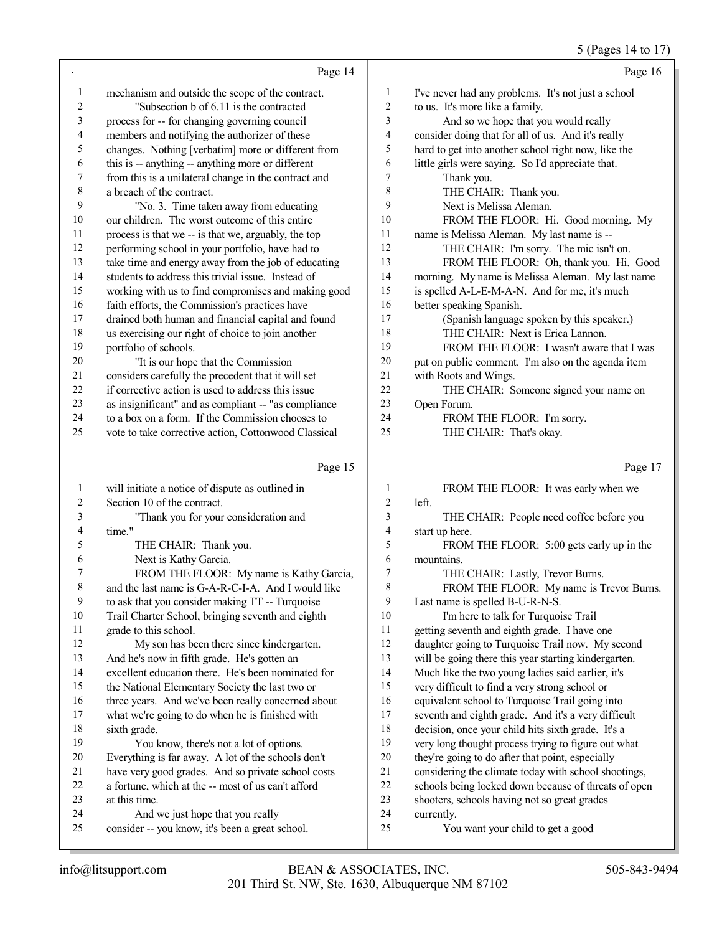|                          |                                                                                                          |                         | 5 (Pages 14 to 17)                                                                                           |
|--------------------------|----------------------------------------------------------------------------------------------------------|-------------------------|--------------------------------------------------------------------------------------------------------------|
|                          | Page 14                                                                                                  |                         | Page 16                                                                                                      |
| $\mathbf{1}$             | mechanism and outside the scope of the contract.                                                         | $\mathbf{1}$            | I've never had any problems. It's not just a school                                                          |
| $\sqrt{2}$               | "Subsection b of 6.11 is the contracted                                                                  | $\sqrt{2}$              | to us. It's more like a family.                                                                              |
| $\mathfrak{Z}$           | process for -- for changing governing council                                                            | 3                       | And so we hope that you would really                                                                         |
| $\overline{\mathcal{A}}$ | members and notifying the authorizer of these                                                            | 4                       | consider doing that for all of us. And it's really                                                           |
| 5                        | changes. Nothing [verbatim] more or different from                                                       | 5                       | hard to get into another school right now, like the                                                          |
| 6                        | this is -- anything -- anything more or different                                                        | 6                       | little girls were saying. So I'd appreciate that.                                                            |
| 7                        | from this is a unilateral change in the contract and                                                     | 7                       | Thank you.                                                                                                   |
| $\,$ 8 $\,$              | a breach of the contract.                                                                                | $\,$ $\,$               | THE CHAIR: Thank you.                                                                                        |
| 9                        | "No. 3. Time taken away from educating                                                                   | 9                       | Next is Melissa Aleman.                                                                                      |
| $10\,$                   | our children. The worst outcome of this entire                                                           | 10                      | FROM THE FLOOR: Hi. Good morning. My                                                                         |
| 11                       | process is that we -- is that we, arguably, the top                                                      | 11                      | name is Melissa Aleman. My last name is --                                                                   |
| 12                       | performing school in your portfolio, have had to                                                         | 12                      | THE CHAIR: I'm sorry. The mic isn't on.                                                                      |
| 13                       | take time and energy away from the job of educating                                                      | 13                      | FROM THE FLOOR: Oh, thank you. Hi. Good                                                                      |
| 14                       | students to address this trivial issue. Instead of                                                       | 14                      | morning. My name is Melissa Aleman. My last name                                                             |
| 15                       | working with us to find compromises and making good                                                      | 15                      | is spelled A-L-E-M-A-N. And for me, it's much                                                                |
| 16                       | faith efforts, the Commission's practices have                                                           | 16                      | better speaking Spanish.                                                                                     |
| $17\,$                   | drained both human and financial capital and found                                                       | 17                      | (Spanish language spoken by this speaker.)                                                                   |
| $18\,$                   | us exercising our right of choice to join another                                                        | 18                      | THE CHAIR: Next is Erica Lannon.                                                                             |
| 19                       | portfolio of schools.                                                                                    | 19                      | FROM THE FLOOR: I wasn't aware that I was                                                                    |
| $20\,$                   | "It is our hope that the Commission                                                                      | 20                      | put on public comment. I'm also on the agenda item                                                           |
| 21<br>22                 | considers carefully the precedent that it will set<br>if corrective action is used to address this issue | 21<br>22                | with Roots and Wings.                                                                                        |
| 23                       | as insignificant" and as compliant -- "as compliance                                                     | 23                      | THE CHAIR: Someone signed your name on<br>Open Forum.                                                        |
| 24                       | to a box on a form. If the Commission chooses to                                                         | 24                      | FROM THE FLOOR: I'm sorry.                                                                                   |
| 25                       | vote to take corrective action, Cottonwood Classical                                                     | 25                      | THE CHAIR: That's okay.                                                                                      |
|                          |                                                                                                          |                         |                                                                                                              |
|                          |                                                                                                          |                         |                                                                                                              |
|                          | Page 15                                                                                                  |                         | Page 17                                                                                                      |
| $\mathbf{1}$             | will initiate a notice of dispute as outlined in                                                         | $\mathbf{1}$            | FROM THE FLOOR: It was early when we                                                                         |
| 2                        | Section 10 of the contract.                                                                              | $\sqrt{2}$              | left.                                                                                                        |
| 3                        | "Thank you for your consideration and                                                                    | 3                       | THE CHAIR: People need coffee before you                                                                     |
| $\overline{\mathcal{A}}$ | time."                                                                                                   | $\overline{\mathbf{4}}$ | start up here.                                                                                               |
| 5                        | THE CHAIR: Thank you.                                                                                    | 5                       | FROM THE FLOOR: 5:00 gets early up in the                                                                    |
| 6                        | Next is Kathy Garcia.                                                                                    | $\sqrt{6}$              | mountains.                                                                                                   |
|                          | FROM THE FLOOR: My name is Kathy Garcia,                                                                 | 7                       | THE CHAIR: Lastly, Trevor Burns.                                                                             |
| 8                        | and the last name is G-A-R-C-I-A. And I would like                                                       | 8                       | FROM THE FLOOR: My name is Trevor Burns.                                                                     |
| 9                        | to ask that you consider making TT -- Turquoise                                                          | 9                       | Last name is spelled B-U-R-N-S.                                                                              |
| 10                       | Trail Charter School, bringing seventh and eighth                                                        | 10                      | I'm here to talk for Turquoise Trail                                                                         |
| 11                       | grade to this school.                                                                                    | 11                      | getting seventh and eighth grade. I have one                                                                 |
| 12                       | My son has been there since kindergarten.                                                                | 12                      | daughter going to Turquoise Trail now. My second                                                             |
| 13                       | And he's now in fifth grade. He's gotten an                                                              | 13                      | will be going there this year starting kindergarten.                                                         |
| 14                       | excellent education there. He's been nominated for                                                       | 14                      | Much like the two young ladies said earlier, it's                                                            |
| 15                       | the National Elementary Society the last two or                                                          | 15                      | very difficult to find a very strong school or                                                               |
| 16                       | three years. And we've been really concerned about                                                       | 16                      | equivalent school to Turquoise Trail going into                                                              |
| 17                       | what we're going to do when he is finished with                                                          | 17                      | seventh and eighth grade. And it's a very difficult                                                          |
| $18\,$                   | sixth grade.                                                                                             | 18                      | decision, once your child hits sixth grade. It's a                                                           |
| 19<br>$20\,$             | You know, there's not a lot of options.                                                                  | 19<br>20                | very long thought process trying to figure out what                                                          |
| 21                       | Everything is far away. A lot of the schools don't                                                       | 21                      | they're going to do after that point, especially                                                             |
| 22                       | have very good grades. And so private school costs<br>a fortune, which at the -- most of us can't afford | 22                      | considering the climate today with school shootings,<br>schools being locked down because of threats of open |
| 23                       | at this time.                                                                                            | 23                      | shooters, schools having not so great grades                                                                 |
| 24                       | And we just hope that you really                                                                         | 24                      | currently.                                                                                                   |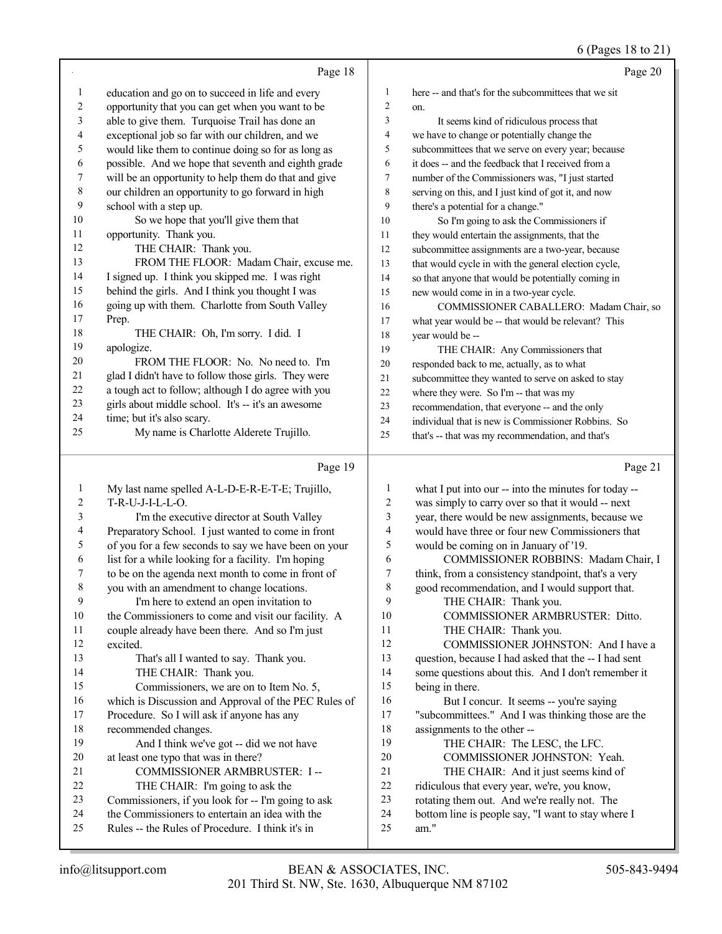|                          |                                                      |                | $0$ (rages to to $21$ )                              |
|--------------------------|------------------------------------------------------|----------------|------------------------------------------------------|
|                          | Page 18                                              |                | Page 20                                              |
| $\mathbf{1}$             | education and go on to succeed in life and every     | 1              | here -- and that's for the subcommittees that we sit |
| $\sqrt{2}$               | opportunity that you can get when you want to be     | $\overline{c}$ | on.                                                  |
| $\mathfrak{Z}$           | able to give them. Turquoise Trail has done an       | 3              | It seems kind of ridiculous process that             |
| $\overline{\mathcal{A}}$ | exceptional job so far with our children, and we     | 4              | we have to change or potentially change the          |
| 5                        | would like them to continue doing so for as long as  | 5              | subcommittees that we serve on every year; because   |
| 6                        | possible. And we hope that seventh and eighth grade  | 6              | it does -- and the feedback that I received from a   |
| 7                        | will be an opportunity to help them do that and give | 7              | number of the Commissioners was, "I just started     |
| $\,$ 8 $\,$              | our children an opportunity to go forward in high    | 8              | serving on this, and I just kind of got it, and now  |
| $\boldsymbol{9}$         | school with a step up.                               | 9              | there's a potential for a change."                   |
| $10\,$                   | So we hope that you'll give them that                | 10             | So I'm going to ask the Commissioners if             |
| $11\,$                   | opportunity. Thank you.                              | 11             | they would entertain the assignments, that the       |
| 12                       | THE CHAIR: Thank you.                                | 12             | subcommittee assignments are a two-year, because     |
| 13                       | FROM THE FLOOR: Madam Chair, excuse me.              | 13             | that would cycle in with the general election cycle, |
| 14                       | I signed up. I think you skipped me. I was right     | 14             | so that anyone that would be potentially coming in   |
| 15                       | behind the girls. And I think you thought I was      | 15             | new would come in in a two-year cycle.               |
| 16                       | going up with them. Charlotte from South Valley      | 16             | COMMISSIONER CABALLERO: Madam Chair, so              |
| 17                       | Prep.                                                | 17             | what year would be -- that would be relevant? This   |
| 18                       | THE CHAIR: Oh, I'm sorry. I did. I                   | 18             | year would be --                                     |
| 19                       | apologize.                                           | 19             | THE CHAIR: Any Commissioners that                    |
| 20                       | FROM THE FLOOR: No. No need to. I'm                  | 20             | responded back to me, actually, as to what           |
| $21\,$                   | glad I didn't have to follow those girls. They were  | 21             | subcommittee they wanted to serve on asked to stay   |
| 22                       | a tough act to follow; although I do agree with you  | 22             | where they were. So I'm -- that was my               |
| 23                       | girls about middle school. It's -- it's an awesome   | 23             | recommendation, that everyone -- and the only        |
| 24                       | time; but it's also scary.                           | 24             | individual that is new is Commissioner Robbins. So   |
| 25                       | My name is Charlotte Alderete Trujillo.              | 25             | that's -- that was my recommendation, and that's     |
|                          |                                                      |                |                                                      |
|                          | Page 19                                              |                | Page 21                                              |
| $\mathbf{1}$             | My last name spelled A-L-D-E-R-E-T-E; Trujillo,      | $\mathbf{1}$   | what I put into our -- into the minutes for today -- |
| $\boldsymbol{2}$         | T-R-U-J-I-L-L-O.                                     | $\overline{c}$ | was simply to carry over so that it would -- next    |
| 3                        | I'm the executive director at South Valley           | $\mathfrak{Z}$ | year, there would be new assignments, because we     |
| 4                        | Preparatory School. I just wanted to come in front   | 4              | would have three or four new Commissioners that      |
| 5                        | of you for a few seconds to say we have been on your | 5              | would be coming on in January of '19.                |
| 6                        | list for a while looking for a facility. I'm hoping  | 6              | COMMISSIONER ROBBINS: Madam Chair, I                 |
| 7                        | to be on the agenda next month to come in front of   | 7              | think, from a consistency standpoint, that's a very  |
| $\,$ 8 $\,$              | you with an amendment to change locations.           | $\,8\,$        | good recommendation, and I would support that.       |
| 9                        | I'm here to extend an open invitation to             | 9              | THE CHAIR: Thank you.                                |
| 10                       | the Commissioners to come and visit our facility. A  | 10             | COMMISSIONER ARMBRUSTER: Ditto.                      |
| 11                       | couple already have been there. And so I'm just      | 11             | THE CHAIR: Thank you.                                |
| 12                       | excited.                                             | 12             | COMMISSIONER JOHNSTON: And I have a                  |
| 13                       | That's all I wanted to say. Thank you.               | 13             | question, because I had asked that the -- I had sent |
| 14                       | THE CHAIR: Thank you.                                | 14             | some questions about this. And I don't remember it   |
| 15                       | Commissioners, we are on to Item No. 5,              | 15             | being in there.                                      |
| 16                       | which is Discussion and Approval of the PEC Rules of | 16             | But I concur. It seems -- you're saying              |
| 17                       | Procedure. So I will ask if anyone has any           | 17             | "subcommittees." And I was thinking those are the    |
| 18                       | recommended changes.                                 | 18             | assignments to the other --                          |
| 19                       |                                                      | 19             | THE CHAIR: The LESC, the LFC.                        |
|                          | And I think we've got -- did we not have             |                |                                                      |
| $20\,$                   | at least one typo that was in there?                 | $20\,$         | COMMISSIONER JOHNSTON: Yeah.                         |
| 21                       | COMMISSIONER ARMBRUSTER: I --                        | 21             | THE CHAIR: And it just seems kind of                 |
| $22\,$                   | THE CHAIR: I'm going to ask the                      | $22\,$         | ridiculous that every year, we're, you know,         |

- Commissioners, if you look for -- I'm going to ask the Commissioners to entertain an idea with the
- Rules -- the Rules of Procedure. I think it's in
- 24 bottom line is people say, "I want to stay where I<br>25 am."
	- am."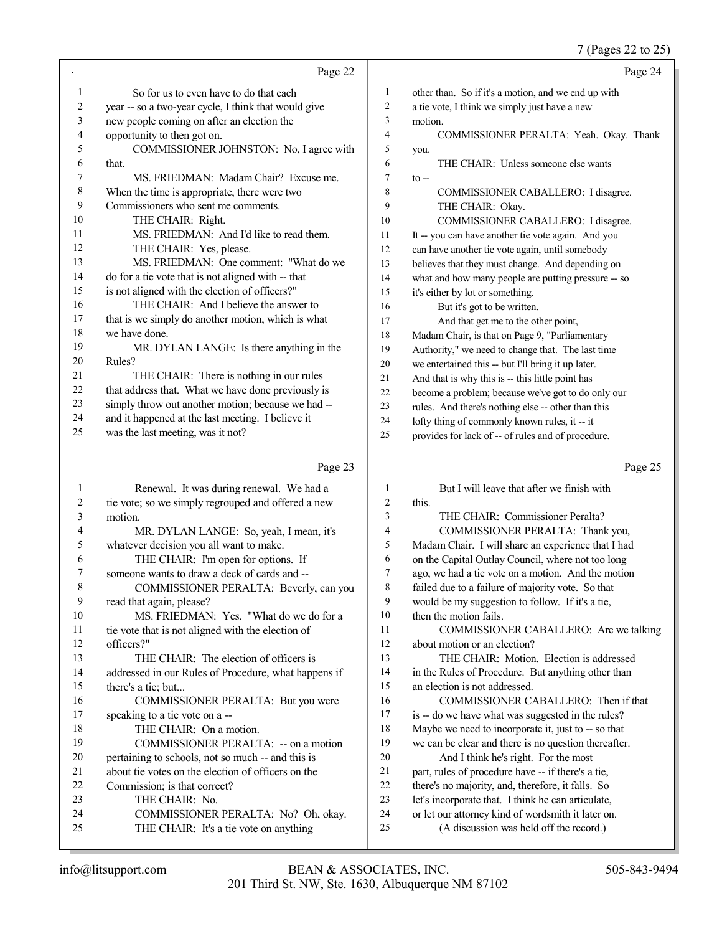#### 7 (Pages 22 to 25)

|          | Page 22                                                                       |          | Page 24                                                                                       |
|----------|-------------------------------------------------------------------------------|----------|-----------------------------------------------------------------------------------------------|
| 1        | So for us to even have to do that each                                        | 1        | other than. So if it's a motion, and we end up with                                           |
| 2        | year -- so a two-year cycle, I think that would give                          | 2        | a tie vote, I think we simply just have a new                                                 |
| 3        | new people coming on after an election the                                    | 3        | motion.                                                                                       |
| 4        | opportunity to then got on.                                                   | 4        | COMMISSIONER PERALTA: Yeah. Okay. Thank                                                       |
| 5        | COMMISSIONER JOHNSTON: No, I agree with                                       | 5        | you.                                                                                          |
| 6        | that.                                                                         | 6        | THE CHAIR: Unless someone else wants                                                          |
| 7        | MS. FRIEDMAN: Madam Chair? Excuse me.                                         | 7        | $\mathfrak{t}$ --                                                                             |
| 8        | When the time is appropriate, there were two                                  | 8        | COMMISSIONER CABALLERO: I disagree.                                                           |
| 9        | Commissioners who sent me comments.                                           | 9        | THE CHAIR: Okay.                                                                              |
| 10       | THE CHAIR: Right.                                                             | 10       | COMMISSIONER CABALLERO: I disagree.                                                           |
| 11       | MS. FRIEDMAN: And I'd like to read them.                                      | 11       | It -- you can have another tie vote again. And you                                            |
| 12       | THE CHAIR: Yes, please.                                                       | 12       | can have another tie vote again, until somebody                                               |
| 13       | MS. FRIEDMAN: One comment: "What do we                                        | 13       | believes that they must change. And depending on                                              |
| 14       | do for a tie vote that is not aligned with -- that                            | 14       | what and how many people are putting pressure -- so                                           |
| 15       | is not aligned with the election of officers?"                                | 15       | it's either by lot or something.                                                              |
| 16       | THE CHAIR: And I believe the answer to                                        | 16       | But it's got to be written.                                                                   |
| 17       | that is we simply do another motion, which is what                            | 17       | And that get me to the other point,                                                           |
| 18       | we have done.                                                                 | 18       | Madam Chair, is that on Page 9, "Parliamentary                                                |
| 19       | MR. DYLAN LANGE: Is there anything in the                                     | 19       | Authority," we need to change that. The last time                                             |
| 20       | Rules?                                                                        | 20       | we entertained this -- but I'll bring it up later.                                            |
| 21       | THE CHAIR: There is nothing in our rules                                      | 21       | And that is why this is -- this little point has                                              |
| 22       | that address that. What we have done previously is                            | 22       | become a problem; because we've got to do only our                                            |
| 23       | simply throw out another motion; because we had --                            | 23       | rules. And there's nothing else -- other than this                                            |
| 24       | and it happened at the last meeting. I believe it                             | 24       | lofty thing of commonly known rules, it -- it                                                 |
| 25       | was the last meeting, was it not?                                             | 25       | provides for lack of -- of rules and of procedure.                                            |
|          |                                                                               |          |                                                                                               |
|          |                                                                               |          |                                                                                               |
|          | Page 23                                                                       |          | Page 25                                                                                       |
| 1        | Renewal. It was during renewal. We had a                                      | 1        | But I will leave that after we finish with                                                    |
| 2        | tie vote; so we simply regrouped and offered a new                            | 2        | this.                                                                                         |
| 3        | motion.                                                                       | 3        | THE CHAIR: Commissioner Peralta?                                                              |
| 4        | MR. DYLAN LANGE: So, yeah, I mean, it's                                       | 4        | COMMISSIONER PERALTA: Thank you,                                                              |
| 5        | whatever decision you all want to make.                                       | 5        | Madam Chair. I will share an experience that I had                                            |
| 6        | THE CHAIR: I'm open for options. If                                           | 6        | on the Capital Outlay Council, where not too long                                             |
| 7        | someone wants to draw a deck of cards and --                                  | 7        | ago, we had a tie vote on a motion. And the motion                                            |
| 8        | COMMISSIONER PERALTA: Beverly, can you                                        | $\,8\,$  | failed due to a failure of majority vote. So that                                             |
| 9        | read that again, please?                                                      | 9        | would be my suggestion to follow. If it's a tie,                                              |
| 10       | MS. FRIEDMAN: Yes. "What do we do for a                                       | 10       | then the motion fails.                                                                        |
| 11       | tie vote that is not aligned with the election of                             | 11       | COMMISSIONER CABALLERO: Are we talking                                                        |
| 12       | officers?"                                                                    | 12       | about motion or an election?                                                                  |
| 13       | THE CHAIR: The election of officers is                                        | 13       | THE CHAIR: Motion. Election is addressed                                                      |
| 14       | addressed in our Rules of Procedure, what happens if                          | 14       | in the Rules of Procedure. But anything other than                                            |
| 15       | there's a tie; but                                                            | 15       | an election is not addressed.                                                                 |
| 16       | COMMISSIONER PERALTA: But you were                                            | 16       | COMMISSIONER CABALLERO: Then if that                                                          |
| 17       | speaking to a tie vote on a --                                                | 17       | is -- do we have what was suggested in the rules?                                             |
| 18       | THE CHAIR: On a motion.                                                       | 18       | Maybe we need to incorporate it, just to -- so that                                           |
| 19       | COMMISSIONER PERALTA: -- on a motion                                          | 19       | we can be clear and there is no question thereafter.                                          |
| $20\,$   | pertaining to schools, not so much -- and this is                             | $20\,$   | And I think he's right. For the most                                                          |
| 21       | about tie votes on the election of officers on the                            | $21$     | part, rules of procedure have -- if there's a tie,                                            |
| 22       | Commission; is that correct?                                                  | 22       | there's no majority, and, therefore, it falls. So                                             |
| 23       | THE CHAIR: No.                                                                | 23       | let's incorporate that. I think he can articulate,                                            |
| 24<br>25 | COMMISSIONER PERALTA: No? Oh, okay.<br>THE CHAIR: It's a tie vote on anything | 24<br>25 | or let our attorney kind of wordsmith it later on.<br>(A discussion was held off the record.) |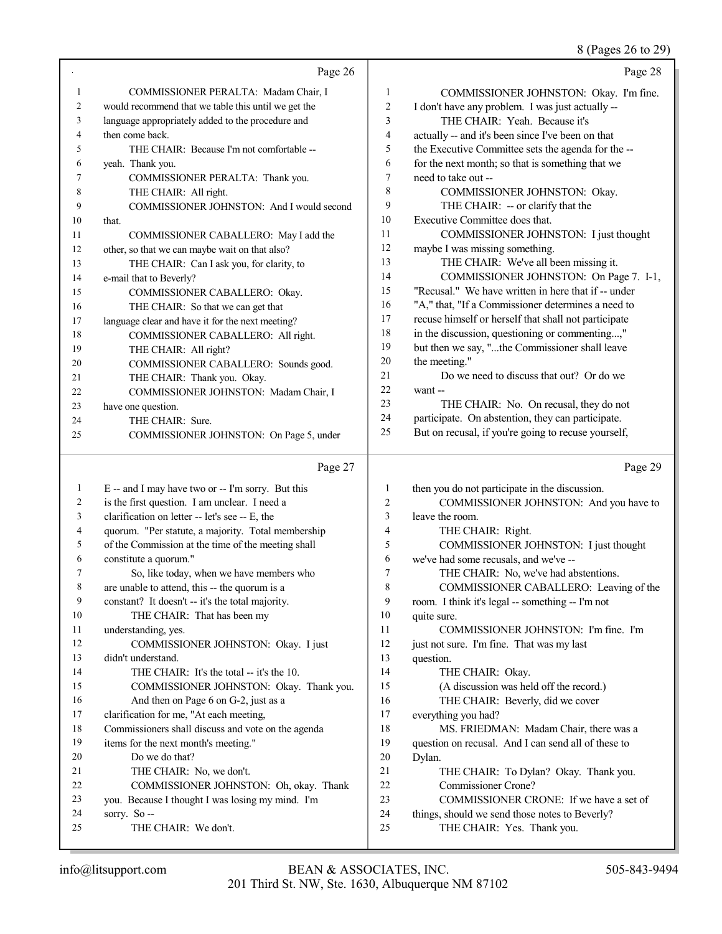## 8 (Pages 26 to 29)

|                | Page 26                                                                         |                | Page 28                                                                                     |
|----------------|---------------------------------------------------------------------------------|----------------|---------------------------------------------------------------------------------------------|
| $\mathbf{1}$   | COMMISSIONER PERALTA: Madam Chair, I                                            | $\mathbf{1}$   | COMMISSIONER JOHNSTON: Okay. I'm fine.                                                      |
| 2              | would recommend that we table this until we get the                             | $\overline{c}$ | I don't have any problem. I was just actually --                                            |
| 3              | language appropriately added to the procedure and                               | 3              | THE CHAIR: Yeah. Because it's                                                               |
| 4              | then come back.                                                                 | 4              | actually -- and it's been since I've been on that                                           |
| 5              | THE CHAIR: Because I'm not comfortable --                                       | 5              | the Executive Committee sets the agenda for the --                                          |
| 6              | yeah. Thank you.                                                                | 6              | for the next month; so that is something that we                                            |
| 7              | COMMISSIONER PERALTA: Thank you.                                                | 7              | need to take out --                                                                         |
| 8              | THE CHAIR: All right.                                                           | 8              | COMMISSIONER JOHNSTON: Okay.                                                                |
| 9              | COMMISSIONER JOHNSTON: And I would second                                       | 9              | THE CHAIR: -- or clarify that the                                                           |
| $10\,$         | that.                                                                           | 10             | Executive Committee does that.                                                              |
| 11             | COMMISSIONER CABALLERO: May I add the                                           | 11             | COMMISSIONER JOHNSTON: I just thought                                                       |
| 12             | other, so that we can maybe wait on that also?                                  | 12             | maybe I was missing something.                                                              |
| 13             | THE CHAIR: Can I ask you, for clarity, to                                       | 13             | THE CHAIR: We've all been missing it.                                                       |
| 14             | e-mail that to Beverly?                                                         | 14             | COMMISSIONER JOHNSTON: On Page 7. I-1,                                                      |
| 15             | COMMISSIONER CABALLERO: Okay.                                                   | 15             | "Recusal." We have written in here that if -- under                                         |
| 16             | THE CHAIR: So that we can get that                                              | 16             | "A," that, "If a Commissioner determines a need to                                          |
| 17             | language clear and have it for the next meeting?                                | 17             | recuse himself or herself that shall not participate                                        |
| 18             | COMMISSIONER CABALLERO: All right.                                              | $18\,$         | in the discussion, questioning or commenting,"                                              |
| 19             | THE CHAIR: All right?                                                           | 19             | but then we say, "the Commissioner shall leave                                              |
| 20             | COMMISSIONER CABALLERO: Sounds good.                                            | 20             | the meeting."                                                                               |
| 21             | THE CHAIR: Thank you. Okay.                                                     | 21             | Do we need to discuss that out? Or do we                                                    |
| 22             | COMMISSIONER JOHNSTON: Madam Chair, I                                           | 22<br>23       | want --                                                                                     |
| 23             | have one question.                                                              | 24             | THE CHAIR: No. On recusal, they do not<br>participate. On abstention, they can participate. |
| 24<br>25       | THE CHAIR: Sure.                                                                | 25             | But on recusal, if you're going to recuse yourself,                                         |
|                | COMMISSIONER JOHNSTON: On Page 5, under                                         |                |                                                                                             |
|                |                                                                                 |                |                                                                                             |
|                | Page 27                                                                         |                | Page 29                                                                                     |
| $\mathbf{1}$   | E -- and I may have two or -- I'm sorry. But this                               | 1              | then you do not participate in the discussion.                                              |
| $\overline{c}$ | is the first question. I am unclear. I need a                                   | 2              | COMMISSIONER JOHNSTON: And you have to                                                      |
| 3              | clarification on letter -- let's see -- E, the                                  | 3              | leave the room.                                                                             |
| 4              | quorum. "Per statute, a majority. Total membership                              | 4              | THE CHAIR: Right.                                                                           |
| 5              | of the Commission at the time of the meeting shall                              | 5              | COMMISSIONER JOHNSTON: I just thought                                                       |
| 6              | constitute a quorum."                                                           | 6              | we've had some recusals, and we've --                                                       |
| 7              | So, like today, when we have members who                                        | 7              | THE CHAIR: No, we've had abstentions.                                                       |
| 8              | are unable to attend, this -- the quorum is a                                   | 8              | COMMISSIONER CABALLERO: Leaving of the                                                      |
| 9              | constant? It doesn't -- it's the total majority.                                | 9              | room. I think it's legal -- something -- I'm not                                            |
| 10             | THE CHAIR: That has been my                                                     | 10             | quite sure.                                                                                 |
| 11             | understanding, yes.                                                             | 11             | COMMISSIONER JOHNSTON: I'm fine. I'm                                                        |
| 12             | COMMISSIONER JOHNSTON: Okay. I just                                             | 12             | just not sure. I'm fine. That was my last                                                   |
| 13<br>14       | didn't understand.                                                              | 13<br>14       | question.                                                                                   |
| 15             | THE CHAIR: It's the total -- it's the 10.                                       | 15             | THE CHAIR: Okay.                                                                            |
| 16             | COMMISSIONER JOHNSTON: Okay. Thank you.<br>And then on Page 6 on G-2, just as a | 16             | (A discussion was held off the record.)<br>THE CHAIR: Beverly, did we cover                 |
| 17             | clarification for me, "At each meeting,                                         | 17             | everything you had?                                                                         |
| 18             | Commissioners shall discuss and vote on the agenda                              | 18             | MS. FRIEDMAN: Madam Chair, there was a                                                      |
| 19             | items for the next month's meeting."                                            | 19             | question on recusal. And I can send all of these to                                         |
| 20             | Do we do that?                                                                  | 20             | Dylan.                                                                                      |
| 21             | THE CHAIR: No, we don't.                                                        | 21             | THE CHAIR: To Dylan? Okay. Thank you.                                                       |
| 22             | COMMISSIONER JOHNSTON: Oh, okay. Thank                                          | 22             | Commissioner Crone?                                                                         |
| 23             | you. Because I thought I was losing my mind. I'm                                | 23             | COMMISSIONER CRONE: If we have a set of                                                     |
| 24<br>25       | sorry. So --<br>THE CHAIR: We don't.                                            | 24<br>25       | things, should we send those notes to Beverly?<br>THE CHAIR: Yes. Thank you.                |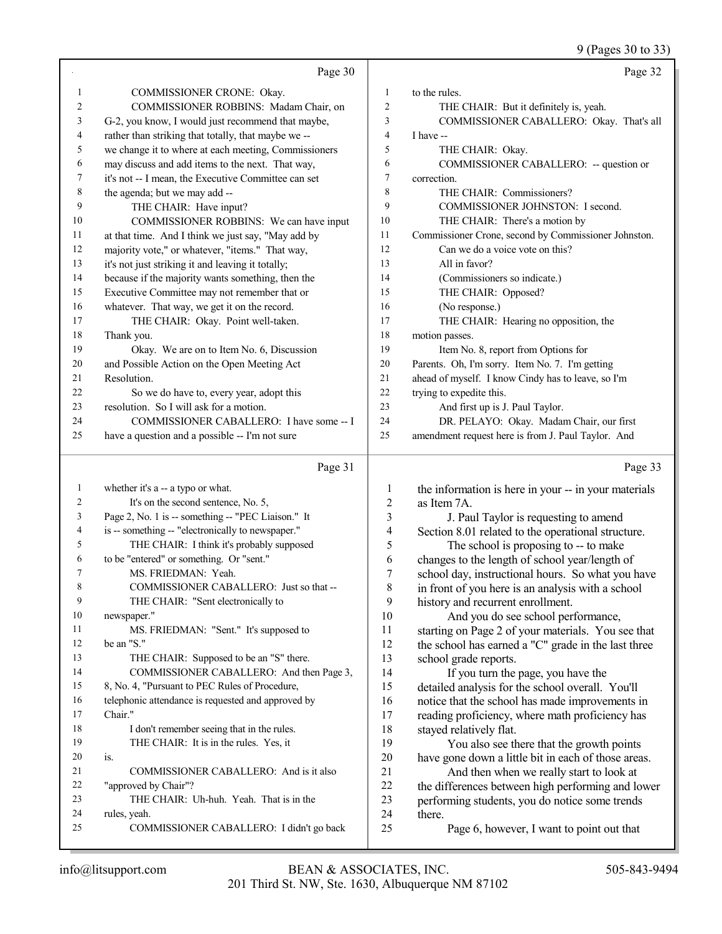9 (Pages 30 to 33)

|                | Page 30                                               |                          | Page 32                                                                                |
|----------------|-------------------------------------------------------|--------------------------|----------------------------------------------------------------------------------------|
| $\mathbf{1}$   | COMMISSIONER CRONE: Okay.                             | 1                        | to the rules.                                                                          |
| $\overline{c}$ | COMMISSIONER ROBBINS: Madam Chair, on                 | $\overline{c}$           | THE CHAIR: But it definitely is, yeah.                                                 |
| 3              | G-2, you know, I would just recommend that maybe,     | 3                        | COMMISSIONER CABALLERO: Okay. That's all                                               |
| 4              | rather than striking that totally, that maybe we --   | $\overline{4}$           | I have --                                                                              |
| 5              | we change it to where at each meeting, Commissioners  | 5                        | THE CHAIR: Okay.                                                                       |
| 6              | may discuss and add items to the next. That way,      | 6                        | COMMISSIONER CABALLERO: -- question or                                                 |
| 7              | it's not -- I mean, the Executive Committee can set   | 7                        | correction.                                                                            |
| 8              | the agenda; but we may add --                         | 8                        | THE CHAIR: Commissioners?                                                              |
| 9              | THE CHAIR: Have input?                                | 9                        | COMMISSIONER JOHNSTON: I second.                                                       |
| 10             | COMMISSIONER ROBBINS: We can have input               | 10                       | THE CHAIR: There's a motion by                                                         |
| 11             | at that time. And I think we just say, "May add by    | 11                       | Commissioner Crone, second by Commissioner Johnston.                                   |
| 12             | majority vote," or whatever, "items." That way,       | 12                       | Can we do a voice vote on this?                                                        |
| 13             | it's not just striking it and leaving it totally;     | 13                       | All in favor?                                                                          |
| 14             | because if the majority wants something, then the     | 14                       | (Commissioners so indicate.)                                                           |
| 15             | Executive Committee may not remember that or          | 15                       | THE CHAIR: Opposed?                                                                    |
| 16             | whatever. That way, we get it on the record.          | 16                       | (No response.)                                                                         |
| 17             | THE CHAIR: Okay. Point well-taken.                    | 17                       | THE CHAIR: Hearing no opposition, the                                                  |
| 18             | Thank you.                                            | 18                       | motion passes.                                                                         |
| 19             | Okay. We are on to Item No. 6, Discussion             | 19                       | Item No. 8, report from Options for                                                    |
| 20             | and Possible Action on the Open Meeting Act           | 20                       | Parents. Oh, I'm sorry. Item No. 7. I'm getting                                        |
| 21             | Resolution.                                           | 21                       | ahead of myself. I know Cindy has to leave, so I'm                                     |
| 22             | So we do have to, every year, adopt this              | 22                       | trying to expedite this.                                                               |
| 23             | resolution. So I will ask for a motion.               | 23                       | And first up is J. Paul Taylor.                                                        |
| 24             | COMMISSIONER CABALLERO: I have some -- I              | 24                       | DR. PELAYO: Okay. Madam Chair, our first                                               |
| 25             | have a question and a possible -- I'm not sure        | 25                       | amendment request here is from J. Paul Taylor. And                                     |
|                | Page 31                                               |                          | Page 33                                                                                |
| $\mathbf{1}$   | whether it's a -- a typo or what.                     | 1                        | the information is here in your -- in your materials                                   |
| 2              | It's on the second sentence, No. 5,                   | $\boldsymbol{2}$         | as Item 7A.                                                                            |
| 3              | Page 2, No. 1 is -- something -- "PEC Liaison." It    | 3                        | J. Paul Taylor is requesting to amend                                                  |
| 4              | is -- something -- "electronically to newspaper."     | $\overline{\mathcal{A}}$ | Section 8.01 related to the operational structure.                                     |
| 5              | THE CHAIR: I think it's probably supposed             | 5                        | The school is proposing to -- to make                                                  |
| 6              | to be "entered" or something. Or "sent."              | 6                        | changes to the length of school year/length of                                         |
| 7              | MS. FRIEDMAN: Yeah.                                   | 7                        | school day, instructional hours. So what you have                                      |
| 8              | COMMISSIONER CABALLERO: Just so that --               | $\,$ $\,$                | in front of you here is an analysis with a school                                      |
| 9              | THE CHAIR: "Sent electronically to                    | 9                        | history and recurrent enrollment.                                                      |
| $10\,$         | newspaper."                                           | 10                       | And you do see school performance,                                                     |
| 11<br>12       | MS. FRIEDMAN: "Sent." It's supposed to                | 11<br>12                 | starting on Page 2 of your materials. You see that                                     |
| 13             | be an "S."<br>THE CHAIR: Supposed to be an "S" there. | 13                       | the school has earned a "C" grade in the last three                                    |
| 14             | COMMISSIONER CABALLERO: And then Page 3,              | 14                       | school grade reports.                                                                  |
| 15             | 8, No. 4, "Pursuant to PEC Rules of Procedure,        | 15                       | If you turn the page, you have the<br>detailed analysis for the school overall. You'll |
| 16             | telephonic attendance is requested and approved by    | 16                       | notice that the school has made improvements in                                        |
| 17             | Chair."                                               | 17                       | reading proficiency, where math proficiency has                                        |
| 18             | I don't remember seeing that in the rules.            | 18                       | stayed relatively flat.                                                                |
| 19             | THE CHAIR: It is in the rules. Yes, it                | 19                       | You also see there that the growth points                                              |
| 20             | is.                                                   | $20\,$                   | have gone down a little bit in each of those areas.                                    |
| 21             | COMMISSIONER CABALLERO: And is it also                | 21                       | And then when we really start to look at                                               |
| 22             | "approved by Chair"?                                  | 22                       | the differences between high performing and lower                                      |
| 23             | THE CHAIR: Uh-huh. Yeah. That is in the               | 23                       | performing students, you do notice some trends                                         |
| 24             | rules, yeah.                                          | 24                       | there.                                                                                 |
| 25             | COMMISSIONER CABALLERO: I didn't go back              | 25                       | Page 6, however, I want to point out that                                              |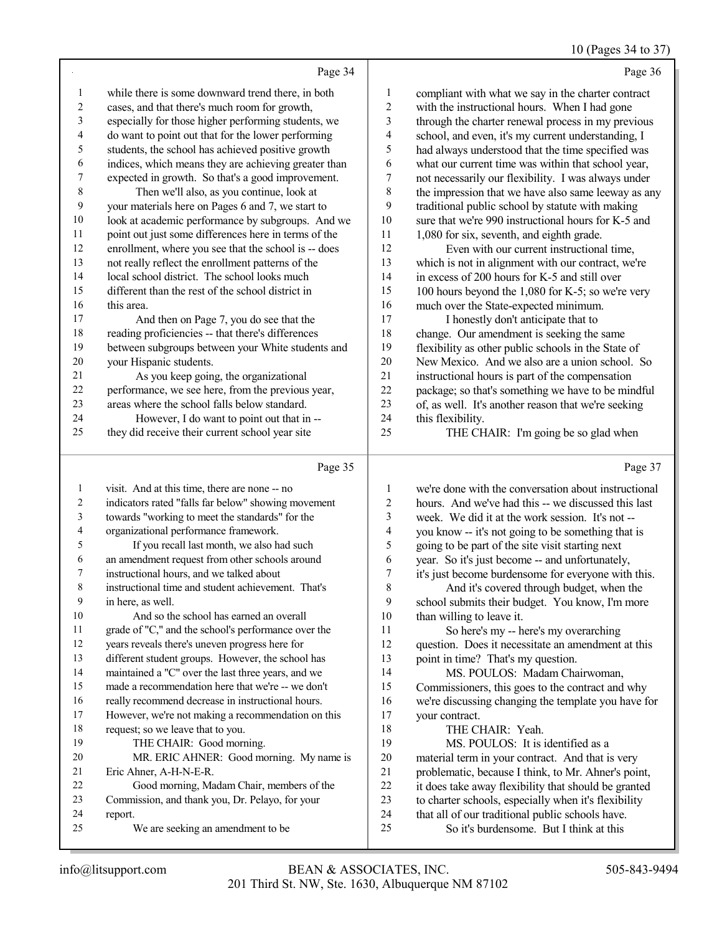## 10 (Pages 34 to 37)

|                          | Page 34                                                                                    |                             | Page 36                                                             |
|--------------------------|--------------------------------------------------------------------------------------------|-----------------------------|---------------------------------------------------------------------|
| 1                        | while there is some downward trend there, in both                                          | $\mathbf{1}$                | compliant with what we say in the charter contract                  |
| $\sqrt{2}$               | cases, and that there's much room for growth,                                              | $\overline{c}$              | with the instructional hours. When I had gone                       |
| 3                        | especially for those higher performing students, we                                        | $\mathfrak{Z}$              | through the charter renewal process in my previous                  |
| $\overline{\mathcal{A}}$ | do want to point out that for the lower performing                                         | $\overline{\mathcal{L}}$    | school, and even, it's my current understanding, I                  |
| 5                        | students, the school has achieved positive growth                                          | 5                           | had always understood that the time specified was                   |
| 6                        | indices, which means they are achieving greater than                                       | $\sqrt{6}$                  | what our current time was within that school year,                  |
| $\boldsymbol{7}$         | expected in growth. So that's a good improvement.                                          | $\boldsymbol{7}$            | not necessarily our flexibility. I was always under                 |
| $\,$ $\,$                | Then we'll also, as you continue, look at                                                  | $\,$ 8 $\,$                 | the impression that we have also same leeway as any                 |
| 9                        | your materials here on Pages 6 and 7, we start to                                          | 9                           | traditional public school by statute with making                    |
| 10                       | look at academic performance by subgroups. And we                                          | $10\,$                      | sure that we're 990 instructional hours for K-5 and                 |
| 11                       | point out just some differences here in terms of the                                       | 11                          | 1,080 for six, seventh, and eighth grade.                           |
| 12                       | enrollment, where you see that the school is -- does                                       | 12                          | Even with our current instructional time,                           |
| 13                       | not really reflect the enrollment patterns of the                                          | 13                          | which is not in alignment with our contract, we're                  |
| 14                       | local school district. The school looks much                                               | 14                          | in excess of 200 hours for K-5 and still over                       |
| 15                       | different than the rest of the school district in                                          | 15                          | 100 hours beyond the 1,080 for K-5; so we're very                   |
| 16                       | this area.                                                                                 | 16                          | much over the State-expected minimum.                               |
| 17                       | And then on Page 7, you do see that the                                                    | 17                          | I honestly don't anticipate that to                                 |
| 18                       | reading proficiencies -- that there's differences                                          | 18                          | change. Our amendment is seeking the same                           |
| 19                       | between subgroups between your White students and                                          | 19                          | flexibility as other public schools in the State of                 |
| $20\,$                   | your Hispanic students.                                                                    | $20\,$                      | New Mexico. And we also are a union school. So                      |
| 21                       | As you keep going, the organizational                                                      | 21                          | instructional hours is part of the compensation                     |
| 22                       | performance, we see here, from the previous year,                                          | 22                          | package; so that's something we have to be mindful                  |
| 23                       | areas where the school falls below standard.                                               | 23                          | of, as well. It's another reason that we're seeking                 |
| 24                       | However, I do want to point out that in --                                                 | 24                          | this flexibility.                                                   |
| 25                       | they did receive their current school year site                                            | 25                          | THE CHAIR: I'm going be so glad when                                |
|                          |                                                                                            |                             |                                                                     |
|                          |                                                                                            |                             |                                                                     |
|                          | Page 35                                                                                    |                             | Page 37                                                             |
|                          |                                                                                            |                             |                                                                     |
| $\mathbf{1}$             | visit. And at this time, there are none -- no                                              | $\mathbf{1}$                | we're done with the conversation about instructional                |
| $\boldsymbol{2}$         | indicators rated "falls far below" showing movement                                        | $\boldsymbol{2}$            | hours. And we've had this -- we discussed this last                 |
| $\mathfrak{Z}$<br>4      | towards "working to meet the standards" for the                                            | $\mathfrak{Z}$              | week. We did it at the work session. It's not --                    |
| 5                        | organizational performance framework.                                                      | $\overline{\mathcal{L}}$    | you know -- it's not going to be something that is                  |
| 6                        | If you recall last month, we also had such                                                 | 5                           | going to be part of the site visit starting next                    |
| 7                        | an amendment request from other schools around<br>instructional hours, and we talked about | $\sqrt{6}$                  | year. So it's just become -- and unfortunately,                     |
| $\,$ 8 $\,$              | instructional time and student achievement. That's                                         | $\boldsymbol{7}$<br>$\,8\,$ | it's just become burdensome for everyone with this.                 |
| 9                        | in here, as well.                                                                          | 9                           | And it's covered through budget, when the                           |
| 10                       | And so the school has earned an overall                                                    | $10\,$                      | school submits their budget. You know, I'm more                     |
| 11                       | grade of "C," and the school's performance over the                                        | 11                          | than willing to leave it.                                           |
| 12                       | years reveals there's uneven progress here for                                             | 12                          | So here's my -- here's my overarching                               |
| 13                       | different student groups. However, the school has                                          | 13                          | question. Does it necessitate an amendment at this                  |
| 14                       | maintained a "C" over the last three years, and we                                         | 14                          | point in time? That's my question.<br>MS. POULOS: Madam Chairwoman, |
| 15                       | made a recommendation here that we're -- we don't                                          | 15                          | Commissioners, this goes to the contract and why                    |
| 16                       | really recommend decrease in instructional hours.                                          | 16                          | we're discussing changing the template you have for                 |
| 17                       | However, we're not making a recommendation on this                                         | 17                          | your contract.                                                      |
| 18                       | request; so we leave that to you.                                                          | 18                          | THE CHAIR: Yeah.                                                    |
| 19                       | THE CHAIR: Good morning.                                                                   | 19                          | MS. POULOS: It is identified as a                                   |
| 20                       | MR. ERIC AHNER: Good morning. My name is                                                   | $20\,$                      | material term in your contract. And that is very                    |
| 21                       | Eric Ahner, A-H-N-E-R.                                                                     | 21                          | problematic, because I think, to Mr. Ahner's point,                 |
| 22                       | Good morning, Madam Chair, members of the                                                  | 22                          | it does take away flexibility that should be granted                |
| 23                       | Commission, and thank you, Dr. Pelayo, for your                                            | 23                          | to charter schools, especially when it's flexibility                |
| 24                       | report.                                                                                    | 24                          | that all of our traditional public schools have.                    |
| 25                       | We are seeking an amendment to be                                                          | 25                          | So it's burdensome. But I think at this                             |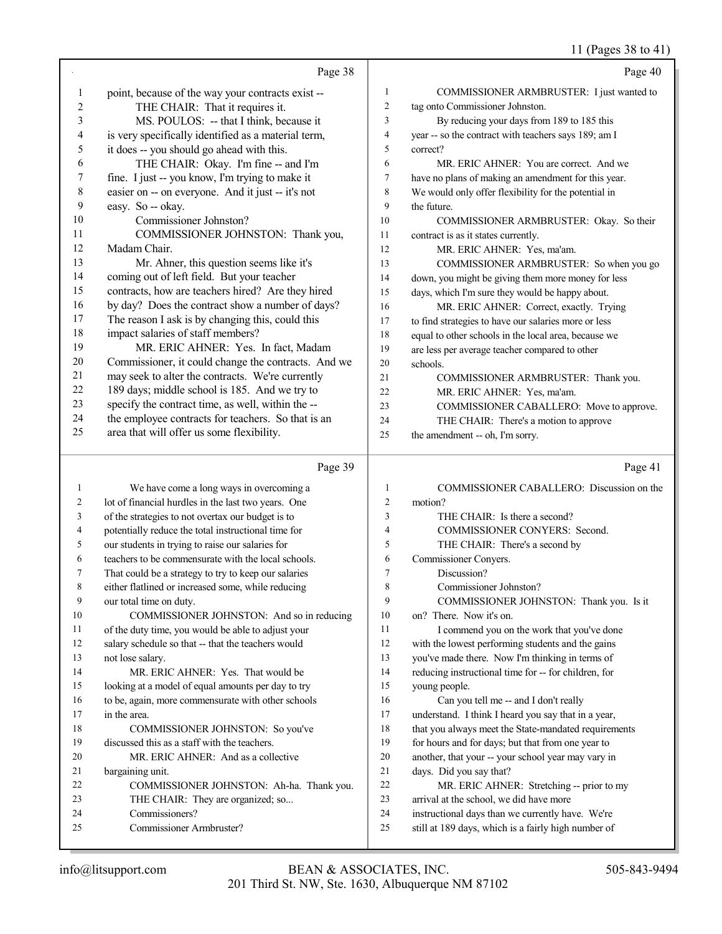## 11 (Pages 38 to 41)

|              | Page 38                                                                                                  |                | Page 40                                                                                                     |
|--------------|----------------------------------------------------------------------------------------------------------|----------------|-------------------------------------------------------------------------------------------------------------|
| 1            | point, because of the way your contracts exist --                                                        | 1              | COMMISSIONER ARMBRUSTER: I just wanted to                                                                   |
| 2            | THE CHAIR: That it requires it.                                                                          | $\overline{2}$ | tag onto Commissioner Johnston.                                                                             |
| 3            | MS. POULOS: -- that I think, because it                                                                  | 3              | By reducing your days from 189 to 185 this                                                                  |
| 4            | is very specifically identified as a material term,                                                      | 4              | year -- so the contract with teachers says 189; am I                                                        |
| 5            | it does -- you should go ahead with this.                                                                | 5              | correct?                                                                                                    |
| 6            | THE CHAIR: Okay. I'm fine -- and I'm                                                                     | 6              | MR. ERIC AHNER: You are correct. And we                                                                     |
| 7            | fine. I just -- you know, I'm trying to make it                                                          | 7              | have no plans of making an amendment for this year.                                                         |
| 8            | easier on -- on everyone. And it just -- it's not                                                        | 8              | We would only offer flexibility for the potential in                                                        |
| 9            | easy. So -- okay.                                                                                        | 9              | the future.                                                                                                 |
| 10           | Commissioner Johnston?                                                                                   | 10             | COMMISSIONER ARMBRUSTER: Okay. So their                                                                     |
| 11           | COMMISSIONER JOHNSTON: Thank you,                                                                        | 11             | contract is as it states currently.                                                                         |
| 12           | Madam Chair.                                                                                             | 12             | MR. ERIC AHNER: Yes, ma'am.                                                                                 |
| 13           | Mr. Ahner, this question seems like it's                                                                 | 13             | COMMISSIONER ARMBRUSTER: So when you go                                                                     |
| 14           | coming out of left field. But your teacher                                                               | 14             | down, you might be giving them more money for less                                                          |
| 15           | contracts, how are teachers hired? Are they hired                                                        | 15             | days, which I'm sure they would be happy about.                                                             |
| 16           | by day? Does the contract show a number of days?                                                         | 16             | MR. ERIC AHNER: Correct, exactly. Trying                                                                    |
| 17           | The reason I ask is by changing this, could this                                                         | 17             | to find strategies to have our salaries more or less                                                        |
| 18           | impact salaries of staff members?                                                                        | 18             | equal to other schools in the local area, because we                                                        |
| 19           | MR. ERIC AHNER: Yes. In fact, Madam                                                                      | 19             | are less per average teacher compared to other                                                              |
| $20\,$       | Commissioner, it could change the contracts. And we                                                      | 20             | schools.                                                                                                    |
| 21<br>22     | may seek to alter the contracts. We're currently                                                         | 21             | COMMISSIONER ARMBRUSTER: Thank you.                                                                         |
| 23           | 189 days; middle school is 185. And we try to<br>specify the contract time, as well, within the --       | 22             | MR. ERIC AHNER: Yes, ma'am.                                                                                 |
| 24           | the employee contracts for teachers. So that is an                                                       | 23<br>24       | COMMISSIONER CABALLERO: Move to approve.                                                                    |
| 25           | area that will offer us some flexibility.                                                                | 25             | THE CHAIR: There's a motion to approve<br>the amendment -- oh, I'm sorry.                                   |
|              |                                                                                                          |                |                                                                                                             |
|              | Page 39                                                                                                  |                | Page 41                                                                                                     |
|              |                                                                                                          |                |                                                                                                             |
| $\mathbf{1}$ | We have come a long ways in overcoming a                                                                 | 1              | COMMISSIONER CABALLERO: Discussion on the                                                                   |
| 2            | lot of financial hurdles in the last two years. One                                                      | $\overline{c}$ | motion?                                                                                                     |
| 3            | of the strategies to not overtax our budget is to                                                        | 3              | THE CHAIR: Is there a second?                                                                               |
| 4            | potentially reduce the total instructional time for                                                      | $\overline{4}$ | COMMISSIONER CONYERS: Second.                                                                               |
| 5            | our students in trying to raise our salaries for                                                         | 5              | THE CHAIR: There's a second by                                                                              |
| 6            | teachers to be commensurate with the local schools.                                                      | 6              | Commissioner Conyers.                                                                                       |
| 7            | That could be a strategy to try to keep our salaries                                                     | $\tau$         | Discussion?                                                                                                 |
| 8            | either flatlined or increased some, while reducing                                                       | 8              | Commissioner Johnston?                                                                                      |
| 9            | our total time on duty.                                                                                  | 9              | COMMISSIONER JOHNSTON: Thank you. Is it                                                                     |
| 10           | COMMISSIONER JOHNSTON: And so in reducing                                                                | 10             | on? There. Now it's on.                                                                                     |
| 11           | of the duty time, you would be able to adjust your                                                       | 11             | I commend you on the work that you've done                                                                  |
| 12           | salary schedule so that -- that the teachers would                                                       | 12             | with the lowest performing students and the gains                                                           |
| 13           | not lose salary.                                                                                         | 13<br>14       | you've made there. Now I'm thinking in terms of                                                             |
| 14<br>15     | MR. ERIC AHNER: Yes. That would be                                                                       | 15             | reducing instructional time for -- for children, for                                                        |
| 16           | looking at a model of equal amounts per day to try<br>to be, again, more commensurate with other schools | 16             | young people.                                                                                               |
| 17           | in the area.                                                                                             | 17             | Can you tell me -- and I don't really                                                                       |
| 18           | COMMISSIONER JOHNSTON: So you've                                                                         | 18             | understand. I think I heard you say that in a year,<br>that you always meet the State-mandated requirements |
| 19           | discussed this as a staff with the teachers.                                                             | 19             | for hours and for days; but that from one year to                                                           |
| 20           | MR. ERIC AHNER: And as a collective                                                                      | 20             | another, that your -- your school year may vary in                                                          |
| 21           | bargaining unit.                                                                                         | 21             | days. Did you say that?                                                                                     |
| 22           | COMMISSIONER JOHNSTON: Ah-ha. Thank you.                                                                 | 22             | MR. ERIC AHNER: Stretching -- prior to my                                                                   |
| 23           | THE CHAIR: They are organized; so                                                                        | 23             | arrival at the school, we did have more                                                                     |
| 24<br>25     | Commissioners?<br>Commissioner Armbruster?                                                               | 24<br>25       | instructional days than we currently have. We're<br>still at 189 days, which is a fairly high number of     |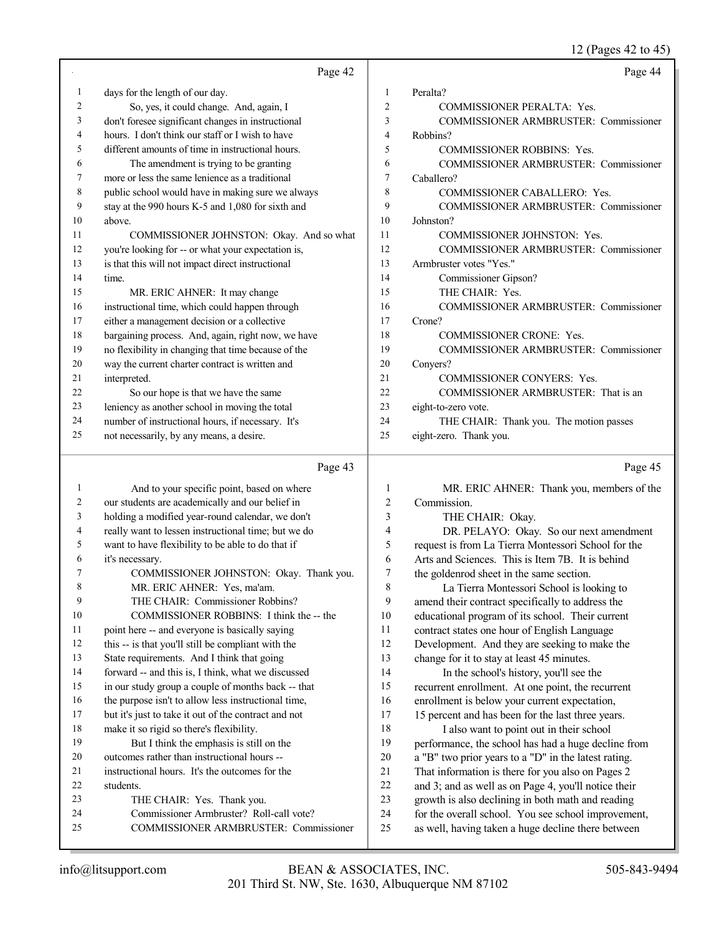12 (Pages 42 to 45)

|              | Page 42                                              |                | Page 44                                              |
|--------------|------------------------------------------------------|----------------|------------------------------------------------------|
| $\mathbf{1}$ | days for the length of our day.                      | 1              | Peralta?                                             |
| 2            | So, yes, it could change. And, again, I              | $\overline{2}$ | COMMISSIONER PERALTA: Yes.                           |
| 3            | don't foresee significant changes in instructional   | 3              | COMMISSIONER ARMBRUSTER: Commissioner                |
| 4            | hours. I don't think our staff or I wish to have     | $\overline{4}$ | Robbins?                                             |
| 5            | different amounts of time in instructional hours.    | 5              | <b>COMMISSIONER ROBBINS: Yes.</b>                    |
| 6            | The amendment is trying to be granting               | 6              | COMMISSIONER ARMBRUSTER: Commissioner                |
| 7            | more or less the same lenience as a traditional      | 7              | Caballero?                                           |
| 8            | public school would have in making sure we always    | 8              | COMMISSIONER CABALLERO: Yes.                         |
| 9            | stay at the 990 hours K-5 and 1,080 for sixth and    | 9              | COMMISSIONER ARMBRUSTER: Commissioner                |
| 10           | above.                                               | 10             | Johnston?                                            |
| 11           | COMMISSIONER JOHNSTON: Okay. And so what             | 11             | COMMISSIONER JOHNSTON: Yes.                          |
| 12           | you're looking for -- or what your expectation is,   | 12             | COMMISSIONER ARMBRUSTER: Commissioner                |
| 13           | is that this will not impact direct instructional    | 13             | Armbruster votes "Yes."                              |
| 14           | time.                                                | 14             | Commissioner Gipson?                                 |
| 15           | MR. ERIC AHNER: It may change                        | 15             | THE CHAIR: Yes.                                      |
| 16           | instructional time, which could happen through       | 16             | COMMISSIONER ARMBRUSTER: Commissioner                |
| 17           | either a management decision or a collective         | 17             | Crone?                                               |
| 18           | bargaining process. And, again, right now, we have   | 18             | COMMISSIONER CRONE: Yes.                             |
| 19           | no flexibility in changing that time because of the  | 19             | COMMISSIONER ARMBRUSTER: Commissioner                |
| 20           | way the current charter contract is written and      | 20             | Conyers?                                             |
| 21           | interpreted.                                         | 21             | COMMISSIONER CONYERS: Yes.                           |
| 22           | So our hope is that we have the same                 | 22             | COMMISSIONER ARMBRUSTER: That is an                  |
| 23           | leniency as another school in moving the total       | 23             | eight-to-zero vote.                                  |
| 24           | number of instructional hours, if necessary. It's    | 24             | THE CHAIR: Thank you. The motion passes              |
| 25           | not necessarily, by any means, a desire.             | 25             | eight-zero. Thank you.                               |
|              |                                                      |                |                                                      |
|              | Page 43                                              |                | Page 45                                              |
| 1            | And to your specific point, based on where           | $\mathbf{1}$   | MR. ERIC AHNER: Thank you, members of the            |
| 2            | our students are academically and our belief in      | $\overline{2}$ | Commission.                                          |
| 3            | holding a modified year-round calendar, we don't     | 3              | THE CHAIR: Okay.                                     |
| 4            | really want to lessen instructional time; but we do  | $\overline{4}$ | DR. PELAYO: Okay. So our next amendment              |
| 5            | want to have flexibility to be able to do that if    | 5              | request is from La Tierra Montessori School for the  |
| 6            | it's necessary.                                      | 6              | Arts and Sciences. This is Item 7B. It is behind     |
| 7            | COMMISSIONER JOHNSTON: Okay. Thank you.              | 7              | the goldenrod sheet in the same section.             |
| 8            | MR. ERIC AHNER: Yes, ma'am.                          | 8              | La Tierra Montessori School is looking to            |
| 9            | THE CHAIR: Commissioner Robbins?                     | 9              | amend their contract specifically to address the     |
| 10           | COMMISSIONER ROBBINS: I think the -- the             | 10             | educational program of its school. Their current     |
| 11           | point here -- and everyone is basically saying       | 11             | contract states one hour of English Language         |
| 12           | this -- is that you'll still be compliant with the   | 12             | Development. And they are seeking to make the        |
| 13           | State requirements. And I think that going           | 13             | change for it to stay at least 45 minutes.           |
| 14           | forward -- and this is, I think, what we discussed   | 14             | In the school's history, you'll see the              |
| 15           | in our study group a couple of months back -- that   | 15             | recurrent enrollment. At one point, the recurrent    |
| 16           | the purpose isn't to allow less instructional time,  | 16             | enrollment is below your current expectation,        |
| 17           | but it's just to take it out of the contract and not | 17             | 15 percent and has been for the last three years.    |
| 18           | make it so rigid so there's flexibility.             | 18             | I also want to point out in their school             |
| 19           | But I think the emphasis is still on the             | 19             | performance, the school has had a huge decline from  |
| 20           | outcomes rather than instructional hours --          | $20\,$         | a "B" two prior years to a "D" in the latest rating. |
| 21           | instructional hours. It's the outcomes for the       | 21             | That information is there for you also on Pages 2    |
| 22<br>23     | students.                                            | 22<br>23       | and 3; and as well as on Page 4, you'll notice their |
|              | THE CHAIR: Yes. Thank you.                           |                | growth is also declining in both math and reading    |

- students.
- THE CHAIR: Yes. Thank you.
- Commissioner Armbruster? Roll-call vote? COMMISSIONER ARMBRUSTER: Commissioner

growth is also declining in both math and reading for the overall school. You see school improvement, as well, having taken a huge decline there between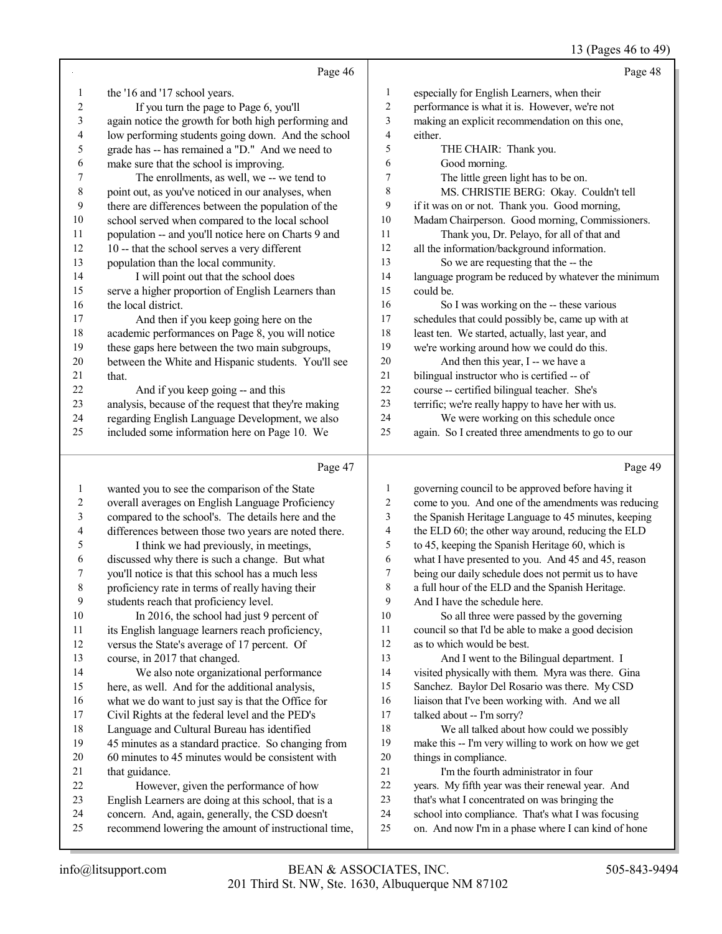#### 13 (Pages 46 to 49)

|              | Page 46                                              |                         | Page 48                                               |
|--------------|------------------------------------------------------|-------------------------|-------------------------------------------------------|
| 1            | the '16 and '17 school years.                        | 1                       | especially for English Learners, when their           |
| 2            | If you turn the page to Page 6, you'll               | 2                       | performance is what it is. However, we're not         |
| 3            | again notice the growth for both high performing and | 3                       | making an explicit recommendation on this one,        |
| 4            | low performing students going down. And the school   | 4                       | either.                                               |
| 5            |                                                      | 5                       |                                                       |
|              | grade has -- has remained a "D." And we need to      | 6                       | THE CHAIR: Thank you.                                 |
| 6            | make sure that the school is improving.              | 7                       | Good morning.<br>The little green light has to be on. |
| 7<br>8       | The enrollments, as well, we -- we tend to           | 8                       | MS. CHRISTIE BERG: Okay. Couldn't tell                |
|              | point out, as you've noticed in our analyses, when   |                         |                                                       |
| 9            | there are differences between the population of the  | 9                       | if it was on or not. Thank you. Good morning,         |
| 10           | school served when compared to the local school      | $10\,$                  | Madam Chairperson. Good morning, Commissioners.       |
| 11           | population -- and you'll notice here on Charts 9 and | 11                      | Thank you, Dr. Pelayo, for all of that and            |
| 12           | 10 -- that the school serves a very different        | 12                      | all the information/background information.           |
| 13           | population than the local community.                 | 13                      | So we are requesting that the -- the                  |
| 14           | I will point out that the school does                | 14                      | language program be reduced by whatever the minimum   |
| 15           | serve a higher proportion of English Learners than   | 15                      | could be.                                             |
| 16           | the local district.                                  | 16                      | So I was working on the -- these various              |
| 17           | And then if you keep going here on the               | 17                      | schedules that could possibly be, came up with at     |
| 18           | academic performances on Page 8, you will notice     | 18                      | least ten. We started, actually, last year, and       |
| 19           | these gaps here between the two main subgroups,      | 19                      | we're working around how we could do this.            |
| 20           | between the White and Hispanic students. You'll see  | $20\,$                  | And then this year, I -- we have a                    |
| 21           | that.                                                | $21\,$                  | bilingual instructor who is certified -- of           |
| $22\,$       | And if you keep going -- and this                    | 22                      | course -- certified bilingual teacher. She's          |
| 23           | analysis, because of the request that they're making | 23                      | terrific; we're really happy to have her with us.     |
| 24           | regarding English Language Development, we also      | 24                      | We were working on this schedule once                 |
| 25           | included some information here on Page 10. We        | 25                      | again. So I created three amendments to go to our     |
|              | Page 47                                              |                         | Page 49                                               |
| $\mathbf{1}$ | wanted you to see the comparison of the State        | 1                       | governing council to be approved before having it     |
| 2            | overall averages on English Language Proficiency     | $\overline{\mathbf{c}}$ | come to you. And one of the amendments was reducing   |
| 3            | compared to the school's. The details here and the   | 3                       | the Spanish Heritage Language to 45 minutes, keeping  |
| 4            | differences between those two years are noted there. | 4                       | the ELD 60; the other way around, reducing the ELD    |
| 5            | I think we had previously, in meetings,              | 5                       | to 45, keeping the Spanish Heritage 60, which is      |
| 6            | discussed why there is such a change. But what       | 6                       | what I have presented to you. And 45 and 45, reason   |
| 7            | you'll notice is that this school has a much less    | 7                       | being our daily schedule does not permit us to have   |
| 8            | proficiency rate in terms of really having their     | 8                       | a full hour of the ELD and the Spanish Heritage.      |
| 9            | students reach that proficiency level.               | 9                       | And I have the schedule here.                         |
| $10\,$       | In 2016, the school had just 9 percent of            | 10                      | So all three were passed by the governing             |
| 11           | its English language learners reach proficiency,     | 11                      | council so that I'd be able to make a good decision   |
| 12           | versus the State's average of 17 percent. Of         | 12                      | as to which would be best.                            |
| 13           | course, in 2017 that changed.                        | 13                      | And I went to the Bilingual department. I             |
| 14           | We also note organizational performance              | 14                      | visited physically with them. Myra was there. Gina    |
| 15           | here, as well. And for the additional analysis,      | 15                      | Sanchez. Baylor Del Rosario was there. My CSD         |
| 16           | what we do want to just say is that the Office for   | 16                      | liaison that I've been working with. And we all       |
| 17           | Civil Rights at the federal level and the PED's      | 17                      | talked about -- I'm sorry?                            |
| 18           | Language and Cultural Bureau has identified          | 18                      | We all talked about how could we possibly             |
| 19           | 45 minutes as a standard practice. So changing from  | 19                      | make this -- I'm very willing to work on how we get   |
| 20           | 60 minutes to 45 minutes would be consistent with    | 20                      | things in compliance.                                 |
|              |                                                      |                         |                                                       |
| 21           | that guidance.                                       | 21                      | I'm the fourth administrator in four                  |
| $22\,$       | However, given the performance of how                | $22\,$                  | years. My fifth year was their renewal year. And      |
| 23           | English Learners are doing at this school, that is a | 23                      | that's what I concentrated on was bringing the        |

recommend lowering the amount of instructional time,

on. And now I'm in a phase where I can kind of hone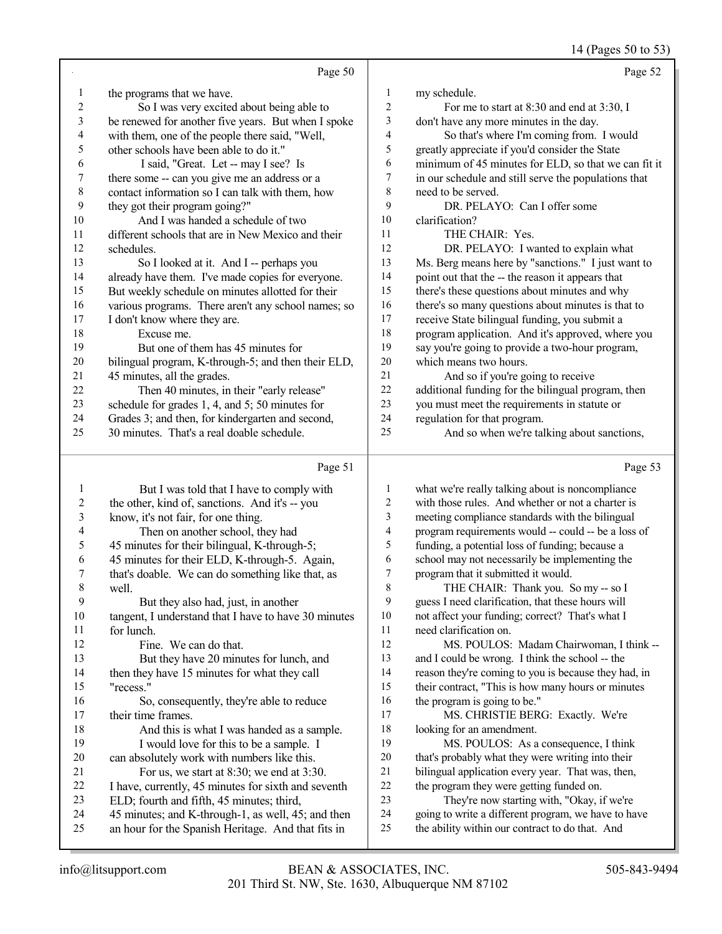14 (Pages 50 to 53)

|    |                                                     |                | $1 + \frac{1}{2}$ uses you $\frac{1}{2}$             |
|----|-----------------------------------------------------|----------------|------------------------------------------------------|
|    | Page 50                                             |                | Page 52                                              |
| 1  | the programs that we have.                          | 1              | my schedule.                                         |
| 2  | So I was very excited about being able to           | $\overline{c}$ | For me to start at 8:30 and end at 3:30, I           |
| 3  | be renewed for another five years. But when I spoke | 3              | don't have any more minutes in the day.              |
| 4  | with them, one of the people there said, "Well,     | 4              | So that's where I'm coming from. I would             |
| 5  | other schools have been able to do it."             | 5              | greatly appreciate if you'd consider the State       |
| 6  | I said, "Great. Let -- may I see? Is                | 6              | minimum of 45 minutes for ELD, so that we can fit it |
| 7  | there some -- can you give me an address or a       | 7              | in our schedule and still serve the populations that |
| 8  | contact information so I can talk with them, how    | 8              | need to be served.                                   |
| 9  | they got their program going?"                      | 9              | DR. PELAYO: Can I offer some                         |
| 10 | And I was handed a schedule of two                  | 10             | clarification?                                       |
| 11 | different schools that are in New Mexico and their  | 11             | THE CHAIR: Yes.                                      |
| 12 | schedules.                                          | 12             | DR. PELAYO: I wanted to explain what                 |
| 13 | So I looked at it. And I -- perhaps you             | 13             | Ms. Berg means here by "sanctions." I just want to   |
| 14 | already have them. I've made copies for everyone.   | 14             | point out that the -- the reason it appears that     |
| 15 | But weekly schedule on minutes allotted for their   | 15             | there's these questions about minutes and why        |
| 16 | various programs. There aren't any school names; so | 16             | there's so many questions about minutes is that to   |
| 17 | I don't know where they are.                        | 17             | receive State bilingual funding, you submit a        |
| 18 | Excuse me.                                          | 18             | program application. And it's approved, where you    |
| 19 | But one of them has 45 minutes for                  | 19             | say you're going to provide a two-hour program,      |
| 20 | bilingual program, K-through-5; and then their ELD, | 20             | which means two hours.                               |
| 21 | 45 minutes, all the grades.                         | 21             | And so if you're going to receive                    |
| 22 | Then 40 minutes, in their "early release"           | 22             | additional funding for the bilingual program, then   |
| 23 | schedule for grades 1, 4, and 5; 50 minutes for     | 23             | you must meet the requirements in statute or         |
| 24 | Grades 3; and then, for kindergarten and second,    | 24             | regulation for that program.                         |
| 25 | 30 minutes. That's a real doable schedule.          | 25             | And so when we're talking about sanctions,           |
|    | Page 51                                             |                | Page 53                                              |

## Page 51 |

|    | But I was told that I have to comply with            | 1  | what we're really talking about is noncompliance     |
|----|------------------------------------------------------|----|------------------------------------------------------|
| 2  | the other, kind of, sanctions. And it's -- you       | 2  | with those rules. And whether or not a charter is    |
| 3  | know, it's not fair, for one thing.                  | 3  | meeting compliance standards with the bilingual      |
| 4  | Then on another school, they had                     | 4  | program requirements would -- could -- be a loss of  |
| 5  | 45 minutes for their bilingual, K-through-5;         | 5  | funding, a potential loss of funding; because a      |
| 6  | 45 minutes for their ELD, K-through-5. Again,        | 6  | school may not necessarily be implementing the       |
| 7  | that's doable. We can do something like that, as     | 7  | program that it submitted it would.                  |
| 8  | well.                                                | 8  | THE CHAIR: Thank you. So my -- so I                  |
| 9  | But they also had, just, in another                  | 9  | guess I need clarification, that these hours will    |
| 10 | tangent, I understand that I have to have 30 minutes | 10 | not affect your funding; correct? That's what I      |
| 11 | for lunch.                                           | 11 | need clarification on.                               |
| 12 | Fine. We can do that.                                | 12 | MS. POULOS: Madam Chairwoman, I think --             |
| 13 | But they have 20 minutes for lunch, and              | 13 | and I could be wrong. I think the school -- the      |
| 14 | then they have 15 minutes for what they call         | 14 | reason they're coming to you is because they had, in |
| 15 | "recess."                                            | 15 | their contract, "This is how many hours or minutes   |
| 16 | So, consequently, they're able to reduce             | 16 | the program is going to be."                         |
| 17 | their time frames.                                   | 17 | MS. CHRISTIE BERG: Exactly. We're                    |
| 18 | And this is what I was handed as a sample.           | 18 | looking for an amendment.                            |
| 19 | I would love for this to be a sample. I              | 19 | MS. POULOS: As a consequence, I think                |
| 20 | can absolutely work with numbers like this.          | 20 | that's probably what they were writing into their    |
| 21 | For us, we start at 8:30; we end at 3:30.            | 21 | bilingual application every year. That was, then,    |
| 22 | I have, currently, 45 minutes for sixth and seventh  | 22 | the program they were getting funded on.             |
| 23 | ELD; fourth and fifth, 45 minutes; third,            | 23 | They're now starting with, "Okay, if we're           |
| 24 | 45 minutes; and K-through-1, as well, 45; and then   | 24 | going to write a different program, we have to have  |
| 25 | an hour for the Spanish Heritage. And that fits in   | 25 | the ability within our contract to do that. And      |
|    |                                                      |    |                                                      |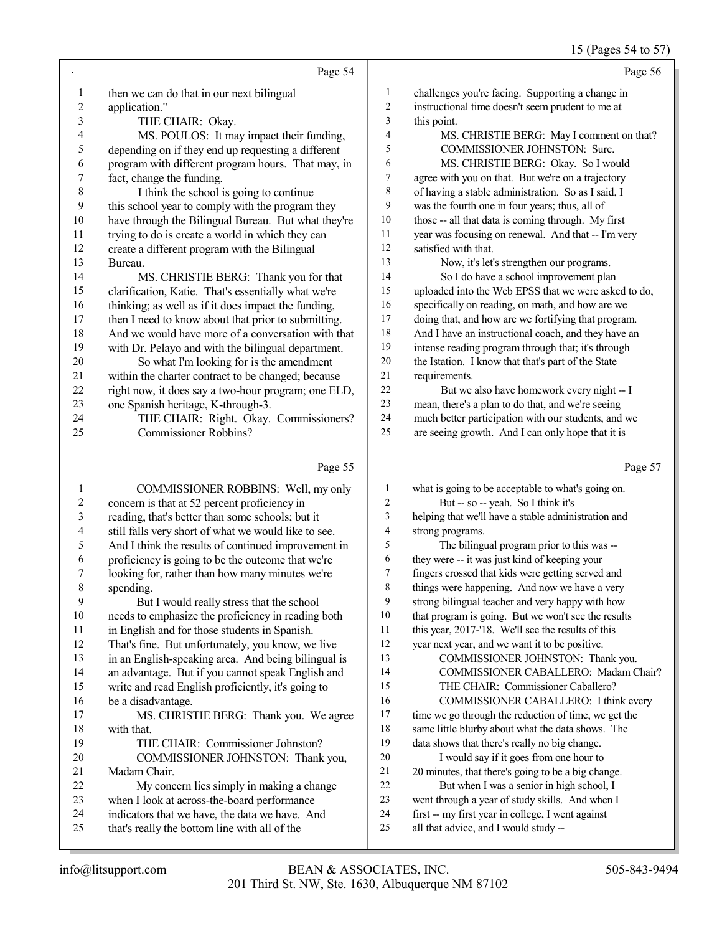## 15 (Pages 54 to 57)

|                | Page 54                                                                                         |                | Page 56                                                                                                   |
|----------------|-------------------------------------------------------------------------------------------------|----------------|-----------------------------------------------------------------------------------------------------------|
| $\mathbf{1}$   | then we can do that in our next bilingual                                                       | $\mathbf{1}$   | challenges you're facing. Supporting a change in                                                          |
| $\overline{c}$ | application."                                                                                   | $\overline{2}$ | instructional time doesn't seem prudent to me at                                                          |
| 3              | THE CHAIR: Okay.                                                                                | 3              | this point.                                                                                               |
| 4              | MS. POULOS: It may impact their funding,                                                        | $\overline{4}$ | MS. CHRISTIE BERG: May I comment on that?                                                                 |
| 5              | depending on if they end up requesting a different                                              | 5              | COMMISSIONER JOHNSTON: Sure.                                                                              |
| 6              | program with different program hours. That may, in                                              | 6              | MS. CHRISTIE BERG: Okay. So I would                                                                       |
| 7              | fact, change the funding.                                                                       | 7              | agree with you on that. But we're on a trajectory                                                         |
| $\,$ 8 $\,$    | I think the school is going to continue                                                         | $\,8\,$        | of having a stable administration. So as I said, I                                                        |
| 9              | this school year to comply with the program they                                                | 9              | was the fourth one in four years; thus, all of                                                            |
| 10             | have through the Bilingual Bureau. But what they're                                             | 10             | those -- all that data is coming through. My first                                                        |
| 11             | trying to do is create a world in which they can                                                | 11             | year was focusing on renewal. And that -- I'm very                                                        |
| 12             | create a different program with the Bilingual                                                   | 12             | satisfied with that.                                                                                      |
| 13             | Bureau.                                                                                         | 13             | Now, it's let's strengthen our programs.                                                                  |
| 14             | MS. CHRISTIE BERG: Thank you for that                                                           | 14             | So I do have a school improvement plan                                                                    |
| 15             | clarification, Katie. That's essentially what we're                                             | 15             | uploaded into the Web EPSS that we were asked to do,                                                      |
| 16             | thinking; as well as if it does impact the funding,                                             | 16             | specifically on reading, on math, and how are we                                                          |
| 17             | then I need to know about that prior to submitting.                                             | 17             | doing that, and how are we fortifying that program.                                                       |
| 18             | And we would have more of a conversation with that                                              | 18             | And I have an instructional coach, and they have an                                                       |
| 19             | with Dr. Pelayo and with the bilingual department.                                              | 19<br>$20\,$   | intense reading program through that; it's through                                                        |
| 20<br>21       | So what I'm looking for is the amendment<br>within the charter contract to be changed; because  | $21\,$         | the Istation. I know that that's part of the State<br>requirements.                                       |
| 22             | right now, it does say a two-hour program; one ELD,                                             | $22\,$         | But we also have homework every night -- I                                                                |
| 23             | one Spanish heritage, K-through-3.                                                              | 23             | mean, there's a plan to do that, and we're seeing                                                         |
| 24             | THE CHAIR: Right. Okay. Commissioners?                                                          | 24             | much better participation with our students, and we                                                       |
| 25             | <b>Commissioner Robbins?</b>                                                                    | 25             | are seeing growth. And I can only hope that it is                                                         |
|                |                                                                                                 |                |                                                                                                           |
|                |                                                                                                 |                |                                                                                                           |
|                | Page 55                                                                                         |                | Page 57                                                                                                   |
| $\mathbf{1}$   | COMMISSIONER ROBBINS: Well, my only                                                             | $\mathbf{1}$   | what is going to be acceptable to what's going on.                                                        |
| $\overline{c}$ | concern is that at 52 percent proficiency in                                                    | $\sqrt{2}$     | But -- so -- yeah. So I think it's                                                                        |
| 3              | reading, that's better than some schools; but it                                                | $\mathfrak{Z}$ | helping that we'll have a stable administration and                                                       |
| 4              | still falls very short of what we would like to see.                                            | $\overline{4}$ | strong programs.                                                                                          |
| 5              | And I think the results of continued improvement in                                             | 5              | The bilingual program prior to this was --                                                                |
| 6              | proficiency is going to be the outcome that we're                                               | 6              | they were -- it was just kind of keeping your                                                             |
| 7              | looking for, rather than how many minutes we're                                                 | $\tau$         | fingers crossed that kids were getting served and                                                         |
| 8              | spending.                                                                                       | $\,$ 8 $\,$    | things were happening. And now we have a very                                                             |
| 9              | But I would really stress that the school                                                       | 9              | strong bilingual teacher and very happy with how                                                          |
| 10             | needs to emphasize the proficiency in reading both                                              | 10             | that program is going. But we won't see the results                                                       |
| 11             | in English and for those students in Spanish.                                                   | 11             | this year, 2017-'18. We'll see the results of this                                                        |
| 12             | That's fine. But unfortunately, you know, we live                                               | 12             | year next year, and we want it to be positive.                                                            |
| 13             | in an English-speaking area. And being bilingual is                                             | 13             | COMMISSIONER JOHNSTON: Thank you.                                                                         |
| 14             | an advantage. But if you cannot speak English and                                               | 14<br>15       | COMMISSIONER CABALLERO: Madam Chair?                                                                      |
| 15<br>16       | write and read English proficiently, it's going to                                              | 16             | THE CHAIR: Commissioner Caballero?                                                                        |
| 17             | be a disadvantage.                                                                              | 17             | COMMISSIONER CABALLERO: I think every                                                                     |
| 18             | MS. CHRISTIE BERG: Thank you. We agree<br>with that.                                            | 18             | time we go through the reduction of time, we get the<br>same little blurby about what the data shows. The |
| 19             | THE CHAIR: Commissioner Johnston?                                                               | 19             | data shows that there's really no big change.                                                             |
| 20             | COMMISSIONER JOHNSTON: Thank you,                                                               | 20             | I would say if it goes from one hour to                                                                   |
| 21             | Madam Chair.                                                                                    | 21             | 20 minutes, that there's going to be a big change.                                                        |
| 22             | My concern lies simply in making a change                                                       | 22             | But when I was a senior in high school, I                                                                 |
| 23             | when I look at across-the-board performance                                                     | 23             | went through a year of study skills. And when I                                                           |
| 24<br>25       | indicators that we have, the data we have. And<br>that's really the bottom line with all of the | 24<br>25       | first -- my first year in college, I went against<br>all that advice, and I would study --                |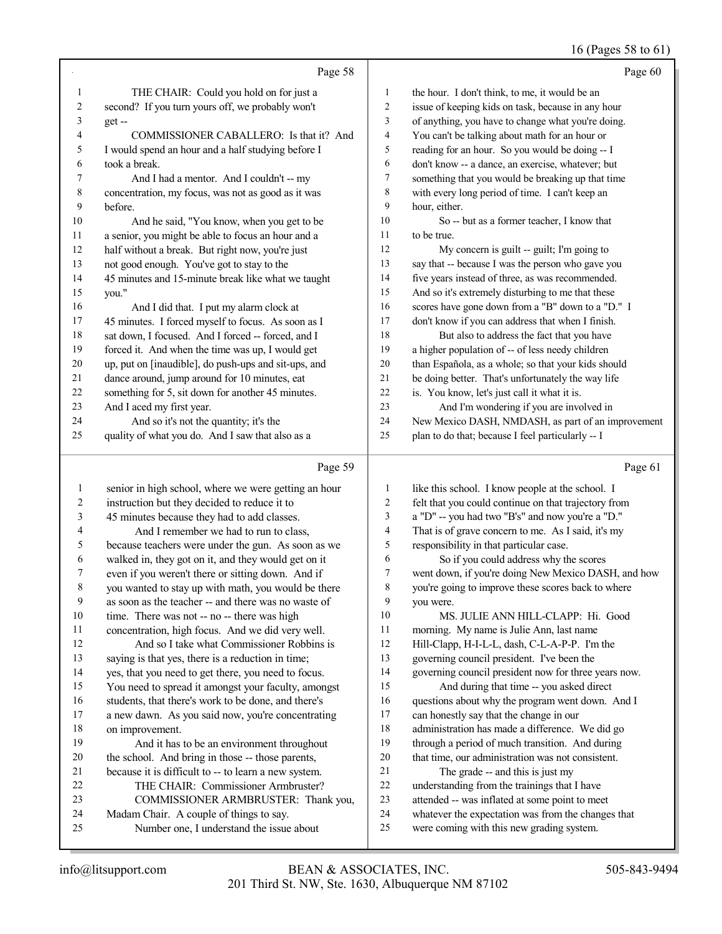## 16 (Pages 58 to 61)

|                | Page 58                                              |                         | Page 60                                              |
|----------------|------------------------------------------------------|-------------------------|------------------------------------------------------|
| 1              | THE CHAIR: Could you hold on for just a              | 1                       | the hour. I don't think, to me, it would be an       |
| $\overline{c}$ | second? If you turn yours off, we probably won't     | $\overline{c}$          | issue of keeping kids on task, because in any hour   |
| 3              | $get -$                                              | $\overline{\mathbf{3}}$ | of anything, you have to change what you're doing.   |
| 4              | COMMISSIONER CABALLERO: Is that it? And              | $\overline{\mathbf{4}}$ | You can't be talking about math for an hour or       |
| 5              | I would spend an hour and a half studying before I   | 5                       | reading for an hour. So you would be doing -- I      |
| 6              | took a break.                                        | 6                       | don't know -- a dance, an exercise, whatever; but    |
| 7              | And I had a mentor. And I couldn't -- my             | $\boldsymbol{7}$        | something that you would be breaking up that time    |
| $\,$ 8 $\,$    | concentration, my focus, was not as good as it was   | $\,$ 8 $\,$             | with every long period of time. I can't keep an      |
| 9              | before.                                              | 9                       | hour, either.                                        |
| 10             | And he said, "You know, when you get to be           | 10                      | So -- but as a former teacher, I know that           |
| 11             | a senior, you might be able to focus an hour and a   | 11                      | to be true.                                          |
| 12             | half without a break. But right now, you're just     | 12                      | My concern is guilt -- guilt; I'm going to           |
| 13             | not good enough. You've got to stay to the           | 13                      | say that -- because I was the person who gave you    |
| 14             | 45 minutes and 15-minute break like what we taught   | 14                      | five years instead of three, as was recommended.     |
| 15             | you."                                                | 15                      | And so it's extremely disturbing to me that these    |
| 16             | And I did that. I put my alarm clock at              | 16                      | scores have gone down from a "B" down to a "D." I    |
| 17             | 45 minutes. I forced myself to focus. As soon as I   | 17                      | don't know if you can address that when I finish.    |
| 18             | sat down, I focused. And I forced -- forced, and I   | 18                      | But also to address the fact that you have           |
| 19             | forced it. And when the time was up, I would get     | 19                      | a higher population of -- of less needy children     |
| 20             | up, put on [inaudible], do push-ups and sit-ups, and | 20                      | than Española, as a whole; so that your kids should  |
| 21             | dance around, jump around for 10 minutes, eat        | 21                      | be doing better. That's unfortunately the way life   |
| 22             | something for 5, sit down for another 45 minutes.    | 22                      | is. You know, let's just call it what it is.         |
| 23             | And I aced my first year.                            | 23                      | And I'm wondering if you are involved in             |
| 24             | And so it's not the quantity; it's the               | 24                      | New Mexico DASH, NMDASH, as part of an improvement   |
| 25             | quality of what you do. And I saw that also as a     | 25                      | plan to do that; because I feel particularly -- I    |
|                | Page 59                                              |                         | Page 61                                              |
| 1              | senior in high school, where we were getting an hour | $\mathbf{1}$            | like this school. I know people at the school. I     |
| 2              | instruction but they decided to reduce it to         | $\overline{2}$          | felt that you could continue on that trajectory from |
| 3              | 45 minutes because they had to add classes.          | 3                       | a "D" -- you had two "B's" and now you're a "D."     |
| 4              | And I remember we had to run to class,               | 4                       | That is of grave concern to me. As I said, it's my   |
| 5              | because teachers were under the gun. As soon as we   | 5                       | responsibility in that particular case.              |
| 6              | walked in, they got on it, and they would get on it  | 6                       | So if you could address why the scores               |
| 7              | even if you weren't there or sitting down. And if    | 7                       | went down, if you're doing New Mexico DASH, and how  |
| 8              | you wanted to stay up with math, you would be there  | 8                       | you're going to improve these scores back to where   |
|                |                                                      |                         |                                                      |

| 1              | senior in high school, where we were getting an hour | 1      | like this school. I know people at the school. I     |
|----------------|------------------------------------------------------|--------|------------------------------------------------------|
| 2              | instruction but they decided to reduce it to         | 2      | felt that you could continue on that trajectory from |
| 3              | 45 minutes because they had to add classes.          | 3      | a "D" -- you had two "B's" and now you're a "D."     |
| $\overline{4}$ | And I remember we had to run to class,               | 4      | That is of grave concern to me. As I said, it's my   |
| 5              | because teachers were under the gun. As soon as we   | 5      | responsibility in that particular case.              |
| 6              | walked in, they got on it, and they would get on it  | 6      | So if you could address why the scores               |
| 7              | even if you weren't there or sitting down. And if    | $\tau$ | went down, if you're doing New Mexico DASH, and how  |
| $\,8\,$        | you wanted to stay up with math, you would be there  | 8      | you're going to improve these scores back to where   |
| 9              | as soon as the teacher -- and there was no waste of  | 9      | you were.                                            |
| 10             | time. There was not -- no -- there was high          | 10     | MS. JULIE ANN HILL-CLAPP: Hi. Good                   |
| 11             | concentration, high focus. And we did very well.     | 11     | morning. My name is Julie Ann, last name             |
| 12             | And so I take what Commissioner Robbins is           | 12     | Hill-Clapp, H-I-L-L, dash, C-L-A-P-P. I'm the        |
| 13             | saying is that yes, there is a reduction in time;    | 13     | governing council president. I've been the           |
| 14             | yes, that you need to get there, you need to focus.  | 14     | governing council president now for three years now. |
| 15             | You need to spread it amongst your faculty, amongst  | 15     | And during that time -- you asked direct             |
| 16             | students, that there's work to be done, and there's  | 16     | questions about why the program went down. And I     |
| 17             | a new dawn. As you said now, you're concentrating    | 17     | can honestly say that the change in our              |
| 18             | on improvement.                                      | 18     | administration has made a difference. We did go      |
| 19             | And it has to be an environment throughout           | 19     | through a period of much transition. And during      |
| 20             | the school. And bring in those -- those parents,     | 20     | that time, our administration was not consistent.    |
| 21             | because it is difficult to -- to learn a new system. | 21     | The grade -- and this is just my                     |
| 22             | THE CHAIR: Commissioner Armbruster?                  | 22     | understanding from the trainings that I have         |
| 23             | COMMISSIONER ARMBRUSTER: Thank you,                  | 23     | attended -- was inflated at some point to meet       |
| 24             | Madam Chair. A couple of things to say.              | 24     | whatever the expectation was from the changes that   |
| 25             | Number one, I understand the issue about             | 25     | were coming with this new grading system.            |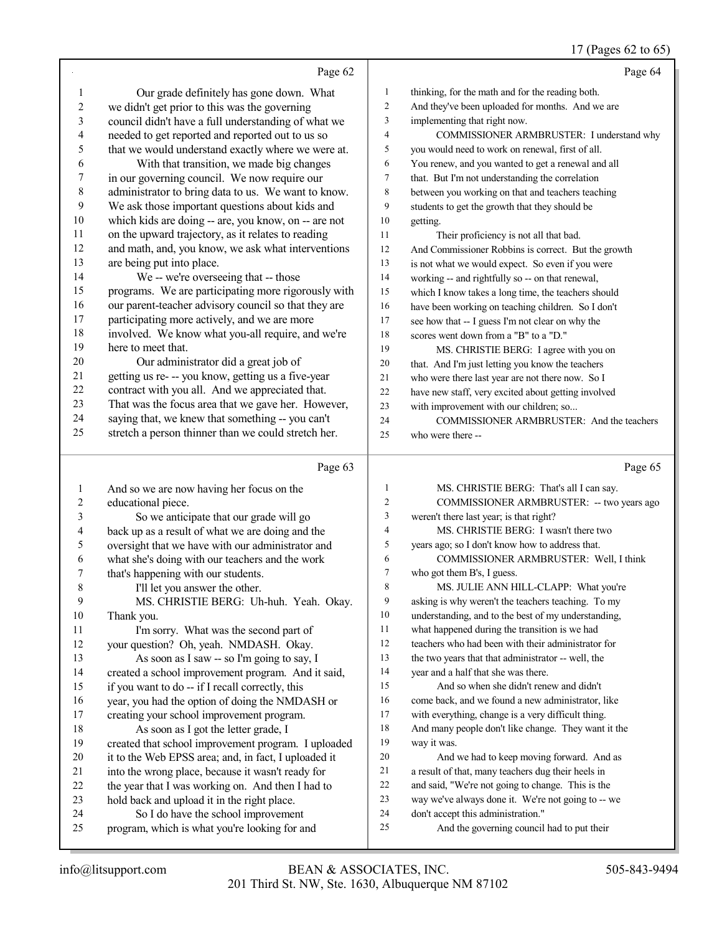### 17 (Pages 62 to 65)

|              | Page 62                                                                                                     |                | Page 64                                                                                              |
|--------------|-------------------------------------------------------------------------------------------------------------|----------------|------------------------------------------------------------------------------------------------------|
|              |                                                                                                             |                |                                                                                                      |
| 1            | Our grade definitely has gone down. What                                                                    | 1              | thinking, for the math and for the reading both.                                                     |
| 2            | we didn't get prior to this was the governing                                                               | $\overline{c}$ | And they've been uploaded for months. And we are                                                     |
| 3            | council didn't have a full understanding of what we                                                         | 3              | implementing that right now.                                                                         |
| 4            | needed to get reported and reported out to us so                                                            | 4              | COMMISSIONER ARMBRUSTER: I understand why                                                            |
| 5            | that we would understand exactly where we were at.                                                          | 5              | you would need to work on renewal, first of all.                                                     |
| 6            | With that transition, we made big changes                                                                   | 6              | You renew, and you wanted to get a renewal and all                                                   |
| 7            | in our governing council. We now require our                                                                | 7              | that. But I'm not understanding the correlation                                                      |
| $\,$ $\,$    | administrator to bring data to us. We want to know.                                                         | 8              | between you working on that and teachers teaching                                                    |
| 9            | We ask those important questions about kids and                                                             | 9              | students to get the growth that they should be                                                       |
| 10           | which kids are doing -- are, you know, on -- are not                                                        | 10             | getting.                                                                                             |
| 11           | on the upward trajectory, as it relates to reading                                                          | 11             | Their proficiency is not all that bad.                                                               |
| 12           | and math, and, you know, we ask what interventions                                                          | 12             | And Commissioner Robbins is correct. But the growth                                                  |
| 13           | are being put into place.                                                                                   | 13             | is not what we would expect. So even if you were                                                     |
| 14<br>15     | We -- we're overseeing that -- those                                                                        | 14<br>15       | working -- and rightfully so -- on that renewal,                                                     |
| 16           | programs. We are participating more rigorously with<br>our parent-teacher advisory council so that they are |                | which I know takes a long time, the teachers should                                                  |
| 17           | participating more actively, and we are more                                                                | 16             | have been working on teaching children. So I don't                                                   |
| 18           | involved. We know what you-all require, and we're                                                           | 17<br>18       | see how that -- I guess I'm not clear on why the                                                     |
| 19           | here to meet that.                                                                                          | 19             | scores went down from a "B" to a "D."                                                                |
| 20           | Our administrator did a great job of                                                                        | 20             | MS. CHRISTIE BERG: I agree with you on                                                               |
| 21           | getting us re- -- you know, getting us a five-year                                                          | 21             | that. And I'm just letting you know the teachers<br>who were there last year are not there now. So I |
| 22           | contract with you all. And we appreciated that.                                                             | 22             | have new staff, very excited about getting involved                                                  |
| 23           | That was the focus area that we gave her. However,                                                          | 23             | with improvement with our children; so                                                               |
| 24           | saying that, we knew that something -- you can't                                                            | 24             | COMMISSIONER ARMBRUSTER: And the teachers                                                            |
| 25           | stretch a person thinner than we could stretch her.                                                         | 25             | who were there --                                                                                    |
|              |                                                                                                             |                |                                                                                                      |
|              |                                                                                                             |                |                                                                                                      |
|              | Page 63                                                                                                     |                | Page 65                                                                                              |
| $\mathbf{1}$ | And so we are now having her focus on the                                                                   | 1              | MS. CHRISTIE BERG: That's all I can say.                                                             |
| 2            | educational piece.                                                                                          | 2              | COMMISSIONER ARMBRUSTER: -- two years ago                                                            |
| 3            | So we anticipate that our grade will go                                                                     | 3              | weren't there last year; is that right?                                                              |
| 4            | back up as a result of what we are doing and the                                                            | 4              | MS. CHRISTIE BERG: I wasn't there two                                                                |
| 5            | oversight that we have with our administrator and                                                           | 5              | years ago; so I don't know how to address that.                                                      |
| 6            | what she's doing with our teachers and the work                                                             | 6              | COMMISSIONER ARMBRUSTER: Well, I think                                                               |
| 7            | that's happening with our students.                                                                         | 7              | who got them B's, I guess.                                                                           |
| 8            | I'll let you answer the other.                                                                              | 8              | MS. JULIE ANN HILL-CLAPP: What you're                                                                |
| 9            | MS. CHRISTIE BERG: Uh-huh. Yeah. Okay.                                                                      | 9              | asking is why weren't the teachers teaching. To my                                                   |
| 10           | Thank you.                                                                                                  | 10             | understanding, and to the best of my understanding,                                                  |
| 11           | I'm sorry. What was the second part of                                                                      | 11             | what happened during the transition is we had                                                        |
| 12           | your question? Oh, yeah. NMDASH. Okay.                                                                      | 12             | teachers who had been with their administrator for                                                   |
| 13           | As soon as I saw -- so I'm going to say, I                                                                  | 13             | the two years that that administrator -- well, the                                                   |
| 14           | created a school improvement program. And it said,                                                          | 14             | year and a half that she was there.                                                                  |
| 15           | if you want to do -- if I recall correctly, this                                                            | 15             | And so when she didn't renew and didn't                                                              |
| 16           | year, you had the option of doing the NMDASH or                                                             | 16             | come back, and we found a new administrator, like                                                    |
| 17           | creating your school improvement program.                                                                   | 17             | with everything, change is a very difficult thing.                                                   |
| 18           | As soon as I got the letter grade, I                                                                        | 18             | And many people don't like change. They want it the                                                  |
| 19           | created that school improvement program. I uploaded                                                         | 19             | way it was.                                                                                          |
| 20           | it to the Web EPSS area; and, in fact, I uploaded it                                                        | $20\,$         | And we had to keep moving forward. And as                                                            |
| 21           | into the wrong place, because it wasn't ready for                                                           | 21             | a result of that, many teachers dug their heels in                                                   |
| 22           | the year that I was working on. And then I had to                                                           | $22\,$         | and said, "We're not going to change. This is the                                                    |
| 23<br>24     | hold back and upload it in the right place.<br>So I do have the school improvement                          | 23<br>24       | way we've always done it. We're not going to -- we<br>don't accept this administration."             |

- 24 don't accept this administration."<br>25 And the governing council
	- And the governing council had to put their

program, which is what you're looking for and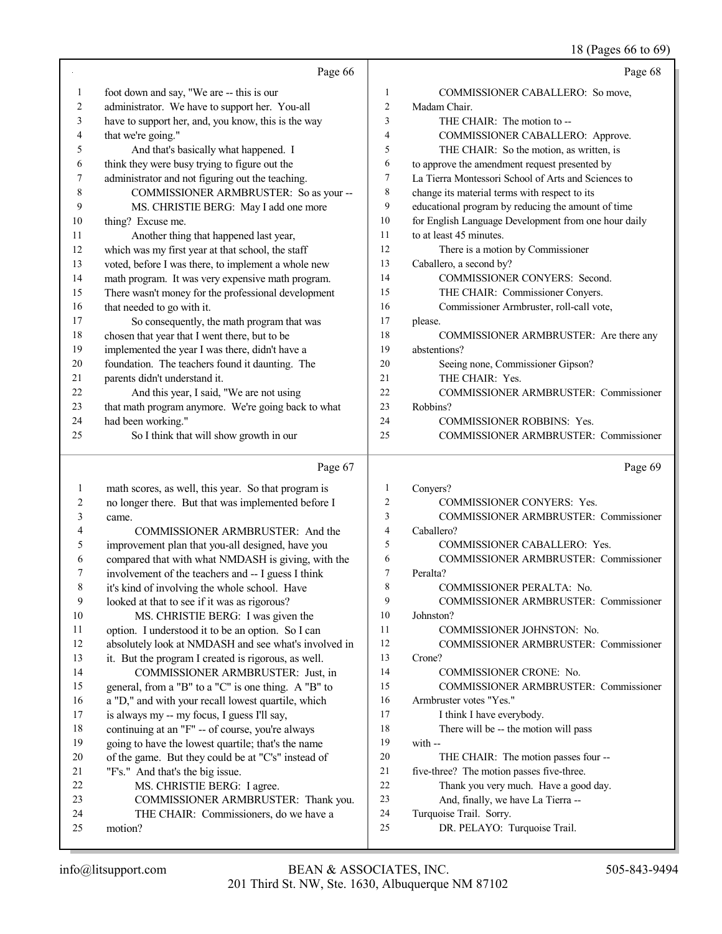18 (Pages 66 to 69)

|                          |                                                      |                | 16 (Pages 00 to 09)                                  |
|--------------------------|------------------------------------------------------|----------------|------------------------------------------------------|
|                          | Page 66                                              |                | Page 68                                              |
| 1                        | foot down and say, "We are -- this is our            | 1              | COMMISSIONER CABALLERO: So move,                     |
| 2                        | administrator. We have to support her. You-all       | $\mathfrak{2}$ | Madam Chair.                                         |
| 3                        | have to support her, and, you know, this is the way  | 3              | THE CHAIR: The motion to --                          |
| $\overline{\mathcal{A}}$ | that we're going."                                   | 4              | COMMISSIONER CABALLERO: Approve.                     |
| 5                        | And that's basically what happened. I                | 5              | THE CHAIR: So the motion, as written, is             |
| 6                        | think they were busy trying to figure out the        | 6              | to approve the amendment request presented by        |
| 7                        | administrator and not figuring out the teaching.     | 7              | La Tierra Montessori School of Arts and Sciences to  |
| 8                        | COMMISSIONER ARMBRUSTER: So as your --               | $\,$ 8 $\,$    | change its material terms with respect to its        |
| 9                        | MS. CHRISTIE BERG: May I add one more                | 9              | educational program by reducing the amount of time   |
| 10                       | thing? Excuse me.                                    | 10             | for English Language Development from one hour daily |
| 11                       | Another thing that happened last year,               | 11             | to at least 45 minutes.                              |
| 12                       | which was my first year at that school, the staff    | 12             | There is a motion by Commissioner                    |
| 13                       | voted, before I was there, to implement a whole new  | 13             | Caballero, a second by?                              |
| 14                       | math program. It was very expensive math program.    | 14             | COMMISSIONER CONYERS: Second.                        |
| 15                       | There wasn't money for the professional development  | 15             | THE CHAIR: Commissioner Conyers.                     |
| 16                       | that needed to go with it.                           | 16             | Commissioner Armbruster, roll-call vote,             |
| 17                       | So consequently, the math program that was           | 17             | please.                                              |
| 18                       | chosen that year that I went there, but to be        | 18             | COMMISSIONER ARMBRUSTER: Are there any               |
| 19                       | implemented the year I was there, didn't have a      | 19             | abstentions?                                         |
| 20                       | foundation. The teachers found it daunting. The      | 20             | Seeing none, Commissioner Gipson?                    |
| 21                       | parents didn't understand it.                        | 21             | THE CHAIR: Yes.                                      |
| 22                       | And this year, I said, "We are not using             | 22             | COMMISSIONER ARMBRUSTER: Commissioner                |
| 23                       | that math program anymore. We're going back to what  | 23             | Robbins?                                             |
| 24                       | had been working."                                   | 24             | COMMISSIONER ROBBINS: Yes.                           |
| 25                       | So I think that will show growth in our              | 25             | COMMISSIONER ARMBRUSTER: Commissioner                |
|                          |                                                      |                |                                                      |
|                          | Page 67                                              |                | Page 69                                              |
| $\mathbf{1}$             | math scores, as well, this year. So that program is  | 1              | Conyers?                                             |
| $\overline{c}$           | no longer there. But that was implemented before I   | $\overline{c}$ | COMMISSIONER CONYERS: Yes.                           |
| 3                        | came.                                                | 3              | COMMISSIONER ARMBRUSTER: Commissioner                |
| 4                        | COMMISSIONER ARMBRUSTER: And the                     | 4              | Caballero?                                           |
| 5                        | improvement plan that you-all designed, have you     | 5              | COMMISSIONER CABALLERO: Yes.                         |
| 6                        | compared that with what NMDASH is giving, with the   | 6              | COMMISSIONER ARMBRUSTER: Commissioner                |
| 7                        | involvement of the teachers and -- I guess I think   | 7              | Peralta?                                             |
| 8                        | it's kind of involving the whole school. Have        | 8              | COMMISSIONER PERALTA: No.                            |
| 9                        | looked at that to see if it was as rigorous?         | 9              | COMMISSIONER ARMBRUSTER: Commissioner                |
| $10\,$                   | MS. CHRISTIE BERG: I was given the                   | 10             | Johnston?                                            |
| 11                       | option. I understood it to be an option. So I can    | 11             | COMMISSIONER JOHNSTON: No.                           |
| 12                       | absolutely look at NMDASH and see what's involved in | 12             | COMMISSIONER ARMBRUSTER: Commissioner                |
| 13                       | it. But the program I created is rigorous, as well.  | 13             | Crone?                                               |
| 14                       | COMMISSIONER ARMBRUSTER: Just, in                    | 14             | COMMISSIONER CRONE: No.                              |
| 15                       | general, from a "B" to a "C" is one thing. A "B" to  | 15             | COMMISSIONER ARMBRUSTER: Commissioner                |
| 16                       | a "D," and with your recall lowest quartile, which   | 16             | Armbruster votes "Yes."                              |
| 17                       | is always my -- my focus, I guess I'll say,          | 17             | I think I have everybody.                            |
| 18                       | continuing at an "F" -- of course, you're always     | 18             | There will be -- the motion will pass                |
| 19                       | going to have the lowest quartile; that's the name   | 19<br>20       | with --                                              |
| 20                       | of the game. But they could be at "C's" instead of   |                | THE CHAIR: The motion passes four --                 |

- THE CHAIR: The motion passes four --
- five-three? The motion passes five-three.
- Thank you very much. Have a good day.
- And, finally, we have La Tierra --
- Turquoise Trail. Sorry.
- DR. PELAYO: Turquoise Trail.

motion?

 "F's." And that's the big issue. 22 MS. CHRISTIE BERG: I agree.

 COMMISSIONER ARMBRUSTER: Thank you. THE CHAIR: Commissioners, do we have a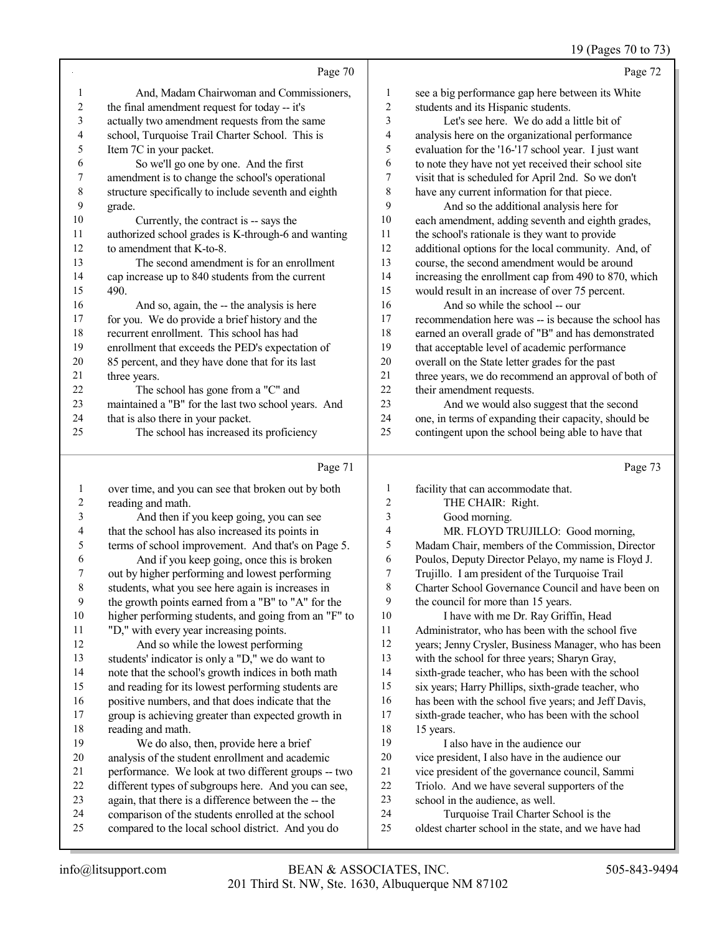## 19 (Pages 70 to 73)

|    | Page 70                                              |                | Page 72                                              |
|----|------------------------------------------------------|----------------|------------------------------------------------------|
|    | And, Madam Chairwoman and Commissioners,             | 1              | see a big performance gap here between its White     |
| 2  | the final amendment request for today -- it's        | $\overline{2}$ | students and its Hispanic students.                  |
| 3  | actually two amendment requests from the same        | 3              | Let's see here. We do add a little bit of            |
| 4  | school, Turquoise Trail Charter School. This is      | 4              | analysis here on the organizational performance      |
| 5  | Item 7C in your packet.                              | 5              | evaluation for the '16-'17 school year. I just want  |
| 6  | So we'll go one by one. And the first                | 6              | to note they have not yet received their school site |
| 7  | amendment is to change the school's operational      | 7              | visit that is scheduled for April 2nd. So we don't   |
| 8  | structure specifically to include seventh and eighth | 8              | have any current information for that piece.         |
| 9  | grade.                                               | 9              | And so the additional analysis here for              |
| 10 | Currently, the contract is -- says the               | 10             | each amendment, adding seventh and eighth grades,    |
| 11 | authorized school grades is K-through-6 and wanting  | 11             | the school's rationale is they want to provide       |
| 12 | to amendment that K-to-8.                            | 12             | additional options for the local community. And, of  |
| 13 | The second amendment is for an enrollment            | 13             | course, the second amendment would be around         |
| 14 | cap increase up to 840 students from the current     | 14             | increasing the enrollment cap from 490 to 870, which |
| 15 | 490.                                                 | 15             | would result in an increase of over 75 percent.      |
| 16 | And so, again, the -- the analysis is here           | 16             | And so while the school -- our                       |
| 17 | for you. We do provide a brief history and the       | 17             | recommendation here was -- is because the school has |
| 18 | recurrent enrollment. This school has had            | 18             | earned an overall grade of "B" and has demonstrated  |
| 19 | enrollment that exceeds the PED's expectation of     | 19             | that acceptable level of academic performance        |
| 20 | 85 percent, and they have done that for its last     | 20             | overall on the State letter grades for the past      |
| 21 | three years.                                         | 21             | three years, we do recommend an approval of both of  |
| 22 | The school has gone from a "C" and                   | 22             | their amendment requests.                            |
| 23 | maintained a "B" for the last two school years. And  | 23             | And we would also suggest that the second            |
| 24 | that is also there in your packet.                   | 24             | one, in terms of expanding their capacity, should be |
| 25 | The school has increased its proficiency             | 25             | contingent upon the school being able to have that   |
|    |                                                      |                |                                                      |

# Page 71

|    | Page 71                                              |                | Page 73                                              |
|----|------------------------------------------------------|----------------|------------------------------------------------------|
| 1  | over time, and you can see that broken out by both   | 1              | facility that can accommodate that.                  |
| 2  | reading and math.                                    | $\overline{c}$ | THE CHAIR: Right.                                    |
| 3  | And then if you keep going, you can see              | 3              | Good morning.                                        |
| 4  | that the school has also increased its points in     | 4              | MR. FLOYD TRUJILLO: Good morning,                    |
| 5  | terms of school improvement. And that's on Page 5.   | 5              | Madam Chair, members of the Commission, Director     |
| 6  | And if you keep going, once this is broken           | 6              | Poulos, Deputy Director Pelayo, my name is Floyd J.  |
| 7  | out by higher performing and lowest performing       | 7              | Trujillo. I am president of the Turquoise Trail      |
| 8  | students, what you see here again is increases in    | 8              | Charter School Governance Council and have been on   |
| 9  | the growth points earned from a "B" to "A" for the   | 9              | the council for more than 15 years.                  |
| 10 | higher performing students, and going from an "F" to | 10             | I have with me Dr. Ray Griffin, Head                 |
| 11 | "D," with every year increasing points.              | 11             | Administrator, who has been with the school five     |
| 12 | And so while the lowest performing                   | 12             | years; Jenny Crysler, Business Manager, who has been |
| 13 | students' indicator is only a "D," we do want to     | 13             | with the school for three years; Sharyn Gray,        |
| 14 | note that the school's growth indices in both math   | 14             | sixth-grade teacher, who has been with the school    |
| 15 | and reading for its lowest performing students are   | 15             | six years; Harry Phillips, sixth-grade teacher, who  |
| 16 | positive numbers, and that does indicate that the    | 16             | has been with the school five years; and Jeff Davis, |
| 17 | group is achieving greater than expected growth in   | 17             | sixth-grade teacher, who has been with the school    |
| 18 | reading and math.                                    | 18             | 15 years.                                            |
| 19 | We do also, then, provide here a brief               | 19             | I also have in the audience our                      |
| 20 | analysis of the student enrollment and academic      | 20             | vice president, I also have in the audience our      |
| 21 | performance. We look at two different groups -- two  | 21             | vice president of the governance council, Sammi      |
| 22 | different types of subgroups here. And you can see,  | 22             | Triolo. And we have several supporters of the        |
| 23 | again, that there is a difference between the -- the | 23             | school in the audience, as well.                     |
| 24 | comparison of the students enrolled at the school    | 24             | Turquoise Trail Charter School is the                |
| 25 | compared to the local school district. And you do    | 25             | oldest charter school in the state, and we have had  |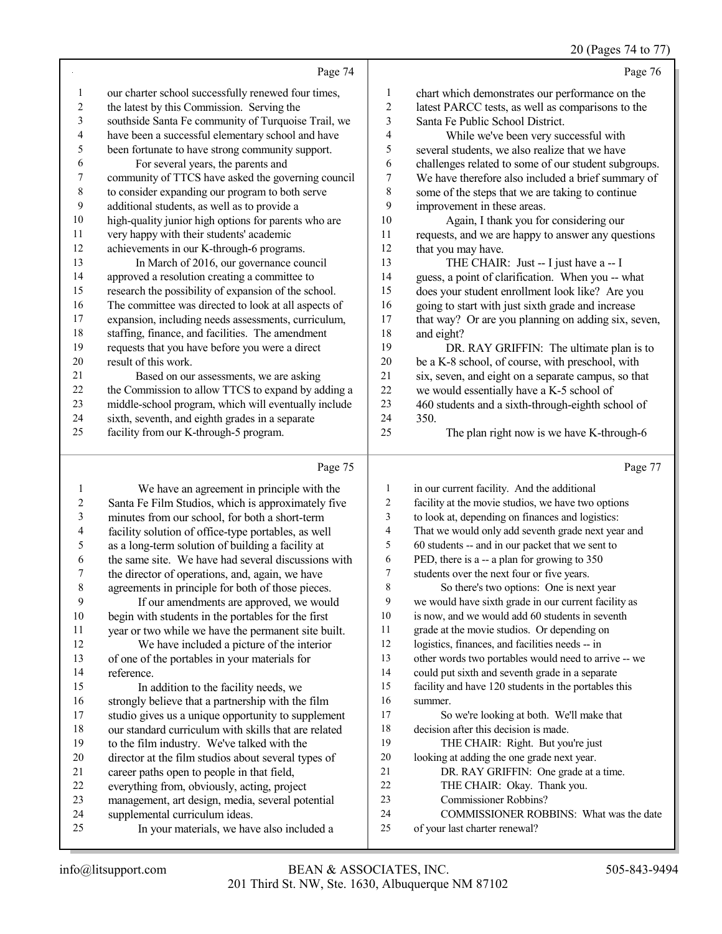#### 20 (Pages 74 to 77)

Page 74 our charter school successfully renewed four times, 2 the latest by this Commission. Serving the southside Santa Fe community of Turquoise Trail, we have been a successful elementary school and have been fortunate to have strong community support. For several years, the parents and community of TTCS have asked the governing council to consider expanding our program to both serve additional students, as well as to provide a high-quality junior high options for parents who are very happy with their students' academic achievements in our K-through-6 programs. 13 In March of 2016, our governance council approved a resolution creating a committee to research the possibility of expansion of the school. The committee was directed to look at all aspects of expansion, including needs assessments, curriculum, staffing, finance, and facilities. The amendment requests that you have before you were a direct result of this work. Based on our assessments, we are asking 22 the Commission to allow TTCS to expand by adding a middle-school program, which will eventually include sixth, seventh, and eighth grades in a separate facility from our K-through-5 program. Page 76 1 chart which demonstrates our performance on the<br>2 latest PARCC tests as well as comparisons to the 2 latest PARCC tests, as well as comparisons to the<br>3 Santa Fe Public School District. Santa Fe Public School District. 4 While we've been very successful with<br>5 several students, we also realize that we have 5 several students, we also realize that we have<br>6 challenges related to some of our student subs 6 challenges related to some of our student subgroups.<br>
7 We have therefore also included a brief summary of 7 We have therefore also included a brief summary of<br>8 some of the steps that we are taking to continue some of the steps that we are taking to continue 9 improvement in these areas.<br>10 Again. I thank you for Again, I thank you for considering our 11 requests, and we are happy to answer any questions<br>12 that you may have. 12 that you may have.<br>13 THE CHAIR THE CHAIR: Just  $-$  I just have a  $-$  I 14 guess, a point of clarification. When you -- what<br>15 does your student enrollment look like? Are you 15 does your student enrollment look like? Are you<br>16 going to start with just sixth grade and increase 16 going to start with just sixth grade and increase<br>17 that way? Or are you planning on adding six. so that way? Or are you planning on adding six, seven, 18 and eight?<br>19 DR DR. RAY GRIFFIN: The ultimate plan is to 20 be a K-8 school, of course, with preschool, with<br>21 six, seven, and eight on a separate campus, so the 21 six, seven, and eight on a separate campus, so that we would essentially have a K-5 school of 22 we would essentially have a K-5 school of 460 students and a sixth-through-eighth scl 23 students and a sixth-through-eighth school of  $24$  350 350. The plan right now is we have K-through-6

#### Page 75

|    | We have an agreement in principle with the           | 1  | in our current facility. And the additional          |
|----|------------------------------------------------------|----|------------------------------------------------------|
| 2  | Santa Fe Film Studios, which is approximately five   | 2  | facility at the movie studios, we have two options   |
| 3  | minutes from our school, for both a short-term       | 3  | to look at, depending on finances and logistics:     |
| 4  | facility solution of office-type portables, as well  | 4  | That we would only add seventh grade next year and   |
| 5  | as a long-term solution of building a facility at    | 5  | 60 students -- and in our packet that we sent to     |
| 6  | the same site. We have had several discussions with  | 6  | PED, there is a -- a plan for growing to 350         |
| 7  | the director of operations, and, again, we have      | 7  | students over the next four or five years.           |
| 8  | agreements in principle for both of those pieces.    | 8  | So there's two options: One is next year             |
| 9  | If our amendments are approved, we would             | 9  | we would have sixth grade in our current facility as |
| 10 | begin with students in the portables for the first   | 10 | is now, and we would add 60 students in seventh      |
| 11 | year or two while we have the permanent site built.  | 11 | grade at the movie studios. Or depending on          |
| 12 | We have included a picture of the interior           | 12 | logistics, finances, and facilities needs -- in      |
| 13 | of one of the portables in your materials for        | 13 | other words two portables would need to arrive -- we |
| 14 | reference.                                           | 14 | could put sixth and seventh grade in a separate      |
| 15 | In addition to the facility needs, we                | 15 | facility and have 120 students in the portables this |
| 16 | strongly believe that a partnership with the film    | 16 | summer.                                              |
| 17 | studio gives us a unique opportunity to supplement   | 17 | So we're looking at both. We'll make that            |
| 18 | our standard curriculum with skills that are related | 18 | decision after this decision is made.                |
| 19 | to the film industry. We've talked with the          | 19 | THE CHAIR: Right. But you're just                    |
| 20 | director at the film studios about several types of  | 20 | looking at adding the one grade next year.           |
| 21 | career paths open to people in that field,           | 21 | DR. RAY GRIFFIN: One grade at a time.                |
| 22 | everything from, obviously, acting, project          | 22 | THE CHAIR: Okay. Thank you.                          |
| 23 | management, art design, media, several potential     | 23 | Commissioner Robbins?                                |
| 24 | supplemental curriculum ideas.                       | 24 | COMMISSIONER ROBBINS: What was the date              |
| 25 | In your materials, we have also included a           | 25 | of your last charter renewal?                        |
|    |                                                      |    |                                                      |

Page 77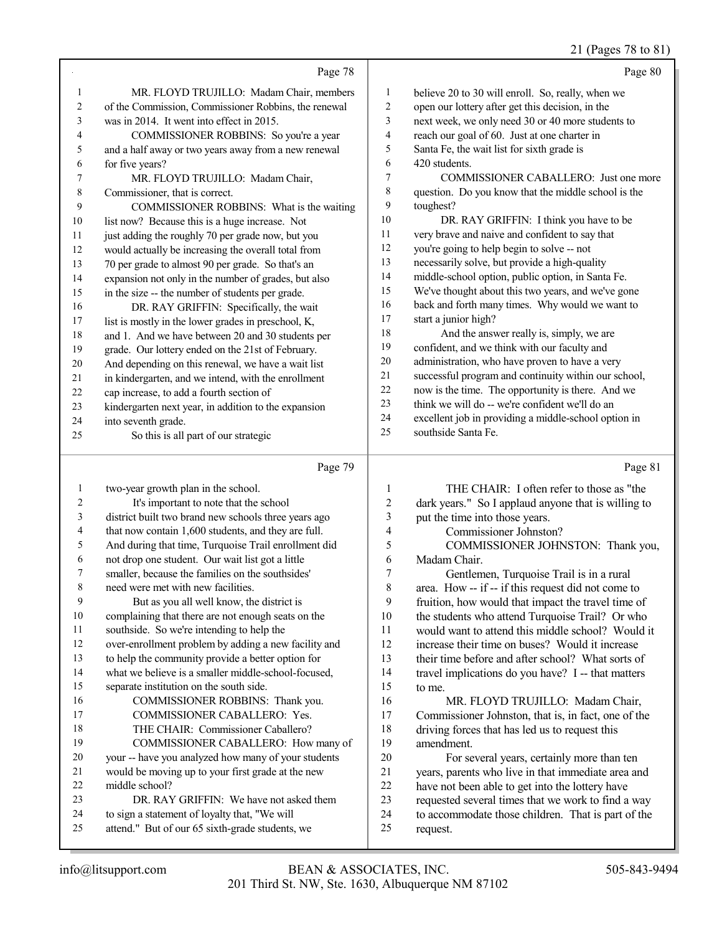#### 21 (Pages 78 to 81)

|              | Page 78                                              |                | Page 80                                              |
|--------------|------------------------------------------------------|----------------|------------------------------------------------------|
| $\mathbf{1}$ | MR. FLOYD TRUJILLO: Madam Chair, members             | $\mathbf{1}$   | believe 20 to 30 will enroll. So, really, when we    |
| 2            | of the Commission, Commissioner Robbins, the renewal | $\overline{2}$ | open our lottery after get this decision, in the     |
| 3            | was in 2014. It went into effect in 2015.            | 3              | next week, we only need 30 or 40 more students to    |
| 4            | COMMISSIONER ROBBINS: So you're a year               | $\overline{4}$ | reach our goal of 60. Just at one charter in         |
| 5            | and a half away or two years away from a new renewal | 5              | Santa Fe, the wait list for sixth grade is           |
| 6            | for five years?                                      | 6              | 420 students.                                        |
| $\tau$       | MR. FLOYD TRUJILLO: Madam Chair,                     | 7              | COMMISSIONER CABALLERO: Just one more                |
| 8            | Commissioner, that is correct.                       | 8              | question. Do you know that the middle school is the  |
| 9            | COMMISSIONER ROBBINS: What is the waiting            | 9              | toughest?                                            |
| 10           | list now? Because this is a huge increase. Not       | 10             | DR. RAY GRIFFIN: I think you have to be              |
| 11           | just adding the roughly 70 per grade now, but you    | 11             | very brave and naive and confident to say that       |
| 12           | would actually be increasing the overall total from  | 12             | you're going to help begin to solve -- not           |
| 13           | 70 per grade to almost 90 per grade. So that's an    | 13             | necessarily solve, but provide a high-quality        |
| 14           | expansion not only in the number of grades, but also | 14             | middle-school option, public option, in Santa Fe.    |
| 15           | in the size -- the number of students per grade.     | 15             | We've thought about this two years, and we've gone   |
| 16           | DR. RAY GRIFFIN: Specifically, the wait              | 16             | back and forth many times. Why would we want to      |
| 17           | list is mostly in the lower grades in preschool, K,  | 17             | start a junior high?                                 |
| 18           | and 1. And we have between 20 and 30 students per    | 18             | And the answer really is, simply, we are             |
| 19           | grade. Our lottery ended on the 21st of February.    | 19             | confident, and we think with our faculty and         |
| 20           | And depending on this renewal, we have a wait list   | 20             | administration, who have proven to have a very       |
| 21           | in kindergarten, and we intend, with the enrollment  | 21             | successful program and continuity within our school, |
| 22           | cap increase, to add a fourth section of             | 22             | now is the time. The opportunity is there. And we    |
| 23           | kindergarten next year, in addition to the expansion | 23             | think we will do -- we're confident we'll do an      |
| 24           | into seventh grade.                                  | 24             | excellent job in providing a middle-school option in |
| 25           | So this is all part of our strategic                 | 25             | southside Santa Fe.                                  |
|              |                                                      |                |                                                      |

#### Page 79

 two-year growth plan in the school. It's important to note that the school district built two brand new schools three years ago that now contain 1,600 students, and they are full. And during that time, Turquoise Trail enrollment did not drop one student. Our wait list got a little smaller, because the families on the southsides' need were met with new facilities. But as you all well know, the district is complaining that there are not enough seats on the southside. So we're intending to help the over-enrollment problem by adding a new facility and to help the community provide a better option for what we believe is a smaller middle-school-focused, separate institution on the south side. COMMISSIONER ROBBINS: Thank you. COMMISSIONER CABALLERO: Yes. THE CHAIR: Commissioner Caballero? COMMISSIONER CABALLERO: How many of your -- have you analyzed how many of your students would be moving up to your first grade at the new middle school? 23 DR. RAY GRIFFIN: We have not asked them to sign a statement of loyalty that, "We will attend." But of our 65 sixth-grade students, we Page 81 1 THE CHAIR: I often refer to those as "the<br>2 dark years " So Lapplaud anyone that is willing to 2 dark years." So I applaud anyone that is willing to<br>3 nut the time into those years put the time into those years. 4 Commissioner Johnston?<br>5 COMMISSIONER JOHN 5 COMMISSIONER JOHNSTON: Thank you,<br>6 Madam Chair. Madam Chair. 7 Gentlemen, Turquoise Trail is in a rural<br>8 area How -- if -- if this request did not come t area. How -- if -- if this request did not come to 9 fruition, how would that impact the travel time of<br>10 the students who attend Turquoise Trail? Or who 10 the students who attend Turquoise Trail? Or who<br>11 would want to attend this middle school? Would i 11 would want to attend this middle school? Would it<br>12 increase their time on buses? Would it increase increase their time on buses? Would it increase their time before and after school? What sorts of travel implications do you have? I -- that matters to me. 16 MR. FLOYD TRUJILLO: Madam Chair,<br>17 Commissioner Johnston that is in fact one of th Commissioner Johnston, that is, in fact, one of the 18 driving forces that has led us to request this<br>19 amendment amendment. 20 For several years, certainly more than ten<br>21 vears, parents who live in that immediate area are 21 years, parents who live in that immediate area and<br>22 have not been able to get into the lottery have 22 have not been able to get into the lottery have<br>23 requested several times that we work to find a 23 requested several times that we work to find a way<br>24 to accommodate those children. That is part of the 24 to accommodate those children. That is part of the request request.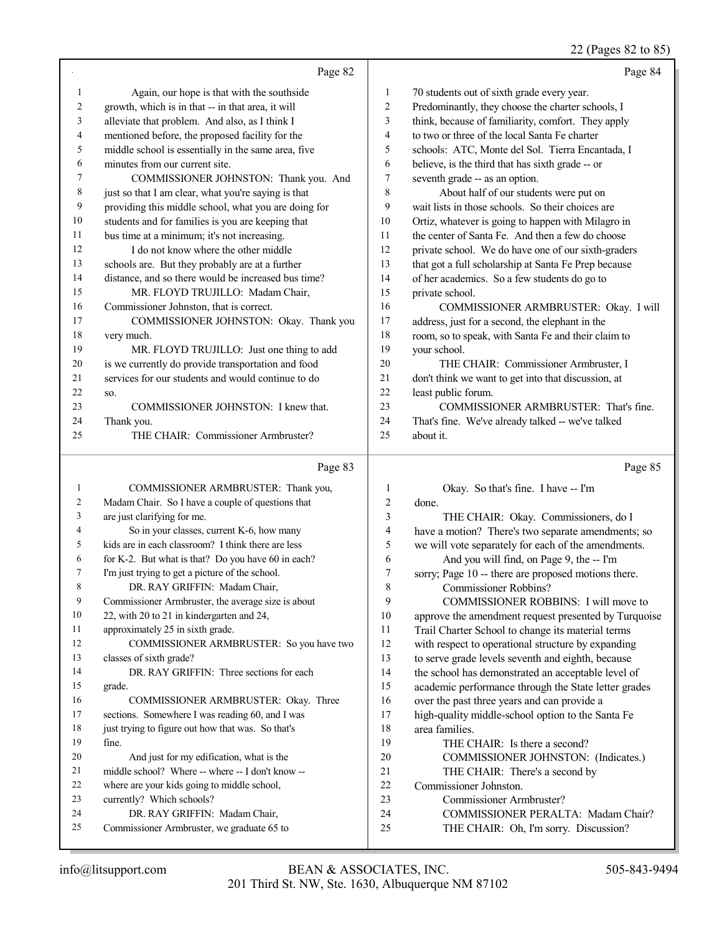## 22 (Pages 82 to 85)

|                   | Page 82                                                                     |                         | Page 84                                                                                         |
|-------------------|-----------------------------------------------------------------------------|-------------------------|-------------------------------------------------------------------------------------------------|
| 1                 | Again, our hope is that with the southside                                  | 1                       | 70 students out of sixth grade every year.                                                      |
| 2                 | growth, which is in that -- in that area, it will                           | 2                       | Predominantly, they choose the charter schools, I                                               |
| 3                 | alleviate that problem. And also, as I think I                              | 3                       | think, because of familiarity, comfort. They apply                                              |
| 4                 | mentioned before, the proposed facility for the                             | 4                       | to two or three of the local Santa Fe charter                                                   |
| 5                 | middle school is essentially in the same area, five                         | 5                       | schools: ATC, Monte del Sol. Tierra Encantada, I                                                |
| 6                 | minutes from our current site.                                              | 6                       | believe, is the third that has sixth grade -- or                                                |
| 7                 | COMMISSIONER JOHNSTON: Thank you. And                                       | $\tau$                  | seventh grade -- as an option.                                                                  |
| 8                 | just so that I am clear, what you're saying is that                         | 8                       | About half of our students were put on                                                          |
| 9                 | providing this middle school, what you are doing for                        | 9                       | wait lists in those schools. So their choices are                                               |
| 10                | students and for families is you are keeping that                           | 10                      | Ortiz, whatever is going to happen with Milagro in                                              |
| 11                | bus time at a minimum; it's not increasing.                                 | 11                      | the center of Santa Fe. And then a few do choose                                                |
| 12                | I do not know where the other middle                                        | 12                      | private school. We do have one of our sixth-graders                                             |
| 13                | schools are. But they probably are at a further                             | 13                      | that got a full scholarship at Santa Fe Prep because                                            |
| 14                | distance, and so there would be increased bus time?                         | 14                      | of her academics. So a few students do go to                                                    |
| 15                | MR. FLOYD TRUJILLO: Madam Chair,                                            | 15                      | private school.                                                                                 |
| 16                | Commissioner Johnston, that is correct.                                     | 16                      | COMMISSIONER ARMBRUSTER: Okay. I will                                                           |
| 17                | COMMISSIONER JOHNSTON: Okay. Thank you                                      | 17                      | address, just for a second, the elephant in the                                                 |
| 18                | very much.                                                                  | 18                      | room, so to speak, with Santa Fe and their claim to                                             |
| 19                | MR. FLOYD TRUJILLO: Just one thing to add                                   | 19                      | your school.                                                                                    |
| 20                | is we currently do provide transportation and food                          | 20                      | THE CHAIR: Commissioner Armbruster, I                                                           |
| 21                | services for our students and would continue to do                          | 21                      | don't think we want to get into that discussion, at                                             |
| 22                | SO.                                                                         | 22                      | least public forum.                                                                             |
| 23                | COMMISSIONER JOHNSTON: I knew that.                                         | 23                      | COMMISSIONER ARMBRUSTER: That's fine.                                                           |
| 24                | Thank you.                                                                  | 24                      | That's fine. We've already talked -- we've talked                                               |
| 25                | THE CHAIR: Commissioner Armbruster?                                         | 25                      | about it.                                                                                       |
|                   |                                                                             |                         |                                                                                                 |
|                   | Page 83                                                                     |                         | Page 85                                                                                         |
|                   |                                                                             |                         |                                                                                                 |
| $\mathbf{1}$<br>2 | COMMISSIONER ARMBRUSTER: Thank you,                                         | $\mathbf{1}$            | Okay. So that's fine. I have -- I'm                                                             |
| 3                 | Madam Chair. So I have a couple of questions that                           | $\sqrt{2}$<br>3         | done.                                                                                           |
| $\overline{4}$    | are just clarifying for me.<br>So in your classes, current K-6, how many    | $\overline{\mathbf{4}}$ | THE CHAIR: Okay. Commissioners, do I                                                            |
| 5                 | kids are in each classroom? I think there are less                          | 5                       | have a motion? There's two separate amendments; so                                              |
| 6                 | for K-2. But what is that? Do you have 60 in each?                          | 6                       | we will vote separately for each of the amendments.                                             |
| 7                 | I'm just trying to get a picture of the school.                             | 7                       | And you will find, on Page 9, the -- I'm<br>sorry; Page 10 -- there are proposed motions there. |
| 8                 | DR. RAY GRIFFIN: Madam Chair,                                               | 8                       | Commissioner Robbins?                                                                           |
| 9                 | Commissioner Armbruster, the average size is about                          | 9                       | COMMISSIONER ROBBINS: I will move to                                                            |
| 10                | 22, with 20 to 21 in kindergarten and 24,                                   | 10                      | approve the amendment request presented by Turquoise                                            |
| 11                | approximately 25 in sixth grade.                                            | 11                      | Trail Charter School to change its material terms                                               |
| 12                | COMMISSIONER ARMBRUSTER: So you have two                                    | 12                      | with respect to operational structure by expanding                                              |
| 13                | classes of sixth grade?                                                     | 13                      | to serve grade levels seventh and eighth, because                                               |
| 14                | DR. RAY GRIFFIN: Three sections for each                                    | 14                      | the school has demonstrated an acceptable level of                                              |
| 15                | grade.                                                                      | 15                      | academic performance through the State letter grades                                            |
| 16                | COMMISSIONER ARMBRUSTER: Okay. Three                                        | 16                      | over the past three years and can provide a                                                     |
| 17                | sections. Somewhere I was reading 60, and I was                             | 17                      | high-quality middle-school option to the Santa Fe                                               |
| 18                | just trying to figure out how that was. So that's                           | 18                      | area families.                                                                                  |
| 19                | fine.                                                                       | 19                      | THE CHAIR: Is there a second?                                                                   |
| 20                | And just for my edification, what is the                                    | 20                      | COMMISSIONER JOHNSTON: (Indicates.)                                                             |
| 21                | middle school? Where -- where -- I don't know --                            | 21                      | THE CHAIR: There's a second by                                                                  |
| 22                | where are your kids going to middle school,                                 | 22                      | Commissioner Johnston.                                                                          |
| 23                | currently? Which schools?                                                   | 23                      | Commissioner Armbruster?                                                                        |
| 24<br>25          | DR. RAY GRIFFIN: Madam Chair,<br>Commissioner Armbruster, we graduate 65 to | 24<br>25                | COMMISSIONER PERALTA: Madam Chair?<br>THE CHAIR: Oh, I'm sorry. Discussion?                     |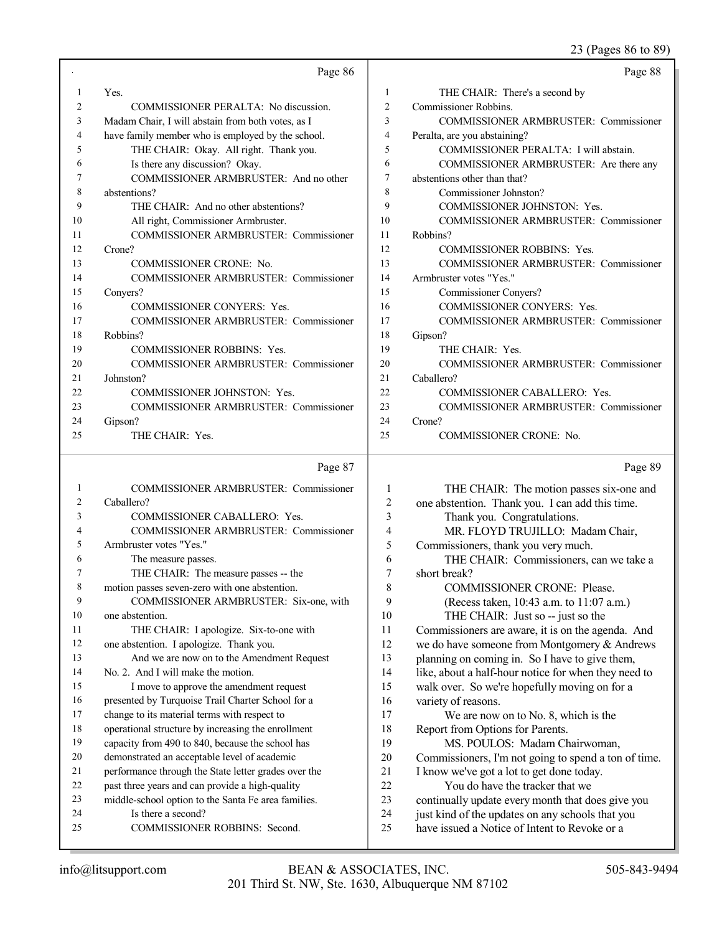23 (Pages 86 to 89)

|                | Page 86                                           |                | Page 88                                         |
|----------------|---------------------------------------------------|----------------|-------------------------------------------------|
| 1              | Yes.                                              | 1              | THE CHAIR: There's a second by                  |
| 2              | COMMISSIONER PERALTA: No discussion.              | $\overline{2}$ | Commissioner Robbins.                           |
| 3              | Madam Chair, I will abstain from both votes, as I | 3              | <b>COMMISSIONER ARMBRUSTER: Commissioner</b>    |
| 4              | have family member who is employed by the school. | 4              | Peralta, are you abstaining?                    |
| 5              | THE CHAIR: Okay. All right. Thank you.            | 5              | COMMISSIONER PERALTA: I will abstain.           |
| 6              | Is there any discussion? Okay.                    | 6              | COMMISSIONER ARMBRUSTER: Are there any          |
| 7              | COMMISSIONER ARMBRUSTER: And no other             | 7              | abstentions other than that?                    |
| 8              | abstentions?                                      | 8              | Commissioner Johnston?                          |
| 9              | THE CHAIR: And no other abstentions?              | 9              | COMMISSIONER JOHNSTON: Yes.                     |
| 10             | All right, Commissioner Armbruster.               | 10             | <b>COMMISSIONER ARMBRUSTER: Commissioner</b>    |
| 11             | <b>COMMISSIONER ARMBRUSTER: Commissioner</b>      | 11             | Robbins?                                        |
| 12             | Crone?                                            | 12             | <b>COMMISSIONER ROBBINS: Yes.</b>               |
| 13             | <b>COMMISSIONER CRONE: No.</b>                    | 13             | <b>COMMISSIONER ARMBRUSTER: Commissioner</b>    |
| 14             | <b>COMMISSIONER ARMBRUSTER: Commissioner</b>      | 14             | Armbruster votes "Yes."                         |
| 15             | Conyers?                                          | 15             | Commissioner Conyers?                           |
| 16             | <b>COMMISSIONER CONYERS: Yes.</b>                 | 16             | <b>COMMISSIONER CONYERS: Yes.</b>               |
| 17             | <b>COMMISSIONER ARMBRUSTER: Commissioner</b>      | 17             | <b>COMMISSIONER ARMBRUSTER: Commissioner</b>    |
| 18             | Robbins?                                          | 18             | Gipson?                                         |
| 19             | <b>COMMISSIONER ROBBINS: Yes.</b>                 | 19             | THE CHAIR: Yes.                                 |
| 20             | <b>COMMISSIONER ARMBRUSTER: Commissioner</b>      | 20             | <b>COMMISSIONER ARMBRUSTER: Commissioner</b>    |
| 21             | Johnston?                                         | 21             | Caballero?                                      |
| 22             | <b>COMMISSIONER JOHNSTON: Yes.</b>                | 22             | <b>COMMISSIONER CABALLERO: Yes.</b>             |
| 23             | <b>COMMISSIONER ARMBRUSTER: Commissioner</b>      | 23             | <b>COMMISSIONER ARMBRUSTER: Commissioner</b>    |
| 24             | Gipson?                                           | 24             | Crone?                                          |
| 25             | THE CHAIR: Yes.                                   | 25             | <b>COMMISSIONER CRONE: No.</b>                  |
|                | Page 87                                           |                | Page 89                                         |
|                | <b>COMMISSIONER ARMBRUSTER: Commissioner</b>      | $\mathbf{1}$   | THE CHAIR: The motion passes six-one and        |
| $\overline{2}$ | Caballero?                                        | $\overline{2}$ | one abstention. Thank you. I can add this time. |

| $\overline{2}$ | Caballero?                                           | $\overline{c}$ | one abstention. Thank you. I can add this time.      |
|----------------|------------------------------------------------------|----------------|------------------------------------------------------|
| 3              | <b>COMMISSIONER CABALLERO: Yes.</b>                  | 3              | Thank you. Congratulations.                          |
| 4              | <b>COMMISSIONER ARMBRUSTER: Commissioner</b>         | 4              | MR. FLOYD TRUJILLO: Madam Chair,                     |
| 5              | Armbruster votes "Yes."                              | 5              | Commissioners, thank you very much.                  |
| 6              | The measure passes.                                  | 6              | THE CHAIR: Commissioners, can we take a              |
| $\tau$         | THE CHAIR: The measure passes -- the                 | 7              | short break?                                         |
| 8              | motion passes seven-zero with one abstention.        | 8              | <b>COMMISSIONER CRONE: Please.</b>                   |
| 9              | COMMISSIONER ARMBRUSTER: Six-one, with               | 9              | (Recess taken, 10:43 a.m. to 11:07 a.m.)             |
| 10             | one abstention.                                      | 10             | THE CHAIR: Just so -- just so the                    |
| 11             | THE CHAIR: I apologize. Six-to-one with              | 11             | Commissioners are aware, it is on the agenda. And    |
| 12             | one abstention. I apologize. Thank you.              | 12             | we do have someone from Montgomery & Andrews         |
| 13             | And we are now on to the Amendment Request           | 13             | planning on coming in. So I have to give them,       |
| 14             | No. 2. And I will make the motion.                   | 14             | like, about a half-hour notice for when they need to |
| 15             | I move to approve the amendment request              | 15             | walk over. So we're hopefully moving on for a        |
| 16             | presented by Turquoise Trail Charter School for a    | 16             | variety of reasons.                                  |
| 17             | change to its material terms with respect to         | 17             | We are now on to No. 8, which is the                 |
| 18             | operational structure by increasing the enrollment   | 18             | Report from Options for Parents.                     |
| 19             | capacity from 490 to 840, because the school has     | 19             | MS. POULOS: Madam Chairwoman,                        |
| 20             | demonstrated an acceptable level of academic         | 20             | Commissioners, I'm not going to spend a ton of time. |
| 21             | performance through the State letter grades over the | 21             | I know we've got a lot to get done today.            |
| 22             | past three years and can provide a high-quality      | 22             | You do have the tracker that we                      |
| 23             | middle-school option to the Santa Fe area families.  | 23             | continually update every month that does give you    |
| 24             | Is there a second?                                   | 24             | just kind of the updates on any schools that you     |
| 25             | <b>COMMISSIONER ROBBINS: Second.</b>                 | 25             | have issued a Notice of Intent to Revoke or a        |
|                |                                                      |                |                                                      |
|                |                                                      |                |                                                      |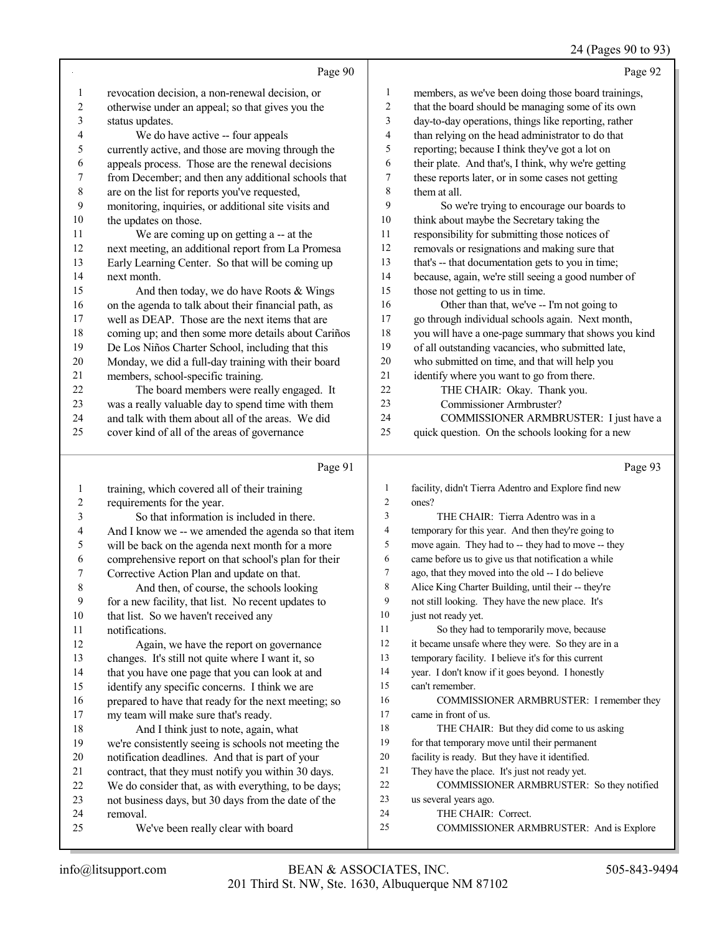## 24 (Pages 90 to 93)

|                | Page 90                                                                                                 |                | Page 92                                                                                          |
|----------------|---------------------------------------------------------------------------------------------------------|----------------|--------------------------------------------------------------------------------------------------|
| $\mathbf{1}$   | revocation decision, a non-renewal decision, or                                                         | 1              | members, as we've been doing those board trainings,                                              |
| $\overline{c}$ | otherwise under an appeal; so that gives you the                                                        | $\sqrt{2}$     | that the board should be managing some of its own                                                |
| 3              | status updates.                                                                                         | 3              | day-to-day operations, things like reporting, rather                                             |
| 4              | We do have active -- four appeals                                                                       | $\overline{4}$ | than relying on the head administrator to do that                                                |
| 5              | currently active, and those are moving through the                                                      | 5              | reporting; because I think they've got a lot on                                                  |
| 6              | appeals process. Those are the renewal decisions                                                        | 6              | their plate. And that's, I think, why we're getting                                              |
| 7              | from December; and then any additional schools that                                                     | 7              | these reports later, or in some cases not getting                                                |
| $\,$ $\,$      | are on the list for reports you've requested,                                                           | $\,8\,$        | them at all.                                                                                     |
| 9              | monitoring, inquiries, or additional site visits and                                                    | 9              | So we're trying to encourage our boards to                                                       |
| 10             | the updates on those.                                                                                   | $10\,$         | think about maybe the Secretary taking the                                                       |
| 11             | We are coming up on getting a -- at the                                                                 | 11             | responsibility for submitting those notices of                                                   |
| 12             | next meeting, an additional report from La Promesa                                                      | 12             | removals or resignations and making sure that                                                    |
| 13             | Early Learning Center. So that will be coming up                                                        | 13             | that's -- that documentation gets to you in time;                                                |
| 14             | next month.                                                                                             | 14             | because, again, we're still seeing a good number of                                              |
| 15             | And then today, we do have Roots & Wings                                                                | 15             | those not getting to us in time.                                                                 |
| 16             | on the agenda to talk about their financial path, as                                                    | 16             | Other than that, we've -- I'm not going to                                                       |
| 17             | well as DEAP. Those are the next items that are                                                         | 17             | go through individual schools again. Next month,                                                 |
| 18             | coming up; and then some more details about Cariños                                                     | 18             | you will have a one-page summary that shows you kind                                             |
| 19             | De Los Niños Charter School, including that this                                                        | 19             | of all outstanding vacancies, who submitted late,                                                |
| $20\,$         | Monday, we did a full-day training with their board                                                     | $20\,$         | who submitted on time, and that will help you                                                    |
| 21             | members, school-specific training.                                                                      | $21\,$         | identify where you want to go from there.                                                        |
| $22\,$         | The board members were really engaged. It                                                               | 22             | THE CHAIR: Okay. Thank you.                                                                      |
| 23             | was a really valuable day to spend time with them                                                       | 23             | Commissioner Armbruster?                                                                         |
| 24             | and talk with them about all of the areas. We did                                                       | 24             | COMMISSIONER ARMBRUSTER: I just have a                                                           |
| 25             | cover kind of all of the areas of governance                                                            | 25             | quick question. On the schools looking for a new                                                 |
|                |                                                                                                         |                |                                                                                                  |
|                | Page 91                                                                                                 |                | Page 93                                                                                          |
| 1              | training, which covered all of their training                                                           | 1              | facility, didn't Tierra Adentro and Explore find new                                             |
| $\overline{c}$ | requirements for the year.                                                                              | 2              | ones?                                                                                            |
| 3              | So that information is included in there.                                                               | 3              | THE CHAIR: Tierra Adentro was in a                                                               |
| 4              | And I know we -- we amended the agenda so that item                                                     | 4              | temporary for this year. And then they're going to                                               |
| 5              | will be back on the agenda next month for a more                                                        | 5              | move again. They had to -- they had to move -- they                                              |
| 6              | comprehensive report on that school's plan for their                                                    | 6              | came before us to give us that notification a while                                              |
| 7              | Corrective Action Plan and update on that.                                                              | 7              | ago, that they moved into the old -- I do believe                                                |
| $\,$ $\,$      | And then, of course, the schools looking                                                                | 8              | Alice King Charter Building, until their -- they're                                              |
| 9              | for a new facility, that list. No recent updates to                                                     | 9              | not still looking. They have the new place. It's                                                 |
| $10\,$         | that list. So we haven't received any                                                                   | 10             | just not ready yet.                                                                              |
| 11             | notifications.                                                                                          | 11             | So they had to temporarily move, because                                                         |
| 12             | Again, we have the report on governance                                                                 | 12             | it became unsafe where they were. So they are in a                                               |
| 13             | changes. It's still not quite where I want it, so                                                       | 13             | temporary facility. I believe it's for this current                                              |
| 14             | that you have one page that you can look at and                                                         | 14             | year. I don't know if it goes beyond. I honestly                                                 |
| 15             | identify any specific concerns. I think we are                                                          | 15             | can't remember.                                                                                  |
| 16             | prepared to have that ready for the next meeting; so                                                    | 16             | COMMISSIONER ARMBRUSTER: I remember they                                                         |
| 17             | my team will make sure that's ready.                                                                    | 17<br>18       | came in front of us.                                                                             |
| 18             | And I think just to note, again, what                                                                   | 19             | THE CHAIR: But they did come to us asking                                                        |
| 19<br>20       | we're consistently seeing is schools not meeting the                                                    | $20\,$         | for that temporary move until their permanent<br>facility is ready. But they have it identified. |
| 21             | notification deadlines. And that is part of your<br>contract, that they must notify you within 30 days. | 21             | They have the place. It's just not ready yet.                                                    |
| 22             | We do consider that, as with everything, to be days;                                                    | 22             | COMMISSIONER ARMBRUSTER: So they notified                                                        |
| 23             | not business days, but 30 days from the date of the                                                     | 23             | us several years ago.                                                                            |
| 24             | removal.                                                                                                | 24             | THE CHAIR: Correct.                                                                              |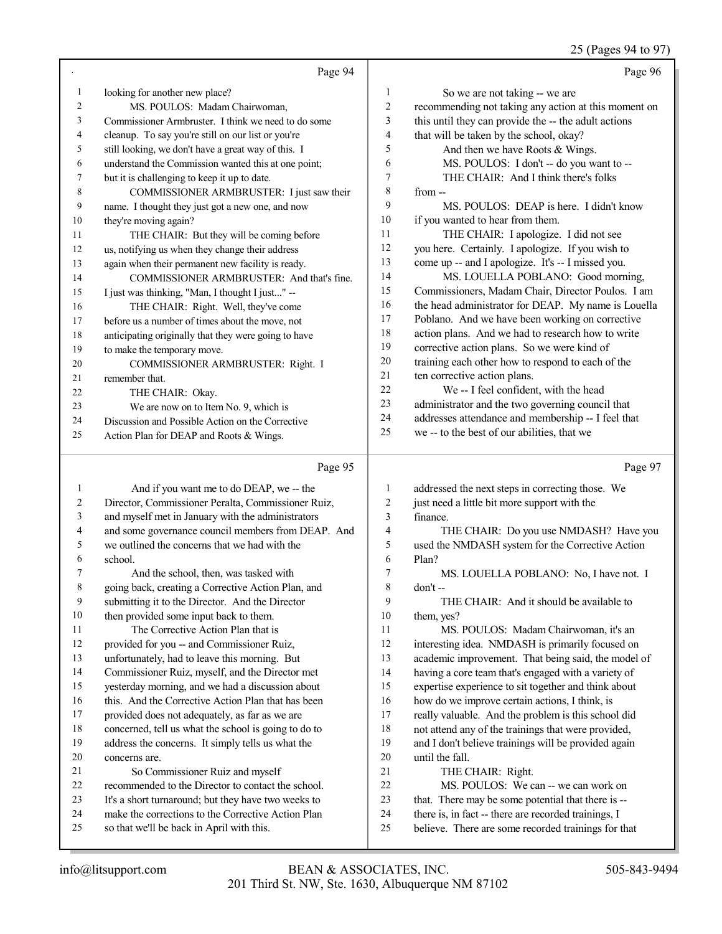#### 25 (Pages 94 to 97)

|                                |                                                                                       |                         | $25 \text{ (1450)}$                                                     |
|--------------------------------|---------------------------------------------------------------------------------------|-------------------------|-------------------------------------------------------------------------|
|                                | Page 94                                                                               |                         | Page 96                                                                 |
| $\mathbf{1}$                   | looking for another new place?                                                        | 1                       | So we are not taking -- we are                                          |
| $\overline{c}$                 | MS. POULOS: Madam Chairwoman,                                                         | $\overline{c}$          | recommending not taking any action at this moment on                    |
| 3                              | Commissioner Armbruster. I think we need to do some                                   | 3                       | this until they can provide the -- the adult actions                    |
| $\overline{4}$                 | cleanup. To say you're still on our list or you're                                    | $\overline{4}$          | that will be taken by the school, okay?                                 |
| 5                              | still looking, we don't have a great way of this. I                                   | 5                       | And then we have Roots & Wings.                                         |
| 6                              | understand the Commission wanted this at one point;                                   | 6                       | MS. POULOS: I don't -- do you want to --                                |
| 7                              | but it is challenging to keep it up to date.                                          | 7                       | THE CHAIR: And I think there's folks                                    |
| 8                              | COMMISSIONER ARMBRUSTER: I just saw their                                             | 8                       | from --                                                                 |
| 9                              | name. I thought they just got a new one, and now                                      | 9                       | MS. POULOS: DEAP is here. I didn't know                                 |
| 10                             | they're moving again?                                                                 | 10                      | if you wanted to hear from them.                                        |
| 11                             | THE CHAIR: But they will be coming before                                             | 11                      | THE CHAIR: I apologize. I did not see                                   |
| 12                             | us, notifying us when they change their address                                       | 12                      | you here. Certainly. I apologize. If you wish to                        |
| 13                             | again when their permanent new facility is ready.                                     | 13                      | come up -- and I apologize. It's -- I missed you.                       |
| 14                             | COMMISSIONER ARMBRUSTER: And that's fine.                                             | 14                      | MS. LOUELLA POBLANO: Good morning,                                      |
| 15                             | I just was thinking, "Man, I thought I just" --                                       | 15                      | Commissioners, Madam Chair, Director Poulos. I am                       |
| 16                             | THE CHAIR: Right. Well, they've come                                                  | 16                      | the head administrator for DEAP. My name is Louella                     |
| 17                             | before us a number of times about the move, not                                       | 17                      | Poblano. And we have been working on corrective                         |
| 18                             | anticipating originally that they were going to have                                  | 18                      | action plans. And we had to research how to write                       |
| 19                             | to make the temporary move.                                                           | 19                      | corrective action plans. So we were kind of                             |
| 20                             | COMMISSIONER ARMBRUSTER: Right. I                                                     | $20\,$                  | training each other how to respond to each of the                       |
| 21                             | remember that.                                                                        | 21                      | ten corrective action plans.                                            |
| 22                             | THE CHAIR: Okay.                                                                      | 22                      | We -- I feel confident, with the head                                   |
| 23                             | We are now on to Item No. 9, which is                                                 | 23                      | administrator and the two governing council that                        |
| 24                             | Discussion and Possible Action on the Corrective                                      | 24                      | addresses attendance and membership -- I feel that                      |
| 25                             | Action Plan for DEAP and Roots & Wings.                                               | 25                      | we -- to the best of our abilities, that we                             |
|                                |                                                                                       |                         |                                                                         |
|                                |                                                                                       |                         |                                                                         |
|                                | Page 95                                                                               |                         | Page 97                                                                 |
|                                |                                                                                       |                         |                                                                         |
| $\mathbf{1}$<br>$\overline{c}$ | And if you want me to do DEAP, we -- the                                              | 1                       | addressed the next steps in correcting those. We                        |
| 3                              | Director, Commissioner Peralta, Commissioner Ruiz,                                    | 2<br>3                  | just need a little bit more support with the                            |
| 4                              | and myself met in January with the administrators                                     |                         | finance.                                                                |
|                                | and some governance council members from DEAP. And                                    | $\overline{\mathbf{4}}$ | THE CHAIR: Do you use NMDASH? Have you                                  |
| 5<br>6                         | we outlined the concerns that we had with the                                         | 5<br>6                  | used the NMDASH system for the Corrective Action                        |
| 7                              | school.                                                                               | 7                       | Plan?                                                                   |
|                                | And the school, then, was tasked with                                                 |                         | MS. LOUELLA POBLANO: No, I have not. I<br>don't-                        |
| $\,$ $\,$<br>9                 | going back, creating a Corrective Action Plan, and                                    | 8<br>9                  |                                                                         |
|                                | submitting it to the Director. And the Director                                       |                         | THE CHAIR: And it should be available to                                |
| 10                             | then provided some input back to them.                                                | 10                      | them, yes?                                                              |
| 11<br>12                       | The Corrective Action Plan that is                                                    | 11<br>12                | MS. POULOS: Madam Chairwoman, it's an                                   |
|                                | provided for you -- and Commissioner Ruiz,                                            |                         | interesting idea. NMDASH is primarily focused on                        |
| 13<br>14                       | unfortunately, had to leave this morning. But                                         | 13<br>14                | academic improvement. That being said, the model of                     |
|                                | Commissioner Ruiz, myself, and the Director met                                       |                         | having a core team that's engaged with a variety of                     |
| 15                             | yesterday morning, and we had a discussion about                                      | 15<br>16                | expertise experience to sit together and think about                    |
| 16<br>17                       | this. And the Corrective Action Plan that has been                                    | 17                      | how do we improve certain actions, I think, is                          |
| 18                             | provided does not adequately, as far as we are                                        | 18                      | really valuable. And the problem is this school did                     |
| 19                             | concerned, tell us what the school is going to do to                                  | 19                      | not attend any of the trainings that were provided,                     |
| $20\,$                         | address the concerns. It simply tells us what the<br>concerns are.                    | $20\,$                  | and I don't believe trainings will be provided again<br>until the fall. |
| 21                             |                                                                                       | 21                      |                                                                         |
| 22                             | So Commissioner Ruiz and myself<br>recommended to the Director to contact the school. | $22\,$                  | THE CHAIR: Right.<br>MS. POULOS: We can -- we can work on               |
| 23                             | It's a short turnaround; but they have two weeks to                                   | 23                      | that. There may be some potential that there is --                      |

- so that we'll be back in April with this.
- believe. There are some recorded trainings for that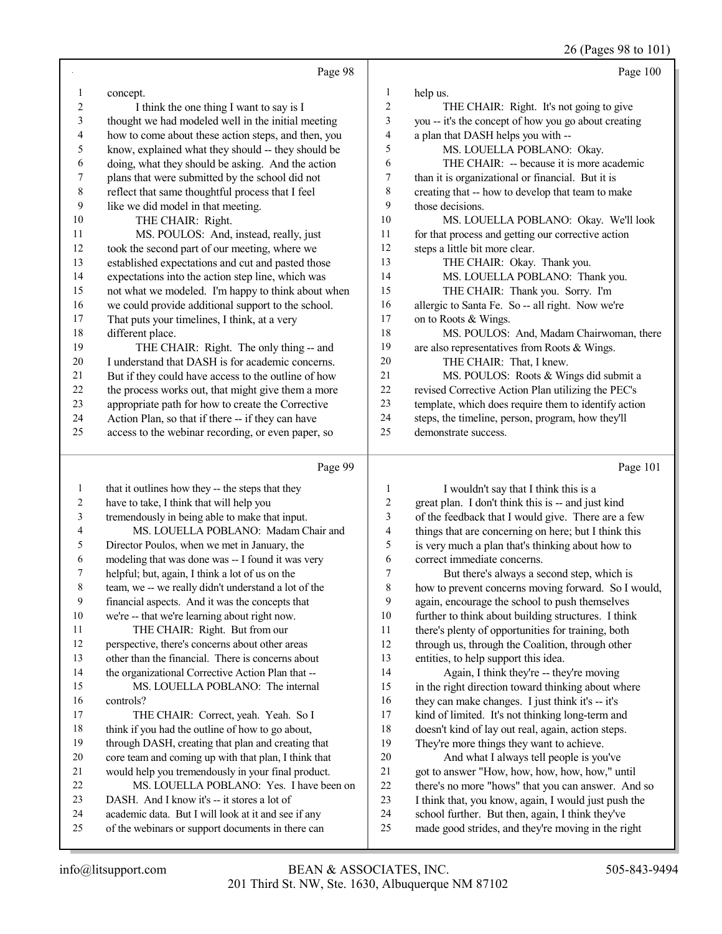26 (Pages 98 to 101)

|                          |                                                                                                         |                          | 26 (Pages 98 to 101)                                                                              |
|--------------------------|---------------------------------------------------------------------------------------------------------|--------------------------|---------------------------------------------------------------------------------------------------|
|                          | Page 98                                                                                                 |                          | Page 100                                                                                          |
| 1                        | concept.                                                                                                | 1                        | help us.                                                                                          |
| $\overline{c}$           | I think the one thing I want to say is I                                                                | $\overline{c}$           | THE CHAIR: Right. It's not going to give                                                          |
| 3                        | thought we had modeled well in the initial meeting                                                      | 3                        | you -- it's the concept of how you go about creating                                              |
| $\overline{\mathcal{A}}$ | how to come about these action steps, and then, you                                                     | $\overline{\mathcal{L}}$ | a plan that DASH helps you with --                                                                |
| 5                        | know, explained what they should -- they should be                                                      | 5                        | MS. LOUELLA POBLANO: Okay.                                                                        |
| 6                        | doing, what they should be asking. And the action                                                       | 6                        | THE CHAIR: -- because it is more academic                                                         |
| 7                        | plans that were submitted by the school did not                                                         | 7                        | than it is organizational or financial. But it is                                                 |
| $\,$ $\,$                | reflect that same thoughtful process that I feel                                                        | $\,$ $\,$                | creating that -- how to develop that team to make                                                 |
| 9                        | like we did model in that meeting.                                                                      | 9                        | those decisions.                                                                                  |
| 10                       | THE CHAIR: Right.                                                                                       | 10                       | MS. LOUELLA POBLANO: Okay. We'll look                                                             |
| 11                       | MS. POULOS: And, instead, really, just                                                                  | 11                       | for that process and getting our corrective action                                                |
| 12                       | took the second part of our meeting, where we                                                           | 12                       | steps a little bit more clear.                                                                    |
| 13                       | established expectations and cut and pasted those                                                       | 13                       | THE CHAIR: Okay. Thank you.                                                                       |
| 14                       | expectations into the action step line, which was                                                       | 14                       | MS. LOUELLA POBLANO: Thank you.                                                                   |
| 15                       | not what we modeled. I'm happy to think about when                                                      | 15                       | THE CHAIR: Thank you. Sorry. I'm                                                                  |
| 16                       | we could provide additional support to the school.                                                      | 16                       | allergic to Santa Fe. So -- all right. Now we're                                                  |
| 17                       | That puts your timelines, I think, at a very                                                            | 17                       | on to Roots & Wings.                                                                              |
| 18                       | different place.                                                                                        | 18                       | MS. POULOS: And, Madam Chairwoman, there                                                          |
| 19                       | THE CHAIR: Right. The only thing -- and                                                                 | 19                       | are also representatives from Roots & Wings.                                                      |
| 20                       | I understand that DASH is for academic concerns.                                                        | $20\,$                   | THE CHAIR: That, I knew.                                                                          |
| 21                       | But if they could have access to the outline of how                                                     | $21\,$                   | MS. POULOS: Roots & Wings did submit a                                                            |
| $22\,$                   | the process works out, that might give them a more                                                      | $22\,$                   | revised Corrective Action Plan utilizing the PEC's                                                |
| 23                       | appropriate path for how to create the Corrective                                                       | 23                       | template, which does require them to identify action                                              |
| 24                       | Action Plan, so that if there -- if they can have                                                       | 24                       | steps, the timeline, person, program, how they'll                                                 |
| 25                       | access to the webinar recording, or even paper, so                                                      | 25                       | demonstrate success.                                                                              |
|                          |                                                                                                         |                          |                                                                                                   |
|                          | Page 99                                                                                                 |                          | Page 101                                                                                          |
| $\mathbf{1}$             | that it outlines how they -- the steps that they                                                        | 1                        | I wouldn't say that I think this is a                                                             |
| $\boldsymbol{2}$         | have to take, I think that will help you                                                                | $\overline{c}$           | great plan. I don't think this is -- and just kind                                                |
| 3                        | tremendously in being able to make that input.                                                          | 3                        | of the feedback that I would give. There are a few                                                |
| 4                        | MS. LOUELLA POBLANO: Madam Chair and                                                                    | 4                        | things that are concerning on here; but I think this                                              |
| 5                        | Director Poulos, when we met in January, the                                                            | 5<br>6                   | is very much a plan that's thinking about how to                                                  |
| 6                        | modeling that was done was -- I found it was very                                                       | 7                        | correct immediate concerns.                                                                       |
| 8                        | helpful; but, again, I think a lot of us on the<br>team, we -- we really didn't understand a lot of the | 8                        | But there's always a second step, which is<br>how to prevent concerns moving forward. So I would, |
| 9                        | financial aspects. And it was the concepts that                                                         | 9                        | again, encourage the school to push themselves                                                    |
| 10                       | we're -- that we're learning about right now.                                                           | 10                       | further to think about building structures. I think                                               |
| 11                       | THE CHAIR: Right. But from our                                                                          | 11                       | there's plenty of opportunities for training, both                                                |
| 12                       | perspective, there's concerns about other areas                                                         | 12                       | through us, through the Coalition, through other                                                  |
| 13                       | other than the financial. There is concerns about                                                       | 13                       | entities, to help support this idea.                                                              |
| 14                       | the organizational Corrective Action Plan that --                                                       | 14                       | Again, I think they're -- they're moving                                                          |
| 15                       | MS. LOUELLA POBLANO: The internal                                                                       | 15                       | in the right direction toward thinking about where                                                |
| 16                       | controls?                                                                                               | 16                       | they can make changes. I just think it's -- it's                                                  |
| 17                       | THE CHAIR: Correct, yeah. Yeah. So I                                                                    | 17                       | kind of limited. It's not thinking long-term and                                                  |
| 18                       | think if you had the outline of how to go about,                                                        | 18                       | doesn't kind of lay out real, again, action steps.                                                |
| 19                       | through DASH, creating that plan and creating that                                                      | 19                       | They're more things they want to achieve.                                                         |
| 20                       | core team and coming up with that plan, I think that                                                    | $20\,$                   | And what I always tell people is you've                                                           |
| 21                       | would help you tremendously in your final product.                                                      | 21                       | got to answer "How, how, how, how, how," until                                                    |
| 22                       | MS. LOUELLA POBLANO: Yes. I have been on                                                                | 22                       | there's no more "hows" that you can answer. And so                                                |
|                          |                                                                                                         |                          |                                                                                                   |
| 23                       | DASH. And I know it's -- it stores a lot of                                                             | 23<br>24                 | I think that, you know, again, I would just push the                                              |

of the webinars or support documents in there can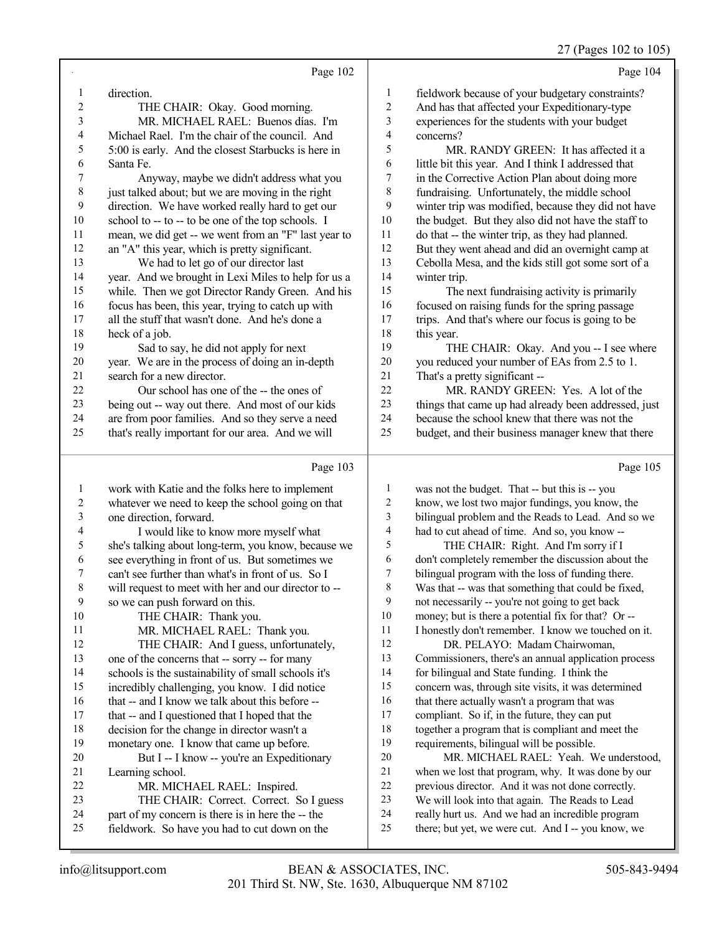27 (Pages 102 to 105)

|    | Page 104                                            |
|----|-----------------------------------------------------|
|    | fieldwork because of your budgetary constraints?    |
| 2  | And has that affected your Expeditionary-type       |
| 3  | experiences for the students with your budget       |
| 4  | concerns?                                           |
| 5  | MR. RANDY GREEN: It has affected it a               |
| 6  | little bit this year. And I think I addressed that  |
|    | in the Corrective Action Plan about doing more      |
| 8  | fundraising. Unfortunately, the middle school       |
| 9  | winter trip was modified, because they did not have |
| 10 | the budget. But they also did not have the staff to |
| 11 | do that -- the winter trip, as they had planned.    |
|    |                                                     |

12 But they went ahead and did an overnight camp at<br>13 Cebolla Mesa and the kids still got some sort of a Cebolla Mesa, and the kids still got some sort of a

14 winter trip.<br>15 The 1 15 The next fundraising activity is primarily<br>16 focused on raising funds for the spring passage 16 focused on raising funds for the spring passage<br>17 trips. And that's where our focus is going to be trips. And that's where our focus is going to be 18 this year.<br>19 TH

THE CHAIR: Okay. And you -- I see where 20 you reduced your number of EAs from 2.5 to 1.<br>21 That's a pretty significant --21 That's a pretty significant --<br>22 MR. RANDY GREE

22 MR. RANDY GREEN: Yes. A lot of the<br>23 things that came up had already been addressed. 23 things that came up had already been addressed, just<br>24 because the school knew that there was not the 24 because the school knew that there was not the<br>25 budget, and their business manager knew that the budget, and their business manager knew that there

 $D_{\alpha\alpha\alpha}$  102

Page 102

|    | $I$ age $103$                                        |                | $I$ age $I$ $U$ $J$                                  |
|----|------------------------------------------------------|----------------|------------------------------------------------------|
| 1  | work with Katie and the folks here to implement      |                | was not the budget. That -- but this is -- you       |
| 2  | whatever we need to keep the school going on that    | $\overline{c}$ | know, we lost two major fundings, you know, the      |
| 3  | one direction, forward.                              | 3              | bilingual problem and the Reads to Lead. And so we   |
| 4  | I would like to know more myself what                | $\overline{4}$ | had to cut ahead of time. And so, you know --        |
| 5  | she's talking about long-term, you know, because we  | 5              | THE CHAIR: Right. And I'm sorry if I                 |
| 6  | see everything in front of us. But sometimes we      | 6              | don't completely remember the discussion about the   |
| 7  | can't see further than what's in front of us. So I   | 7              | bilingual program with the loss of funding there.    |
| 8  | will request to meet with her and our director to -- | $\,8\,$        | Was that -- was that something that could be fixed,  |
| 9  | so we can push forward on this.                      | 9              | not necessarily -- you're not going to get back      |
| 10 | THE CHAIR: Thank you.                                | 10             | money; but is there a potential fix for that? Or --  |
| 11 | MR. MICHAEL RAEL: Thank you.                         | 11             | I honestly don't remember. I know we touched on it.  |
| 12 | THE CHAIR: And I guess, unfortunately,               | 12             | DR. PELAYO: Madam Chairwoman,                        |
| 13 | one of the concerns that -- sorry -- for many        | 13             | Commissioners, there's an annual application process |
| 14 | schools is the sustainability of small schools it's  | 14             | for bilingual and State funding. I think the         |
| 15 | incredibly challenging, you know. I did notice       | 15             | concern was, through site visits, it was determined  |
| 16 | that -- and I know we talk about this before --      | 16             | that there actually wasn't a program that was        |
| 17 | that -- and I questioned that I hoped that the       | 17             | compliant. So if, in the future, they can put        |
| 18 | decision for the change in director wasn't a         | 18             | together a program that is compliant and meet the    |
| 19 | monetary one. I know that came up before.            | 19             | requirements, bilingual will be possible.            |
| 20 | But I -- I know -- you're an Expeditionary           | 20             | MR. MICHAEL RAEL: Yeah. We understood,               |
| 21 | Learning school.                                     | 21             | when we lost that program, why. It was done by our   |
| 22 | MR. MICHAEL RAEL: Inspired.                          | 22             | previous director. And it was not done correctly.    |
| 23 | THE CHAIR: Correct. Correct. So I guess              | 23             | We will look into that again. The Reads to Lead      |
| 24 | part of my concern is there is in here the -- the    | 24             | really hurt us. And we had an incredible program     |
| 25 | fieldwork. So have you had to cut down on the        | 25             | there; but yet, we were cut. And I -- you know, we   |
|    |                                                      |                |                                                      |

1 direction.<br>2 TH

6 Santa Fe.

18 heck of a job.<br>19 Sad to s

21 search for a new director.<br>22 Our school has one

2 THE CHAIR: Okay. Good morning.<br>3 MR. MICHAEL RAEL: Buenos días 3 MR. MICHAEL RAEL: Buenos días. I'm<br>4 Michael Rael. I'm the chair of the council. And 4 Michael Rael. I'm the chair of the council. And<br>5 5:00 is early. And the closest Starbucks is here in 5 5:00 is early. And the closest Starbucks is here in<br>6 Santa Fe.

7 Anyway, maybe we didn't address what you<br>8 iust talked about: but we are moving in the right just talked about; but we are moving in the right

9 direction. We have worked really hard to get our 10 school to  $\frac{1}{2}$  to  $\frac{1}{2}$  to be one of the top schools. 10 school to -- to -- to be one of the top schools. I<br>11 mean, we did get -- we went from an "F" last ve 11 mean, we did get -- we went from an "F" last year to<br>12 an "A" this year, which is pretty significant.

We had to let go of our director last 14 year. And we brought in Lexi Miles to help for us a<br>15 while. Then we got Director Randy Green. And his 15 while. Then we got Director Randy Green. And his<br>16 focus has been, this year, trying to catch up with 16 focus has been, this year, trying to catch up with 17 all the stuff that wasn't done. And he's done a 17 all the stuff that wasn't done. And he's done a<br>18 heck of a job.

Sad to say, he did not apply for next

20 year. We are in the process of doing an in-depth search for a new director.

22 Our school has one of the -- the ones of<br>23 being out -- way out there. And most of our ki 23 being out -- way out there. And most of our kids<br>24 are from poor families And so they serve a need 24 are from poor families. And so they serve a need<br>25 that's really important for our area. And we will that's really important for our area. And we will

12 an "A" this year, which is pretty significant.<br>13 We had to let go of our director last

Page 105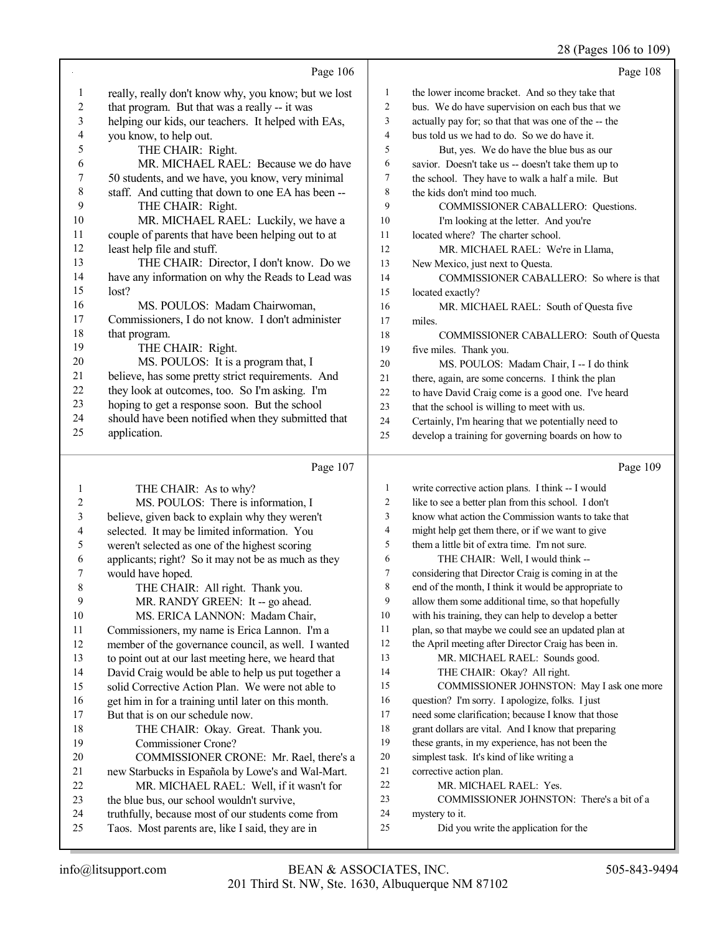#### 28 (Pages 106 to 109)

|                          |                                                                                                  |                          | 28 (Pages 106 to 109                                                |
|--------------------------|--------------------------------------------------------------------------------------------------|--------------------------|---------------------------------------------------------------------|
|                          | Page 106                                                                                         |                          | Page 108                                                            |
| $\mathbf{1}$             | really, really don't know why, you know; but we lost                                             | $\mathbf{1}$             | the lower income bracket. And so they take that                     |
| $\overline{c}$           | that program. But that was a really -- it was                                                    | $\overline{c}$           | bus. We do have supervision on each bus that we                     |
| $\mathfrak{Z}$           | helping our kids, our teachers. It helped with EAs,                                              | 3                        | actually pay for; so that that was one of the -- the                |
| $\overline{\mathcal{A}}$ | you know, to help out.                                                                           | $\overline{\mathcal{L}}$ | bus told us we had to do. So we do have it.                         |
| 5                        | THE CHAIR: Right.                                                                                | 5                        | But, yes. We do have the blue bus as our                            |
| 6                        | MR. MICHAEL RAEL: Because we do have                                                             | 6                        | savior. Doesn't take us -- doesn't take them up to                  |
| $\boldsymbol{7}$         | 50 students, and we have, you know, very minimal                                                 | 7                        | the school. They have to walk a half a mile. But                    |
| $8\,$                    | staff. And cutting that down to one EA has been --                                               | 8                        | the kids don't mind too much.                                       |
| 9                        | THE CHAIR: Right.                                                                                | 9                        | COMMISSIONER CABALLERO: Questions.                                  |
| 10                       | MR. MICHAEL RAEL: Luckily, we have a                                                             | 10                       | I'm looking at the letter. And you're                               |
| 11                       | couple of parents that have been helping out to at                                               | 11                       | located where? The charter school.                                  |
| 12                       | least help file and stuff.                                                                       | 12                       | MR. MICHAEL RAEL: We're in Llama,                                   |
| 13                       | THE CHAIR: Director, I don't know. Do we                                                         | 13                       | New Mexico, just next to Questa.                                    |
| 14                       | have any information on why the Reads to Lead was                                                | 14                       | COMMISSIONER CABALLERO: So where is that                            |
| 15                       | lost?                                                                                            | 15                       | located exactly?                                                    |
| 16                       | MS. POULOS: Madam Chairwoman,                                                                    | 16                       | MR. MICHAEL RAEL: South of Questa five                              |
| 17                       | Commissioners, I do not know. I don't administer                                                 | 17                       | miles.                                                              |
| 18                       | that program.                                                                                    | 18                       | COMMISSIONER CABALLERO: South of Questa                             |
| 19                       | THE CHAIR: Right.                                                                                | 19                       | five miles. Thank you.                                              |
| $20\,$                   | MS. POULOS: It is a program that, I                                                              | 20                       | MS. POULOS: Madam Chair, I -- I do think                            |
| 21                       | believe, has some pretty strict requirements. And                                                | 21                       | there, again, are some concerns. I think the plan                   |
| 22                       | they look at outcomes, too. So I'm asking. I'm                                                   | $22\,$                   | to have David Craig come is a good one. I've heard                  |
| 23                       | hoping to get a response soon. But the school                                                    | 23                       | that the school is willing to meet with us.                         |
| 24                       | should have been notified when they submitted that                                               | 24                       | Certainly, I'm hearing that we potentially need to                  |
| 25                       | application.                                                                                     | 25                       | develop a training for governing boards on how to                   |
|                          |                                                                                                  |                          |                                                                     |
|                          |                                                                                                  |                          |                                                                     |
|                          | Page 107                                                                                         |                          | Page 109                                                            |
| $\mathbf{1}$             | THE CHAIR: As to why?                                                                            | 1                        | write corrective action plans. I think -- I would                   |
| $\sqrt{2}$               | MS. POULOS: There is information, I                                                              | $\overline{c}$           | like to see a better plan from this school. I don't                 |
| $\sqrt{3}$               | believe, given back to explain why they weren't                                                  | 3                        | know what action the Commission wants to take that                  |
| 4                        | selected. It may be limited information. You                                                     | $\overline{4}$           | might help get them there, or if we want to give                    |
| 5                        | weren't selected as one of the highest scoring                                                   | 5                        | them a little bit of extra time. I'm not sure.                      |
| 6                        | applicants; right? So it may not be as much as they                                              | 6                        | THE CHAIR: Well, I would think --                                   |
| 7                        | would have hoped.                                                                                | 7                        | considering that Director Craig is coming in at the                 |
| 8                        | THE CHAIR: All right. Thank you.                                                                 | 8                        | end of the month, I think it would be appropriate to                |
| 9                        | MR. RANDY GREEN: It -- go ahead.                                                                 | 9                        | allow them some additional time, so that hopefully                  |
| 10                       | MS. ERICA LANNON: Madam Chair,                                                                   | 10                       | with his training, they can help to develop a better                |
| 11                       | Commissioners, my name is Erica Lannon. I'm a                                                    | 11                       | plan, so that maybe we could see an updated plan at                 |
| 12                       | member of the governance council, as well. I wanted                                              | 12                       | the April meeting after Director Craig has been in.                 |
| 13                       | to point out at our last meeting here, we heard that                                             | 13                       | MR. MICHAEL RAEL: Sounds good.                                      |
| 14                       | David Craig would be able to help us put together a                                              | 14                       | THE CHAIR: Okay? All right.                                         |
| 15                       | solid Corrective Action Plan. We were not able to                                                | 15                       | COMMISSIONER JOHNSTON: May I ask one more                           |
| 16                       | get him in for a training until later on this month.                                             | 16                       | question? I'm sorry. I apologize, folks. I just                     |
| 17                       | But that is on our schedule now.                                                                 | 17                       | need some clarification; because I know that those                  |
| 18                       | THE CHAIR: Okay. Great. Thank you.                                                               | 18                       | grant dollars are vital. And I know that preparing                  |
| 19                       | Commissioner Crone?                                                                              | 19<br>$20\,$             | these grants, in my experience, has not been the                    |
| 20                       | COMMISSIONER CRONE: Mr. Rael, there's a                                                          | 21                       | simplest task. It's kind of like writing a                          |
| 21                       | new Starbucks in Española by Lowe's and Wal-Mart.                                                | $22\,$                   | corrective action plan.                                             |
| 22<br>23                 | MR. MICHAEL RAEL: Well, if it wasn't for                                                         | 23                       | MR. MICHAEL RAEL: Yes.<br>COMMISSIONER JOHNSTON: There's a bit of a |
| 24                       | the blue bus, our school wouldn't survive,<br>truthfully, because most of our students come from | $24\,$                   | mystery to it.                                                      |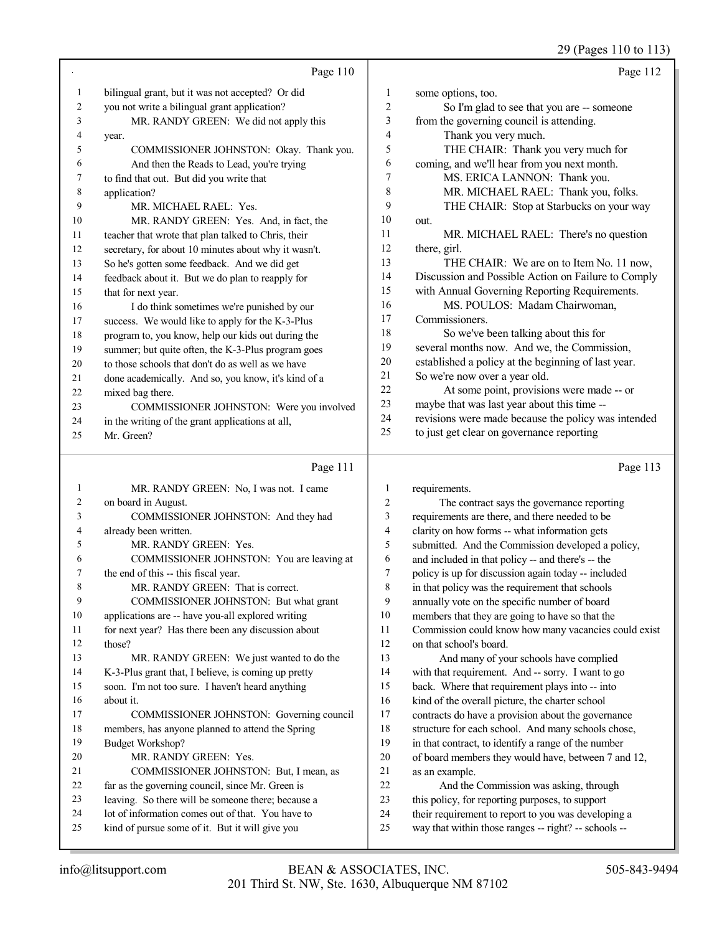29 (Pages 110 to 113)

|                |                                                      |                | 0                                                    |
|----------------|------------------------------------------------------|----------------|------------------------------------------------------|
|                | Page 110                                             |                | Page 112                                             |
| 1              | bilingual grant, but it was not accepted? Or did     | 1              | some options, too.                                   |
| $\overline{c}$ | you not write a bilingual grant application?         | 2              | So I'm glad to see that you are -- someone           |
| 3              | MR. RANDY GREEN: We did not apply this               | 3              | from the governing council is attending.             |
| 4              | year.                                                | 4              | Thank you very much.                                 |
| 5              | COMMISSIONER JOHNSTON: Okay. Thank you.              | 5              | THE CHAIR: Thank you very much for                   |
| 6              | And then the Reads to Lead, you're trying            | 6              | coming, and we'll hear from you next month.          |
| 7              | to find that out. But did you write that             | 7              | MS. ERICA LANNON: Thank you.                         |
| 8              |                                                      | 8              |                                                      |
|                | application?                                         | 9              | MR. MICHAEL RAEL: Thank you, folks.                  |
| 9              | MR. MICHAEL RAEL: Yes.                               |                | THE CHAIR: Stop at Starbucks on your way             |
| 10             | MR. RANDY GREEN: Yes. And, in fact, the              | 10             | out.                                                 |
| 11             | teacher that wrote that plan talked to Chris, their  | 11             | MR. MICHAEL RAEL: There's no question                |
| 12             | secretary, for about 10 minutes about why it wasn't. | 12             | there, girl.                                         |
| 13             | So he's gotten some feedback. And we did get         | 13             | THE CHAIR: We are on to Item No. 11 now,             |
| 14             | feedback about it. But we do plan to reapply for     | 14             | Discussion and Possible Action on Failure to Comply  |
| 15             | that for next year.                                  | 15             | with Annual Governing Reporting Requirements.        |
| 16             | I do think sometimes we're punished by our           | 16             | MS. POULOS: Madam Chairwoman,                        |
| 17             | success. We would like to apply for the K-3-Plus     | 17             | Commissioners.                                       |
| 18             | program to, you know, help our kids out during the   | 18             | So we've been talking about this for                 |
| 19             | summer; but quite often, the K-3-Plus program goes   | 19             | several months now. And we, the Commission,          |
| 20             | to those schools that don't do as well as we have    | 20             | established a policy at the beginning of last year.  |
| 21             | done academically. And so, you know, it's kind of a  | 21             | So we're now over a year old.                        |
| 22             | mixed bag there.                                     | 22             | At some point, provisions were made -- or            |
| 23             | COMMISSIONER JOHNSTON: Were you involved             | 23             | maybe that was last year about this time --          |
| 24             | in the writing of the grant applications at all,     | 24             | revisions were made because the policy was intended  |
| 25             | Mr. Green?                                           | 25             | to just get clear on governance reporting            |
|                |                                                      |                |                                                      |
|                |                                                      |                |                                                      |
|                | Page 111                                             |                | Page 113                                             |
|                |                                                      |                |                                                      |
| 1              | MR. RANDY GREEN: No, I was not. I came               | $\mathbf{1}$   | requirements.                                        |
| 2              | on board in August.                                  | $\overline{2}$ | The contract says the governance reporting           |
| 3              | COMMISSIONER JOHNSTON: And they had                  | 3              | requirements are there, and there needed to be       |
| 4              | already been written.                                | $\overline{4}$ | clarity on how forms -- what information gets        |
| 5              | MR. RANDY GREEN: Yes.                                | 5              | submitted. And the Commission developed a policy,    |
| 6              | COMMISSIONER JOHNSTON: You are leaving at            | 6              | and included in that policy -- and there's -- the    |
| 7              | the end of this -- this fiscal year.                 | 7              | policy is up for discussion again today -- included  |
| 8              | MR. RANDY GREEN: That is correct.                    | 8              | in that policy was the requirement that schools      |
| 9              | COMMISSIONER JOHNSTON: But what grant                | 9              | annually vote on the specific number of board        |
| 10             | applications are -- have you-all explored writing    | 10             | members that they are going to have so that the      |
| 11             | for next year? Has there been any discussion about   | 11             | Commission could know how many vacancies could exist |
| 12             | those?                                               | 12             | on that school's board.                              |
| 13             | MR. RANDY GREEN: We just wanted to do the            | 13             | And many of your schools have complied               |
| 14             | K-3-Plus grant that, I believe, is coming up pretty  | 14             | with that requirement. And -- sorry. I want to go    |
| 15             | soon. I'm not too sure. I haven't heard anything     | 15             | back. Where that requirement plays into -- into      |
| 16             | about it.                                            | 16             | kind of the overall picture, the charter school      |
| 17             | COMMISSIONER JOHNSTON: Governing council             | 17             | contracts do have a provision about the governance   |
| 18             | members, has anyone planned to attend the Spring     | $18\,$         | structure for each school. And many schools chose,   |
| 19             | Budget Workshop?                                     | 19             | in that contract, to identify a range of the number  |
| 20             | MR. RANDY GREEN: Yes.                                | 20             | of board members they would have, between 7 and 12,  |
| 21             | COMMISSIONER JOHNSTON: But, I mean, as               | $21\,$         | as an example.                                       |
| $22\,$         | far as the governing council, since Mr. Green is     | 22             | And the Commission was asking, through               |
| 23             | leaving. So there will be someone there; because a   | 23             | this policy, for reporting purposes, to support      |
| 24             | lot of information comes out of that. You have to    | 24             | their requirement to report to you was developing a  |
| 25             | kind of pursue some of it. But it will give you      | 25             | way that within those ranges -- right? -- schools -- |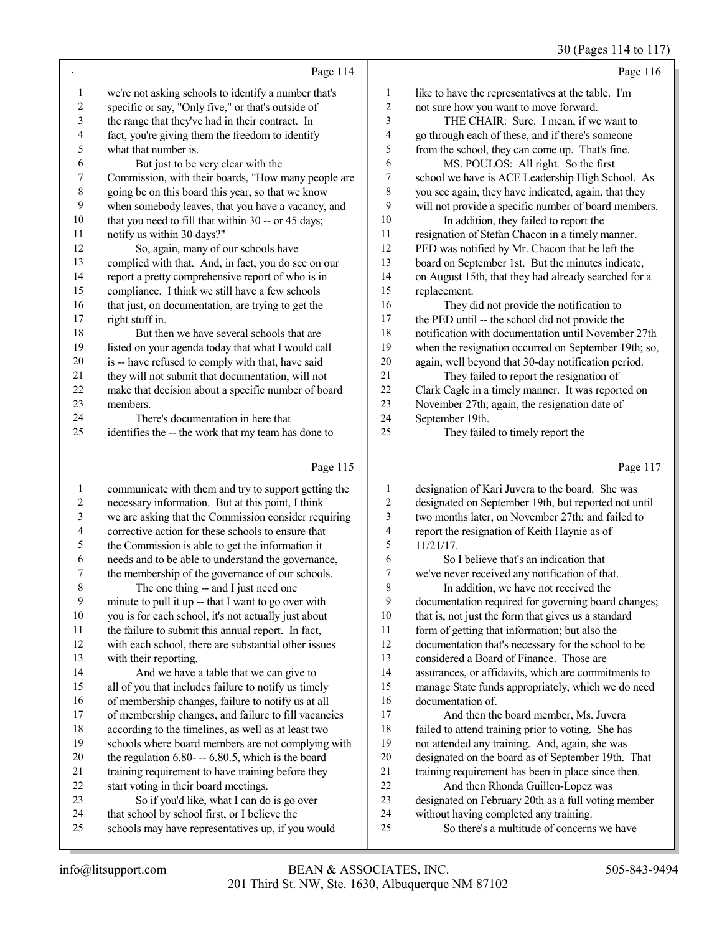30 (Pages 114 to 117)

|                |                                                      |                | $30(1980)$ 117 W 117                                 |
|----------------|------------------------------------------------------|----------------|------------------------------------------------------|
|                | Page 114                                             |                | Page 116                                             |
| 1              | we're not asking schools to identify a number that's | 1              | like to have the representatives at the table. I'm   |
| $\overline{c}$ | specific or say, "Only five," or that's outside of   | $\overline{c}$ | not sure how you want to move forward.               |
| 3              | the range that they've had in their contract. In     | 3              | THE CHAIR: Sure. I mean, if we want to               |
| 4              | fact, you're giving them the freedom to identify     | 4              | go through each of these, and if there's someone     |
| 5              | what that number is.                                 | 5              | from the school, they can come up. That's fine.      |
| 6              | But just to be very clear with the                   | 6              | MS. POULOS: All right. So the first                  |
| 7              | Commission, with their boards, "How many people are  | 7              | school we have is ACE Leadership High School. As     |
| 8              | going be on this board this year, so that we know    | 8              | you see again, they have indicated, again, that they |
| 9              | when somebody leaves, that you have a vacancy, and   | 9              | will not provide a specific number of board members. |
| 10             | that you need to fill that within 30 -- or 45 days;  | 10             | In addition, they failed to report the               |
| 11             | notify us within 30 days?"                           | 11             | resignation of Stefan Chacon in a timely manner.     |
| 12             | So, again, many of our schools have                  | 12             | PED was notified by Mr. Chacon that he left the      |
| 13             | complied with that. And, in fact, you do see on our  | 13             | board on September 1st. But the minutes indicate,    |
| 14             | report a pretty comprehensive report of who is in    | 14             | on August 15th, that they had already searched for a |
| 15             | compliance. I think we still have a few schools      | 15             | replacement.                                         |
| 16             | that just, on documentation, are trying to get the   | 16             | They did not provide the notification to             |
| 17             | right stuff in.                                      | 17             | the PED until -- the school did not provide the      |
| 18             | But then we have several schools that are            | 18             | notification with documentation until November 27th  |
| 19             | listed on your agenda today that what I would call   | 19             | when the resignation occurred on September 19th; so, |
| 20             | is -- have refused to comply with that, have said    | 20             | again, well beyond that 30-day notification period.  |
| 21             | they will not submit that documentation, will not    | 21             | They failed to report the resignation of             |
| 22             | make that decision about a specific number of board  | 22             | Clark Cagle in a timely manner. It was reported on   |
| 23             | members.                                             | 23             | November 27th; again, the resignation date of        |
| 24             | There's documentation in here that                   | 24             | September 19th.                                      |
| 25             | identifies the -- the work that my team has done to  | 25             | They failed to timely report the                     |
|                | Page 115                                             |                | Page 117                                             |

#### Page 115 |

| 1  | communicate with them and try to support getting the | 1  | designation of Kari Juvera to the board. She was     |
|----|------------------------------------------------------|----|------------------------------------------------------|
| 2  | necessary information. But at this point, I think    | 2  | designated on September 19th, but reported not until |
| 3  | we are asking that the Commission consider requiring | 3  | two months later, on November 27th; and failed to    |
| 4  | corrective action for these schools to ensure that   | 4  | report the resignation of Keith Haynie as of         |
| 5  | the Commission is able to get the information it     | 5  | $11/21/17$ .                                         |
| 6  | needs and to be able to understand the governance,   | 6  | So I believe that's an indication that               |
| 7  | the membership of the governance of our schools.     | 7  | we've never received any notification of that.       |
| 8  | The one thing -- and I just need one                 | 8  | In addition, we have not received the                |
| 9  | minute to pull it up -- that I want to go over with  | 9  | documentation required for governing board changes;  |
| 10 | you is for each school, it's not actually just about | 10 | that is, not just the form that gives us a standard  |
| 11 | the failure to submit this annual report. In fact,   | 11 | form of getting that information; but also the       |
| 12 | with each school, there are substantial other issues | 12 | documentation that's necessary for the school to be  |
| 13 | with their reporting.                                | 13 | considered a Board of Finance. Those are             |
| 14 | And we have a table that we can give to              | 14 | assurances, or affidavits, which are commitments to  |
| 15 | all of you that includes failure to notify us timely | 15 | manage State funds appropriately, which we do need   |
| 16 | of membership changes, failure to notify us at all   | 16 | documentation of                                     |
| 17 | of membership changes, and failure to fill vacancies | 17 | And then the board member, Ms. Juvera                |
| 18 | according to the timelines, as well as at least two  | 18 | failed to attend training prior to voting. She has   |
| 19 | schools where board members are not complying with   | 19 | not attended any training. And, again, she was       |
| 20 | the regulation $6.80 - -6.80.5$ , which is the board | 20 | designated on the board as of September 19th. That   |
| 21 | training requirement to have training before they    | 21 | training requirement has been in place since then.   |
| 22 | start voting in their board meetings.                | 22 | And then Rhonda Guillen-Lopez was                    |
| 23 | So if you'd like, what I can do is go over           | 23 | designated on February 20th as a full voting member  |
| 24 | that school by school first, or I believe the        | 24 | without having completed any training.               |
| 25 | schools may have representatives up, if you would    | 25 | So there's a multitude of concerns we have           |
|    |                                                      |    |                                                      |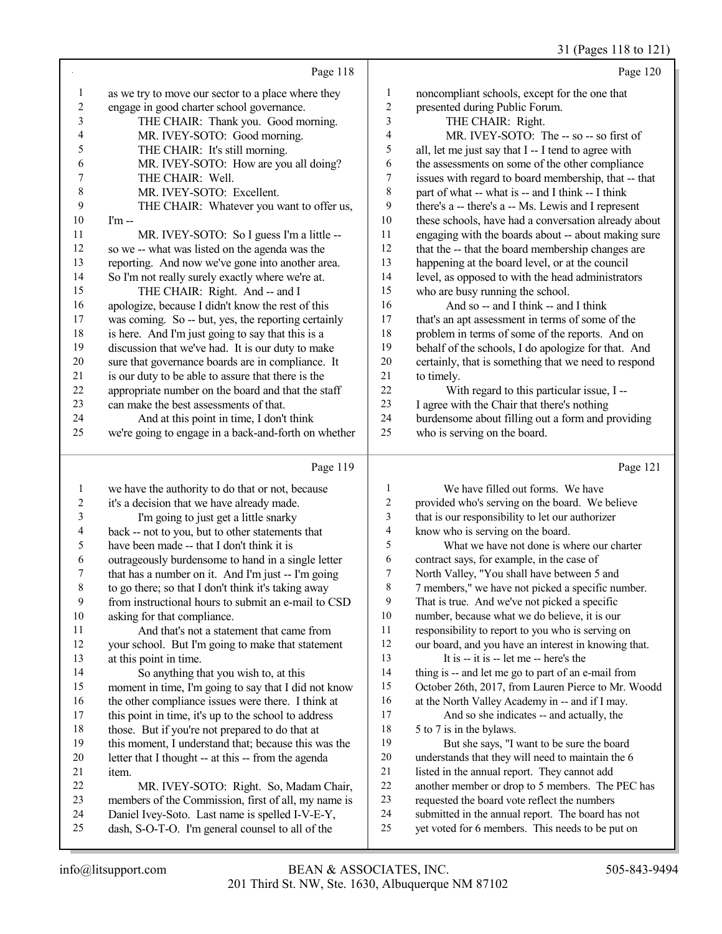## 31 (Pages 118 to 121)

|                |                                                                                                     |                          | $31 \text{ (1456)}$ 110 to 121                                                                        |
|----------------|-----------------------------------------------------------------------------------------------------|--------------------------|-------------------------------------------------------------------------------------------------------|
|                | Page 118                                                                                            |                          | Page 120                                                                                              |
| $\mathbf{1}$   | as we try to move our sector to a place where they                                                  | $\mathbf{1}$             | noncompliant schools, except for the one that                                                         |
| $\overline{c}$ | engage in good charter school governance.                                                           | $\overline{c}$           | presented during Public Forum.                                                                        |
| 3              | THE CHAIR: Thank you. Good morning.                                                                 | $\mathfrak{Z}$           | THE CHAIR: Right.                                                                                     |
| 4              | MR. IVEY-SOTO: Good morning.                                                                        | $\overline{\mathcal{L}}$ | MR. IVEY-SOTO: The -- so -- so first of                                                               |
| 5              | THE CHAIR: It's still morning.                                                                      | 5                        | all, let me just say that I -- I tend to agree with                                                   |
| 6              | MR. IVEY-SOTO: How are you all doing?                                                               | 6                        | the assessments on some of the other compliance                                                       |
| 7              | THE CHAIR: Well.                                                                                    | $\tau$                   | issues with regard to board membership, that -- that                                                  |
| 8              | MR. IVEY-SOTO: Excellent.                                                                           | 8                        | part of what -- what is -- and I think -- I think                                                     |
| 9              | THE CHAIR: Whatever you want to offer us,                                                           | 9                        | there's a -- there's a -- Ms. Lewis and I represent                                                   |
| 10             | $Im -$                                                                                              | 10                       | these schools, have had a conversation already about                                                  |
| 11             | MR. IVEY-SOTO: So I guess I'm a little --                                                           | 11                       | engaging with the boards about -- about making sure                                                   |
| 12             | so we -- what was listed on the agenda was the                                                      | 12                       | that the -- that the board membership changes are                                                     |
| 13             | reporting. And now we've gone into another area.                                                    | 13                       | happening at the board level, or at the council                                                       |
| 14             | So I'm not really surely exactly where we're at.                                                    | 14                       | level, as opposed to with the head administrators                                                     |
| 15             | THE CHAIR: Right. And -- and I                                                                      | 15                       | who are busy running the school.                                                                      |
| 16             | apologize, because I didn't know the rest of this                                                   | 16                       | And so -- and I think -- and I think                                                                  |
| 17             | was coming. So -- but, yes, the reporting certainly                                                 | $17\,$                   | that's an apt assessment in terms of some of the                                                      |
| 18             | is here. And I'm just going to say that this is a                                                   | 18                       | problem in terms of some of the reports. And on                                                       |
| 19             | discussion that we've had. It is our duty to make                                                   | 19                       | behalf of the schools, I do apologize for that. And                                                   |
| 20             | sure that governance boards are in compliance. It                                                   | $20\,$                   | certainly, that is something that we need to respond                                                  |
| 21             | is our duty to be able to assure that there is the                                                  | 21                       | to timely.                                                                                            |
| $22\,$         | appropriate number on the board and that the staff                                                  | 22                       | With regard to this particular issue, I --                                                            |
| 23             | can make the best assessments of that.                                                              | 23                       | I agree with the Chair that there's nothing                                                           |
| 24             | And at this point in time, I don't think                                                            | 24                       | burdensome about filling out a form and providing                                                     |
| 25             | we're going to engage in a back-and-forth on whether                                                | 25                       | who is serving on the board.                                                                          |
|                | Page 119                                                                                            |                          | Page 121                                                                                              |
| $\mathbf{1}$   | we have the authority to do that or not, because                                                    | 1                        | We have filled out forms. We have                                                                     |
| $\overline{c}$ | it's a decision that we have already made.                                                          | $\overline{c}$           | provided who's serving on the board. We believe                                                       |
| 3              | I'm going to just get a little snarky                                                               | 3                        | that is our responsibility to let our authorizer                                                      |
| 4              | back -- not to you, but to other statements that                                                    | 4                        | know who is serving on the board.                                                                     |
| 5              | have been made -- that I don't think it is                                                          | 5                        | What we have not done is where our charter                                                            |
| 6              | outrageously burdensome to hand in a single letter                                                  | 6                        | contract says, for example, in the case of                                                            |
| 7              | that has a number on it. And I'm just -- I'm going                                                  | 7                        | North Valley, "You shall have between 5 and                                                           |
| 8              | to go there; so that I don't think it's taking away                                                 | 8                        | 7 members," we have not picked a specific number.                                                     |
| 9              | from instructional hours to submit an e-mail to CSD                                                 | 9                        | That is true. And we've not picked a specific                                                         |
| 10             | asking for that compliance.                                                                         | $10\,$                   | number, because what we do believe, it is our                                                         |
| 11             | And that's not a statement that came from                                                           | 11                       | responsibility to report to you who is serving on                                                     |
| 12             | your school. But I'm going to make that statement                                                   | 12                       | our board, and you have an interest in knowing that.                                                  |
| 13             | at this point in time.                                                                              | 13                       | It is -- it is -- let me -- here's the                                                                |
| 14             | So anything that you wish to, at this                                                               | 14                       | thing is -- and let me go to part of an e-mail from                                                   |
| 15             | moment in time, I'm going to say that I did not know                                                | 15                       | October 26th, 2017, from Lauren Pierce to Mr. Woodd                                                   |
| 16             | the other compliance issues were there. I think at                                                  | 16                       | at the North Valley Academy in -- and if I may.                                                       |
| 17             | this point in time, it's up to the school to address                                                | $17\,$                   | And so she indicates -- and actually, the                                                             |
| 18             | those. But if you're not prepared to do that at                                                     | 18                       | 5 to 7 is in the bylaws.                                                                              |
| 19             | this moment, I understand that; because this was the                                                | 19                       | But she says, "I want to be sure the board                                                            |
| 20             | letter that I thought -- at this -- from the agenda                                                 | 20                       | understands that they will need to maintain the 6                                                     |
| 21             | item.                                                                                               | $21\,$<br>$22\,$         | listed in the annual report. They cannot add                                                          |
| 22             |                                                                                                     |                          | another member or drop to 5 members. The PEC has                                                      |
|                | MR. IVEY-SOTO: Right. So, Madam Chair,                                                              |                          |                                                                                                       |
| 23             | members of the Commission, first of all, my name is                                                 | 23                       | requested the board vote reflect the numbers                                                          |
| 24<br>25       | Daniel Ivey-Soto. Last name is spelled I-V-E-Y,<br>dash, S-O-T-O. I'm general counsel to all of the | 24<br>25                 | submitted in the annual report. The board has not<br>yet voted for 6 members. This needs to be put on |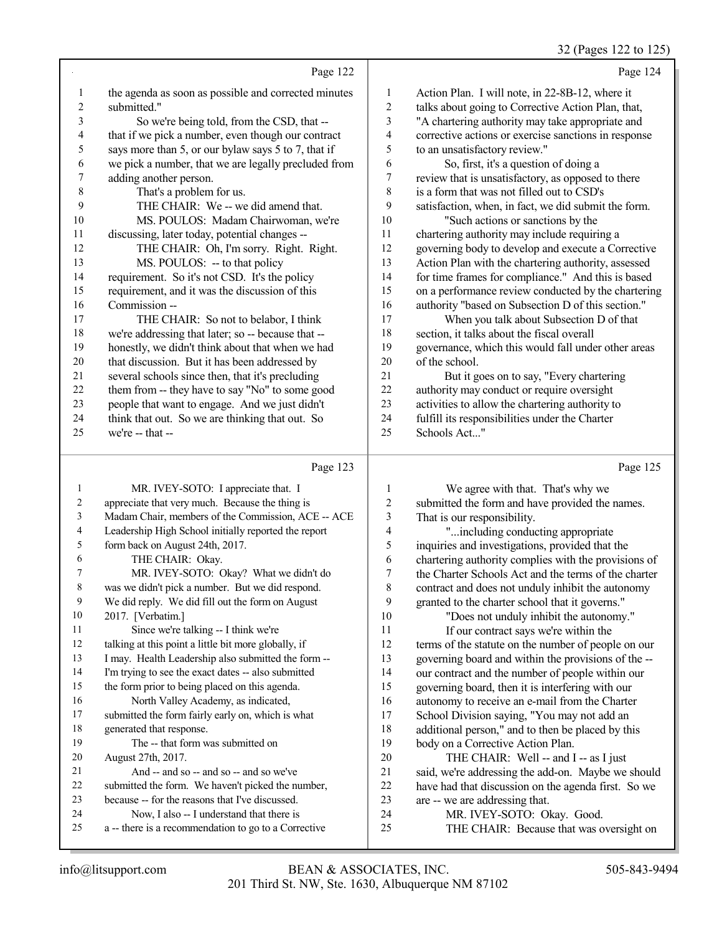32 (Pages 122 to 125)

|              |                                                      |                  | 32 (Pages 122 to 125                                 |
|--------------|------------------------------------------------------|------------------|------------------------------------------------------|
|              | Page 122                                             |                  | Page 124                                             |
| 1            | the agenda as soon as possible and corrected minutes | $\mathbf{1}$     | Action Plan. I will note, in 22-8B-12, where it      |
| 2            | submitted."                                          | $\overline{2}$   | talks about going to Corrective Action Plan, that,   |
| 3            | So we're being told, from the CSD, that --           | 3                | "A chartering authority may take appropriate and     |
| 4            | that if we pick a number, even though our contract   | 4                | corrective actions or exercise sanctions in response |
| 5            | says more than 5, or our bylaw says 5 to 7, that if  | 5                | to an unsatisfactory review."                        |
| 6            | we pick a number, that we are legally precluded from | 6                | So, first, it's a question of doing a                |
| 7            | adding another person.                               | $\boldsymbol{7}$ | review that is unsatisfactory, as opposed to there   |
| $\,$ $\,$    | That's a problem for us.                             | 8                | is a form that was not filled out to CSD's           |
| 9            | THE CHAIR: We -- we did amend that.                  | 9                | satisfaction, when, in fact, we did submit the form. |
| 10           | MS. POULOS: Madam Chairwoman, we're                  | 10               | "Such actions or sanctions by the                    |
| 11           | discussing, later today, potential changes --        | 11               | chartering authority may include requiring a         |
| 12           | THE CHAIR: Oh, I'm sorry. Right. Right.              | 12               | governing body to develop and execute a Corrective   |
| 13           | MS. POULOS: -- to that policy                        | 13               | Action Plan with the chartering authority, assessed  |
| 14           | requirement. So it's not CSD. It's the policy        | 14               | for time frames for compliance." And this is based   |
| 15           | requirement, and it was the discussion of this       | 15               | on a performance review conducted by the chartering  |
| 16           | Commission --                                        | 16               | authority "based on Subsection D of this section."   |
| 17           | THE CHAIR: So not to belabor, I think                | 17               | When you talk about Subsection D of that             |
| 18           | we're addressing that later; so -- because that --   | 18               | section, it talks about the fiscal overall           |
| 19           | honestly, we didn't think about that when we had     | 19               | governance, which this would fall under other areas  |
| $20\,$       | that discussion. But it has been addressed by        | 20               | of the school.                                       |
| 21           | several schools since then, that it's precluding     | 21               | But it goes on to say, "Every chartering             |
| 22           | them from -- they have to say "No" to some good      | 22               | authority may conduct or require oversight           |
| 23           | people that want to engage. And we just didn't       | 23               | activities to allow the chartering authority to      |
| 24           | think that out. So we are thinking that out. So      | 24               | fulfill its responsibilities under the Charter       |
| 25           | we're -- that --                                     | 25               | Schools Act"                                         |
|              | Page 123                                             |                  | Page 125                                             |
| $\mathbf{1}$ | MR. IVEY-SOTO: I appreciate that. I                  | 1                | We agree with that. That's why we                    |
| 2            | appreciate that very much. Because the thing is      | $\overline{c}$   | submitted the form and have provided the names.      |
| 3            | Madam Chair, members of the Commission, ACE -- ACE   | 3                | That is our responsibility.                          |
| 4            | Leadership High School initially reported the report | $\overline{4}$   | " including conducting appropriate                   |
| 5            | form back on August 24th, 2017.                      | 5                | inquiries and investigations, provided that the      |
| 6            | THE CHAIR: Okay.                                     | 6                | chartering authority complies with the provisions of |
| 7            | MR. IVEY-SOTO: Okay? What we didn't do               | 7                | the Charter Schools Act and the terms of the charter |
| 8            | was we didn't pick a number. But we did respond.     | 8                | contract and does not unduly inhibit the autonomy    |
| 9            | We did reply. We did fill out the form on August     | 9                | granted to the charter school that it governs."      |
| 10           | 2017. [Verbatim.]                                    | 10               | "Does not unduly inhibit the autonomy."              |
| 11           | Since we're talking -- I think we're                 | 11               | If our contract says we're within the                |
| 12           | talking at this point a little bit more globally, if | 12               | terms of the statute on the number of people on our  |
| 13           | I may. Health Leadership also submitted the form --  | 13               | governing board and within the provisions of the --  |
| 14           | I'm trying to see the exact dates -- also submitted  | 14               | our contract and the number of people within our     |
| 15           | the form prior to being placed on this agenda.       | 15               | governing board, then it is interfering with our     |
| 16           | North Valley Academy, as indicated,                  | 16               | autonomy to receive an e-mail from the Charter       |
| 17           | submitted the form fairly early on, which is what    | 17               | School Division saying, "You may not add an          |
| 18           | generated that response                              | 18               | additional person " and to then he placed by this    |

generated that response.

August 27th, 2017.

The -- that form was submitted on

21 And -- and so -- and so -- and so we've submitted the form. We haven't picked the number, because -- for the reasons that I've discussed. Now, I also -- I understand that there is a -- there is a recommendation to go to a Corrective

18 additional person," and to then be placed by this<br>19 body on a Corrective Action Plan body on a Corrective Action Plan. 20 THE CHAIR: Well -- and I -- as I just<br>21 said, we're addressing the add-on. Maybe we 21 said, we're addressing the add-on. Maybe we should<br>22 have had that discussion on the agenda first. So we 22 have had that discussion on the agenda first. So we are  $-$  we are addressing that.

THE CHAIR: Because that was oversight on

23 are -- we are addressing that.<br>24 MR IVEY-SOTO: O

24 MR. IVEY-SOTO: Okay. Good.<br>25 THE CHAIR: Because that was o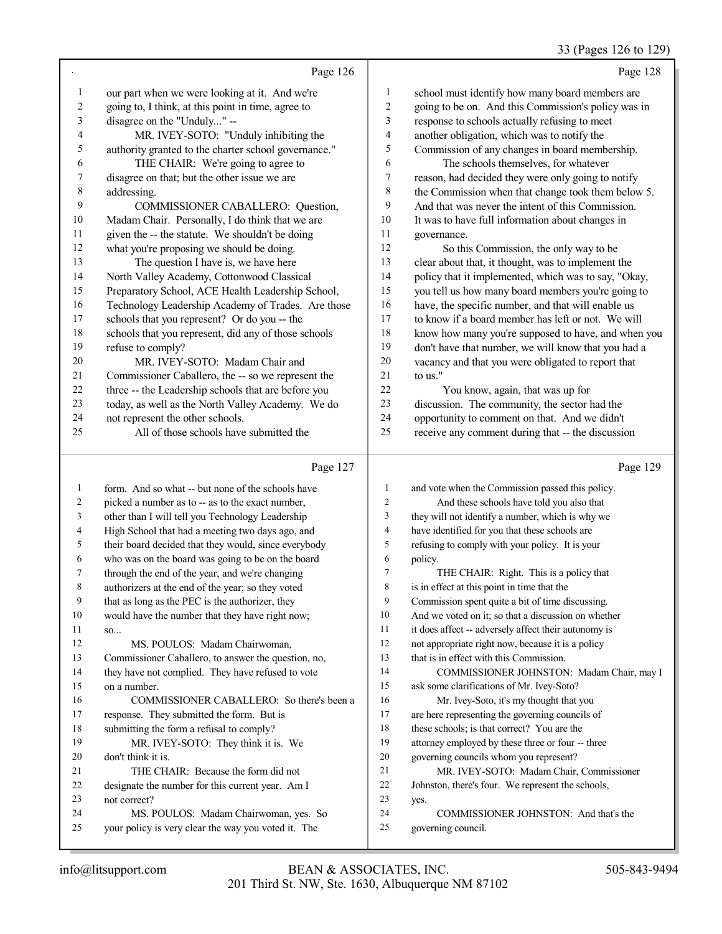#### 33 (Pages 126 to 129)

|                         | Page 126                                             |                         | Page 128                                             |
|-------------------------|------------------------------------------------------|-------------------------|------------------------------------------------------|
| $\mathbf{1}$            | our part when we were looking at it. And we're       | $\mathbf{1}$            | school must identify how many board members are      |
| $\overline{c}$          | going to, I think, at this point in time, agree to   | $\sqrt{2}$              | going to be on. And this Commission's policy was in  |
| 3                       | disagree on the "Unduly" --                          | 3                       | response to schools actually refusing to meet        |
| $\overline{\mathbf{4}}$ | MR. IVEY-SOTO: "Unduly inhibiting the                | $\overline{\mathbf{4}}$ | another obligation, which was to notify the          |
| 5                       | authority granted to the charter school governance." | 5                       | Commission of any changes in board membership.       |
| 6                       | THE CHAIR: We're going to agree to                   | 6                       | The schools themselves, for whatever                 |
| 7                       | disagree on that; but the other issue we are         | $\tau$                  | reason, had decided they were only going to notify   |
| $\,$ 8 $\,$             | addressing.                                          | $\,$ 8 $\,$             | the Commission when that change took them below 5.   |
| 9                       | COMMISSIONER CABALLERO: Question,                    | 9                       | And that was never the intent of this Commission.    |
| $10\,$                  | Madam Chair. Personally, I do think that we are      | $10\,$                  | It was to have full information about changes in     |
| 11                      | given the -- the statute. We shouldn't be doing      | 11                      | governance.                                          |
| 12                      | what you're proposing we should be doing.            | 12                      | So this Commission, the only way to be               |
| 13                      | The question I have is, we have here                 | 13                      | clear about that, it thought, was to implement the   |
| 14                      | North Valley Academy, Cottonwood Classical           | 14                      | policy that it implemented, which was to say, "Okay, |
| 15                      | Preparatory School, ACE Health Leadership School,    | 15                      | you tell us how many board members you're going to   |
| 16                      | Technology Leadership Academy of Trades. Are those   | 16                      | have, the specific number, and that will enable us   |
| 17                      | schools that you represent? Or do you -- the         | 17                      | to know if a board member has left or not. We will   |
| 18                      | schools that you represent, did any of those schools | 18                      | know how many you're supposed to have, and when you  |
| 19                      | refuse to comply?                                    | 19                      | don't have that number, we will know that you had a  |
| 20                      | MR. IVEY-SOTO: Madam Chair and                       | 20                      | vacancy and that you were obligated to report that   |
| 21                      | Commissioner Caballero, the -- so we represent the   | 21                      | to us."                                              |
| 22                      | three -- the Leadership schools that are before you  | 22                      | You know, again, that was up for                     |
| 23                      | today, as well as the North Valley Academy. We do    | 23                      | discussion. The community, the sector had the        |
| 24                      | not represent the other schools.                     | 24                      | opportunity to comment on that. And we didn't        |
| 25                      | All of those schools have submitted the              | 25                      | receive any comment during that -- the discussion    |
|                         | Page 127                                             |                         | Page 129                                             |
| 1                       | form. And so what -- but none of the schools have    | 1                       | and vote when the Commission passed this policy.     |
| $\overline{c}$          | picked a number as to -- as to the exact number,     | $\overline{c}$          | And these schools have told you also that            |
| 3                       | other than I will tell you Technology Leadership     | 3                       | they will not identify a number, which is why we     |
| 4                       | High School that had a meeting two days ago, and     | $\overline{4}$          | have identified for you that these schools are       |
| 5                       | their board decided that they would, since everybody | 5                       | refusing to comply with your policy. It is your      |
| 6                       | who was on the board was going to be on the board    | 6                       | policy.                                              |
| 7                       | through the end of the year, and we're changing      | $\tau$                  | THE CHAIR: Right. This is a policy that              |
|                         |                                                      |                         |                                                      |

authorizers at the end of the year; so they voted

that as long as the PEC is the authorizer, they

 would have the number that they have right now; so...

MS. POULOS: Madam Chairwoman,

 Commissioner Caballero, to answer the question, no, they have not complied. They have refused to vote on a number.

 COMMISSIONER CABALLERO: So there's been a response. They submitted the form. But is submitting the form a refusal to comply? MR. IVEY-SOTO: They think it is. We don't think it is. THE CHAIR: Because the form did not designate the number for this current year. Am I

 not correct? MS. POULOS: Madam Chairwoman, yes. So

your policy is very clear the way you voted it. The

is in effect at this point in time that the

Commission spent quite a bit of time discussing.

And we voted on it; so that a discussion on whether

it does affect -- adversely affect their autonomy is

not appropriate right now, because it is a policy

that is in effect with this Commission.

 COMMISSIONER JOHNSTON: Madam Chair, may I ask some clarifications of Mr. Ivey-Soto?

Mr. Ivey-Soto, it's my thought that you

are here representing the governing councils of

18 these schools; is that correct? You are the

attorney employed by these three or four -- three

governing councils whom you represent?

MR. IVEY-SOTO: Madam Chair, Commissioner

Johnston, there's four. We represent the schools,

yes.

 COMMISSIONER JOHNSTON: And that's the governing council.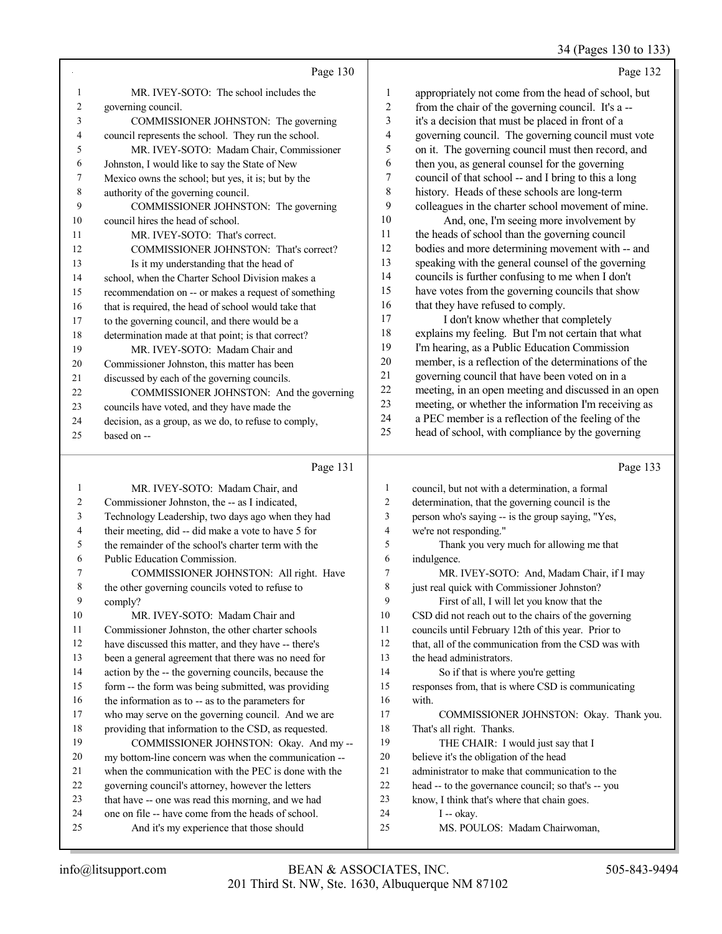34 (Pages 130 to 133)

Page 130 MR. IVEY-SOTO: The school includes the governing council. COMMISSIONER JOHNSTON: The governing council represents the school. They run the school. MR. IVEY-SOTO: Madam Chair, Commissioner Johnston, I would like to say the State of New Mexico owns the school; but yes, it is; but by the authority of the governing council. COMMISSIONER JOHNSTON: The governing council hires the head of school. MR. IVEY-SOTO: That's correct. COMMISSIONER JOHNSTON: That's correct? Is it my understanding that the head of school, when the Charter School Division makes a recommendation on -- or makes a request of something 16 that is required, the head of school would take that to the governing council, and there would be a determination made at that point; is that correct? MR. IVEY-SOTO: Madam Chair and Commissioner Johnston, this matter has been discussed by each of the governing councils. COMMISSIONER JOHNSTON: And the governing councils have voted, and they have made the decision, as a group, as we do, to refuse to comply, based on -- Page 132 appropriately not come from the head of school, but from the chair of the governing council. It's a -- it's a decision that must be placed in front of a governing council. The governing council must vote on it. The governing council must then record, and then you, as general counsel for the governing council of that school -- and I bring to this a long history. Heads of these schools are long-term colleagues in the charter school movement of mine. And, one, I'm seeing more involvement by the heads of school than the governing council bodies and more determining movement with -- and speaking with the general counsel of the governing councils is further confusing to me when I don't have votes from the governing councils that show 16 that they have refused to comply. 17 I don't know whether that completely explains my feeling. But I'm not certain that what I'm hearing, as a Public Education Commission member, is a reflection of the determinations of the governing council that have been voted on in a meeting, in an open meeting and discussed in an open meeting, or whether the information I'm receiving as a PEC member is a reflection of the feeling of the head of school, with compliance by the governing Page 133

#### Page 131

|    | $1 \frac{48}{5}$ $1 \frac{1}{1}$                     |                | $1 \, \text{ug} \cdot 1 \, \text{u}$                 |
|----|------------------------------------------------------|----------------|------------------------------------------------------|
| 1  | MR. IVEY-SOTO: Madam Chair, and                      | 1              | council, but not with a determination, a formal      |
| 2  | Commissioner Johnston, the -- as I indicated,        | $\overline{2}$ | determination, that the governing council is the     |
| 3  | Technology Leadership, two days ago when they had    | $\mathfrak{Z}$ | person who's saying -- is the group saying, "Yes,    |
| 4  | their meeting, did -- did make a vote to have 5 for  | $\overline{4}$ | we're not responding."                               |
| 5  | the remainder of the school's charter term with the  | 5              | Thank you very much for allowing me that             |
| 6  | Public Education Commission.                         | 6              | indulgence.                                          |
| 7  | COMMISSIONER JOHNSTON: All right. Have               | 7              | MR. IVEY-SOTO: And, Madam Chair, if I may            |
| 8  | the other governing councils voted to refuse to      | 8              | just real quick with Commissioner Johnston?          |
| 9  | comply?                                              | 9              | First of all, I will let you know that the           |
| 10 | MR. IVEY-SOTO: Madam Chair and                       | 10             | CSD did not reach out to the chairs of the governing |
| 11 | Commissioner Johnston, the other charter schools     | 11             | councils until February 12th of this year. Prior to  |
| 12 | have discussed this matter, and they have -- there's | 12             | that, all of the communication from the CSD was with |
| 13 | been a general agreement that there was no need for  | 13             | the head administrators.                             |
| 14 | action by the -- the governing councils, because the | 14             | So if that is where you're getting                   |
| 15 | form -- the form was being submitted, was providing  | 15             | responses from, that is where CSD is communicating   |
| 16 | the information as to -- as to the parameters for    | 16             | with.                                                |
| 17 | who may serve on the governing council. And we are   | 17             | COMMISSIONER JOHNSTON: Okay. Thank you.              |
| 18 | providing that information to the CSD, as requested. | 18             | That's all right. Thanks.                            |
| 19 | COMMISSIONER JOHNSTON: Okay. And my --               | 19             | THE CHAIR: I would just say that I                   |
| 20 | my bottom-line concern was when the communication -- | 20             | believe it's the obligation of the head              |
| 21 | when the communication with the PEC is done with the | 21             | administrator to make that communication to the      |
| 22 | governing council's attorney, however the letters    | 22             | head -- to the governance council; so that's -- you  |
| 23 | that have -- one was read this morning, and we had   | 23             | know, I think that's where that chain goes.          |
| 24 | one on file -- have come from the heads of school.   | 24             | $I - okay$ .                                         |
| 25 | And it's my experience that those should             | 25             | MS. POULOS: Madam Chairwoman.                        |
|    |                                                      |                |                                                      |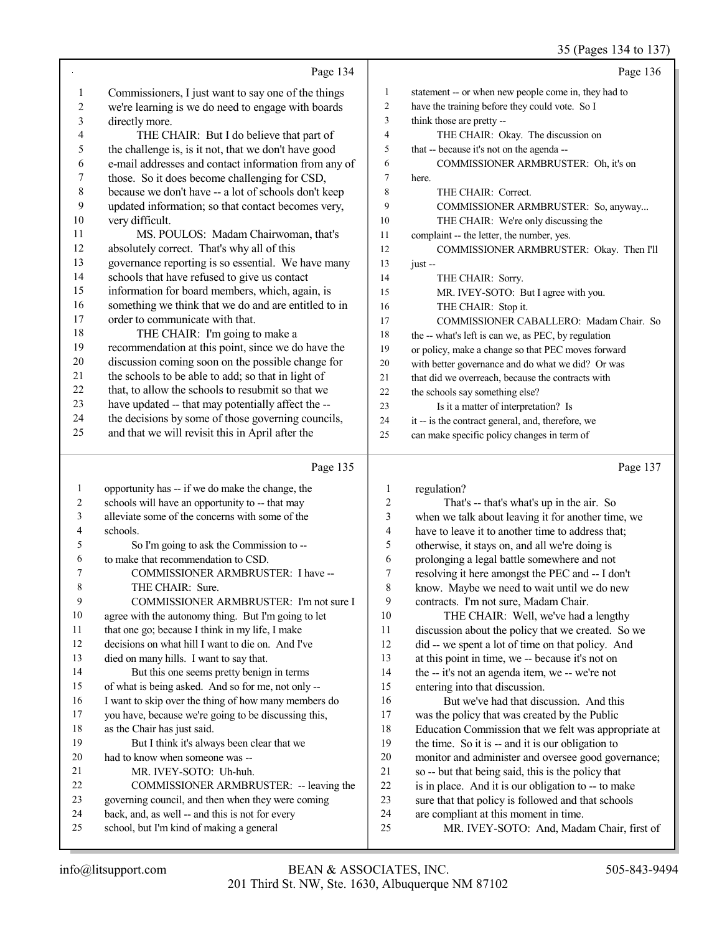|                |                                                                                             |                | 35 (Pages 134 to 137)                                                              |
|----------------|---------------------------------------------------------------------------------------------|----------------|------------------------------------------------------------------------------------|
|                | Page 134                                                                                    |                | Page 136                                                                           |
| 1              | Commissioners, I just want to say one of the things                                         | $\mathbf{1}$   | statement -- or when new people come in, they had to                               |
| $\overline{c}$ | we're learning is we do need to engage with boards                                          | $\overline{c}$ | have the training before they could vote. So I                                     |
| 3              | directly more.                                                                              | 3              | think those are pretty --                                                          |
| 4              | THE CHAIR: But I do believe that part of                                                    | $\overline{4}$ | THE CHAIR: Okay. The discussion on                                                 |
| 5              | the challenge is, is it not, that we don't have good                                        | $\mathfrak s$  | that -- because it's not on the agenda --                                          |
| 6              | e-mail addresses and contact information from any of                                        | 6              | COMMISSIONER ARMBRUSTER: Oh, it's on                                               |
| 7              | those. So it does become challenging for CSD,                                               | $\tau$         | here.                                                                              |
| $\,8\,$        | because we don't have -- a lot of schools don't keep                                        | 8              | THE CHAIR: Correct.                                                                |
| 9              | updated information; so that contact becomes very,                                          | 9              | COMMISSIONER ARMBRUSTER: So, anyway                                                |
| 10             | very difficult.                                                                             | 10             | THE CHAIR: We're only discussing the                                               |
| 11             | MS. POULOS: Madam Chairwoman, that's                                                        | 11             | complaint -- the letter, the number, yes.                                          |
| 12             | absolutely correct. That's why all of this                                                  | 12             | COMMISSIONER ARMBRUSTER: Okay. Then I'll                                           |
| 13             | governance reporting is so essential. We have many                                          | 13             | $just -$                                                                           |
| 14             | schools that have refused to give us contact                                                | 14             | THE CHAIR: Sorry.                                                                  |
| 15             | information for board members, which, again, is                                             | 15             | MR. IVEY-SOTO: But I agree with you.                                               |
| 16             | something we think that we do and are entitled to in                                        | 16             | THE CHAIR: Stop it.                                                                |
| 17             | order to communicate with that.                                                             | 17             | COMMISSIONER CABALLERO: Madam Chair. So                                            |
| 18             | THE CHAIR: I'm going to make a                                                              | 18             | the -- what's left is can we, as PEC, by regulation                                |
| 19             | recommendation at this point, since we do have the                                          | 19             | or policy, make a change so that PEC moves forward                                 |
| $20\,$         | discussion coming soon on the possible change for                                           | 20             | with better governance and do what we did? Or was                                  |
| 21             | the schools to be able to add; so that in light of                                          | 21             | that did we overreach, because the contracts with                                  |
| $22\,$         | that, to allow the schools to resubmit so that we                                           | 22             | the schools say something else?                                                    |
| 23             | have updated -- that may potentially affect the --                                          | 23             | Is it a matter of interpretation? Is                                               |
| 24             | the decisions by some of those governing councils,                                          | 24             | it -- is the contract general, and, therefore, we                                  |
| 25             | and that we will revisit this in April after the                                            | 25             | can make specific policy changes in term of                                        |
|                | Page 135                                                                                    |                | Page 137                                                                           |
| $\mathbf{1}$   | opportunity has -- if we do make the change, the                                            | 1              | regulation?                                                                        |
| 2              | schools will have an opportunity to -- that may                                             | 2              | That's -- that's what's up in the air. So                                          |
| 3              | alleviate some of the concerns with some of the                                             | 3              | when we talk about leaving it for another time, we                                 |
| 4              | schools.                                                                                    | 4              | have to leave it to another time to address that;                                  |
| 5              | So I'm going to ask the Commission to --                                                    | 5              | otherwise, it stays on, and all we're doing is                                     |
| 6              | to make that recommendation to CSD.                                                         | 6              | prolonging a legal battle somewhere and not                                        |
|                | COMMISSIONER ARMBRUSTER: I have --                                                          | $\sqrt{ }$     | resolving it here amongst the PEC and -- I don't                                   |
| $\,$ 8 $\,$    | THE CHAIR: Sure.                                                                            | $\,$ $\,$      | know. Maybe we need to wait until we do new                                        |
| 9              | COMMISSIONER ARMBRUSTER: I'm not sure I                                                     | 9              | contracts. I'm not sure, Madam Chair.                                              |
| 10             | agree with the autonomy thing. But I'm going to let                                         | 10             | THE CHAIR: Well, we've had a lengthy                                               |
| 11             | that one go; because I think in my life, I make                                             | 11             | discussion about the policy that we created. So we                                 |
| 12             | decisions on what hill I want to die on. And I've                                           | 12             | did -- we spent a lot of time on that policy. And                                  |
| 13             | died on many hills. I want to say that.                                                     | 13             | at this point in time, we -- because it's not on                                   |
| 14             | But this one seems pretty benign in terms                                                   | 14             | the -- it's not an agenda item, we -- we're not                                    |
| 15             | of what is being asked. And so for me, not only --                                          | 15             | entering into that discussion.                                                     |
| 16             | I want to skip over the thing of how many members do                                        | 16             | But we've had that discussion. And this                                            |
| 17             | you have, because we're going to be discussing this,                                        | 17             | was the policy that was created by the Public                                      |
| $18\,$         | as the Chair has just said.                                                                 | 18             | Education Commission that we felt was appropriate at                               |
| 19             | But I think it's always been clear that we                                                  | 19             | the time. So it is -- and it is our obligation to                                  |
| 20             | had to know when someone was --                                                             | $20\,$         | monitor and administer and oversee good governance;                                |
| 21             | MR. IVEY-SOTO: Uh-huh.                                                                      | $21\,$         | so -- but that being said, this is the policy that                                 |
| 22             | COMMISSIONER ARMBRUSTER: -- leaving the                                                     | $22\,$         | is in place. And it is our obligation to -- to make                                |
| 23             | governing council, and then when they were coming                                           | 23             | sure that that policy is followed and that schools                                 |
| 24<br>25       | back, and, as well -- and this is not for every<br>school, but I'm kind of making a general | 24<br>25       | are compliant at this moment in time.<br>MR. IVEY-SOTO: And. Madam Chair, first of |
|                |                                                                                             |                |                                                                                    |

school, but I'm kind of making a general

MR. IVEY-SOTO: And, Madam Chair, first of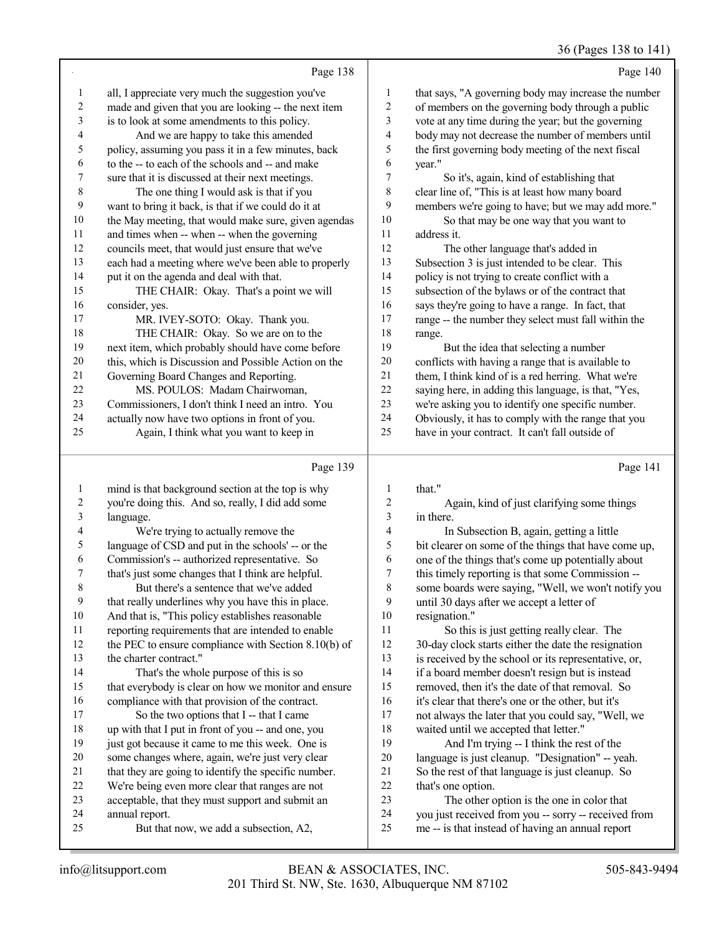## 36 (Pages 138 to 141)

|                | Page 138                                             |                | Page 140                                             |
|----------------|------------------------------------------------------|----------------|------------------------------------------------------|
| 1              | all, I appreciate very much the suggestion you've    | 1              | that says, "A governing body may increase the number |
| $\overline{c}$ | made and given that you are looking -- the next item | $\overline{2}$ | of members on the governing body through a public    |
| 3              | is to look at some amendments to this policy.        | 3              | vote at any time during the year; but the governing  |
| 4              | And we are happy to take this amended                | 4              | body may not decrease the number of members until    |
| 5              | policy, assuming you pass it in a few minutes, back  | 5              | the first governing body meeting of the next fiscal  |
| 6              | to the -- to each of the schools and -- and make     | 6              | year."                                               |
| 7              | sure that it is discussed at their next meetings.    | 7              | So it's, again, kind of establishing that            |
| 8              | The one thing I would ask is that if you             | 8              | clear line of, "This is at least how many board      |
| 9              | want to bring it back, is that if we could do it at  | 9              | members we're going to have; but we may add more."   |
| 10             | the May meeting, that would make sure, given agendas | 10             | So that may be one way that you want to              |
| 11             | and times when -- when -- when the governing         | 11             | address it.                                          |
| 12             | councils meet, that would just ensure that we've     | 12             | The other language that's added in                   |
| 13             | each had a meeting where we've been able to properly | 13             | Subsection 3 is just intended to be clear. This      |
| 14             | put it on the agenda and deal with that.             | 14             | policy is not trying to create conflict with a       |
| 15             | THE CHAIR: Okay. That's a point we will              | 15             | subsection of the bylaws or of the contract that     |
| 16             | consider, yes.                                       | 16             | says they're going to have a range. In fact, that    |
| 17             | MR. IVEY-SOTO: Okay. Thank you.                      | 17             | range -- the number they select must fall within the |
| 18             | THE CHAIR: Okay. So we are on to the                 | 18             | range.                                               |
| 19             | next item, which probably should have come before    | 19             | But the idea that selecting a number                 |
| 20             | this, which is Discussion and Possible Action on the | 20             | conflicts with having a range that is available to   |
| 21             | Governing Board Changes and Reporting.               | 21             | them, I think kind of is a red herring. What we're   |
| 22             | MS. POULOS: Madam Chairwoman,                        | $22\,$         | saying here, in adding this language, is that, "Yes, |
| 23             | Commissioners, I don't think I need an intro. You    | 23             | we're asking you to identify one specific number.    |
| 24             | actually now have two options in front of you.       | 24             | Obviously, it has to comply with the range that you  |
| 25             | Again, I think what you want to keep in              | 25             | have in your contract. It can't fall outside of      |
|                | Page 139                                             |                | Page 141                                             |

## Page 139 |

| 1  | mind is that background section at the top is why    | 1              | that."                                               |
|----|------------------------------------------------------|----------------|------------------------------------------------------|
| 2  | you're doing this. And so, really, I did add some    | 2              | Again, kind of just clarifying some things           |
| 3  | language.                                            | 3              | in there.                                            |
| 4  | We're trying to actually remove the                  | $\overline{4}$ | In Subsection B, again, getting a little             |
| 5  | language of CSD and put in the schools' -- or the    | 5              | bit clearer on some of the things that have come up, |
| 6  | Commission's -- authorized representative. So        | 6              | one of the things that's come up potentially about   |
| 7  | that's just some changes that I think are helpful.   | 7              | this timely reporting is that some Commission --     |
| 8  | But there's a sentence that we've added              | 8              | some boards were saying, "Well, we won't notify you  |
| 9  | that really underlines why you have this in place.   | 9              | until 30 days after we accept a letter of            |
| 10 | And that is, "This policy establishes reasonable     | 10             | resignation."                                        |
| 11 | reporting requirements that are intended to enable   | 11             | So this is just getting really clear. The            |
| 12 | the PEC to ensure compliance with Section 8.10(b) of | 12             | 30-day clock starts either the date the resignation  |
| 13 | the charter contract."                               | 13             | is received by the school or its representative, or, |
| 14 | That's the whole purpose of this is so               | 14             | if a board member doesn't resign but is instead      |
| 15 | that everybody is clear on how we monitor and ensure | 15             | removed, then it's the date of that removal. So      |
| 16 | compliance with that provision of the contract.      | 16             | it's clear that there's one or the other, but it's   |
| 17 | So the two options that I -- that I came             | 17             | not always the later that you could say, "Well, we   |
| 18 | up with that I put in front of you -- and one, you   | 18             | waited until we accepted that letter."               |
| 19 | just got because it came to me this week. One is     | 19             | And I'm trying -- I think the rest of the            |
| 20 | some changes where, again, we're just very clear     | 20             | language is just cleanup. "Designation" -- yeah.     |
| 21 | that they are going to identify the specific number. | 21             | So the rest of that language is just cleanup. So     |
| 22 | We're being even more clear that ranges are not      | 22             | that's one option.                                   |
| 23 | acceptable, that they must support and submit an     | 23             | The other option is the one in color that            |
| 24 | annual report.                                       | 24             | you just received from you -- sorry -- received from |
| 25 | But that now, we add a subsection, A2,               | 25             | me -- is that instead of having an annual report     |
|    |                                                      |                |                                                      |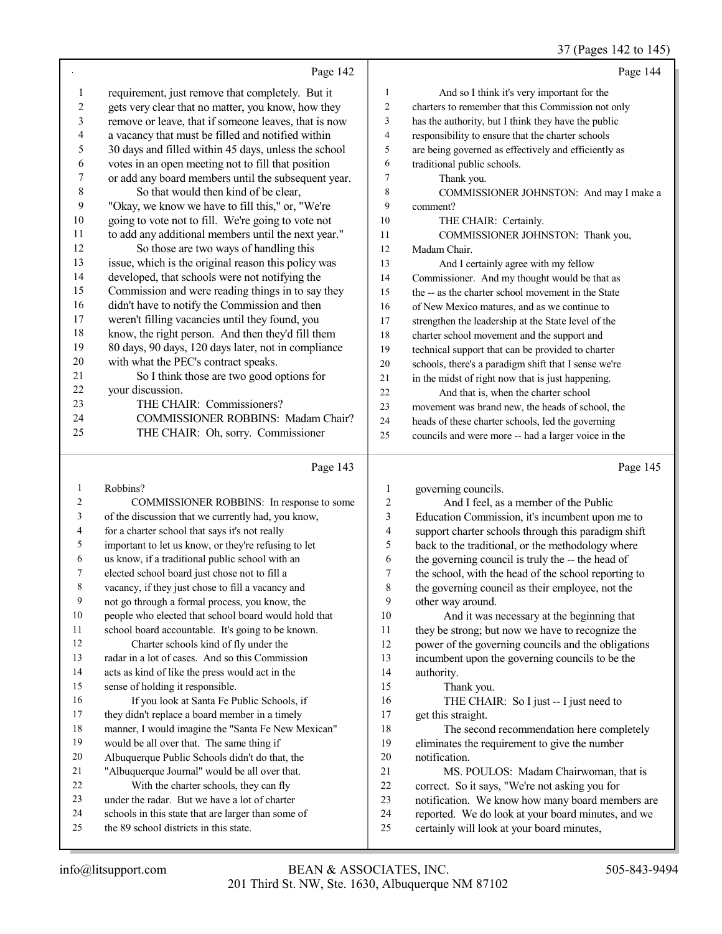## 37 (Pages 142 to 145)

|                | Page 142                                                                                     |                  | Page 144                                                                                         |
|----------------|----------------------------------------------------------------------------------------------|------------------|--------------------------------------------------------------------------------------------------|
| $\mathbf{1}$   | requirement, just remove that completely. But it                                             | $\mathbf{1}$     | And so I think it's very important for the                                                       |
| $\overline{c}$ | gets very clear that no matter, you know, how they                                           | 2                | charters to remember that this Commission not only                                               |
| 3              | remove or leave, that if someone leaves, that is now                                         | 3                | has the authority, but I think they have the public                                              |
| 4              | a vacancy that must be filled and notified within                                            | 4                | responsibility to ensure that the charter schools                                                |
| 5              | 30 days and filled within 45 days, unless the school                                         | 5                | are being governed as effectively and efficiently as                                             |
| 6              | votes in an open meeting not to fill that position                                           | 6                | traditional public schools.                                                                      |
| 7              | or add any board members until the subsequent year.                                          | 7                | Thank you.                                                                                       |
| $\,$ 8 $\,$    | So that would then kind of be clear,                                                         | 8                | COMMISSIONER JOHNSTON: And may I make a                                                          |
| 9              | "Okay, we know we have to fill this," or, "We're                                             | 9                | comment?                                                                                         |
| 10             | going to vote not to fill. We're going to vote not                                           | 10               | THE CHAIR: Certainly.                                                                            |
| 11             | to add any additional members until the next year."                                          | 11               | COMMISSIONER JOHNSTON: Thank you,                                                                |
| 12             | So those are two ways of handling this                                                       | 12               | Madam Chair.                                                                                     |
| 13             | issue, which is the original reason this policy was                                          | 13               | And I certainly agree with my fellow                                                             |
| 14             | developed, that schools were not notifying the                                               | 14               | Commissioner. And my thought would be that as                                                    |
| 15             | Commission and were reading things in to say they                                            | 15               | the -- as the charter school movement in the State                                               |
| 16             | didn't have to notify the Commission and then                                                | 16               | of New Mexico matures, and as we continue to                                                     |
| 17             | weren't filling vacancies until they found, you                                              | 17               | strengthen the leadership at the State level of the                                              |
| 18             | know, the right person. And then they'd fill them                                            | 18               | charter school movement and the support and                                                      |
| 19             | 80 days, 90 days, 120 days later, not in compliance                                          | 19               | technical support that can be provided to charter                                                |
| $20\,$         | with what the PEC's contract speaks.                                                         | $20\,$           | schools, there's a paradigm shift that I sense we're                                             |
| 21             | So I think those are two good options for                                                    | 21               | in the midst of right now that is just happening.                                                |
| 22             | your discussion.                                                                             | 22               | And that is, when the charter school                                                             |
| 23             | THE CHAIR: Commissioners?                                                                    | 23               | movement was brand new, the heads of school, the                                                 |
| 24             | COMMISSIONER ROBBINS: Madam Chair?                                                           | 24               | heads of these charter schools, led the governing                                                |
| 25             | THE CHAIR: Oh, sorry. Commissioner                                                           | 25               | councils and were more -- had a larger voice in the                                              |
|                |                                                                                              |                  |                                                                                                  |
|                | Page 143                                                                                     |                  | Page 145                                                                                         |
| 1              | Robbins?                                                                                     | 1                |                                                                                                  |
| 2              | COMMISSIONER ROBBINS: In response to some                                                    | $\boldsymbol{2}$ | governing councils.<br>And I feel, as a member of the Public                                     |
| 3              | of the discussion that we currently had, you know,                                           | 3                | Education Commission, it's incumbent upon me to                                                  |
| 4              | for a charter school that says it's not really                                               | $\overline{4}$   | support charter schools through this paradigm shift                                              |
| 5              | important to let us know, or they're refusing to let                                         | 5                | back to the traditional, or the methodology where                                                |
| 6              | us know, if a traditional public school with an                                              | 6                | the governing council is truly the -- the head of                                                |
| 7              | elected school board just chose not to fill a                                                | 7                | the school, with the head of the school reporting to                                             |
| 8              | vacancy, if they just chose to fill a vacancy and                                            | $\,$ 8 $\,$      | the governing council as their employee, not the                                                 |
| 9              | not go through a formal process, you know, the                                               | 9                | other way around.                                                                                |
| 10             | people who elected that school board would hold that                                         | 10               | And it was necessary at the beginning that                                                       |
| 11             | school board accountable. It's going to be known.                                            | 11               | they be strong; but now we have to recognize the                                                 |
| 12             | Charter schools kind of fly under the                                                        | 12               | power of the governing councils and the obligations                                              |
| 13             | radar in a lot of cases. And so this Commission                                              | 13               | incumbent upon the governing councils to be the                                                  |
| 14             | acts as kind of like the press would act in the                                              | 14               | authority.                                                                                       |
| 15             | sense of holding it responsible.                                                             | 15               | Thank you.                                                                                       |
| 16             | If you look at Santa Fe Public Schools, if                                                   | 16               | THE CHAIR: So I just -- I just need to                                                           |
| 17             | they didn't replace a board member in a timely                                               | 17               | get this straight.                                                                               |
| 18             | manner, I would imagine the "Santa Fe New Mexican"                                           | 18               | The second recommendation here completely                                                        |
| 19             | would be all over that. The same thing if                                                    | 19               | eliminates the requirement to give the number                                                    |
| 20             | Albuquerque Public Schools didn't do that, the                                               | $20\,$           | notification.                                                                                    |
| 21             | "Albuquerque Journal" would be all over that.                                                | 21               | MS. POULOS: Madam Chairwoman, that is                                                            |
| 22             | With the charter schools, they can fly                                                       | 22               | correct. So it says, "We're not asking you for                                                   |
| 23             | under the radar. But we have a lot of charter                                                | 23               | notification. We know how many board members are                                                 |
| 24<br>25       | schools in this state that are larger than some of<br>the 89 school districts in this state. | 24<br>25         | reported. We do look at your board minutes, and we<br>certainly will look at your board minutes, |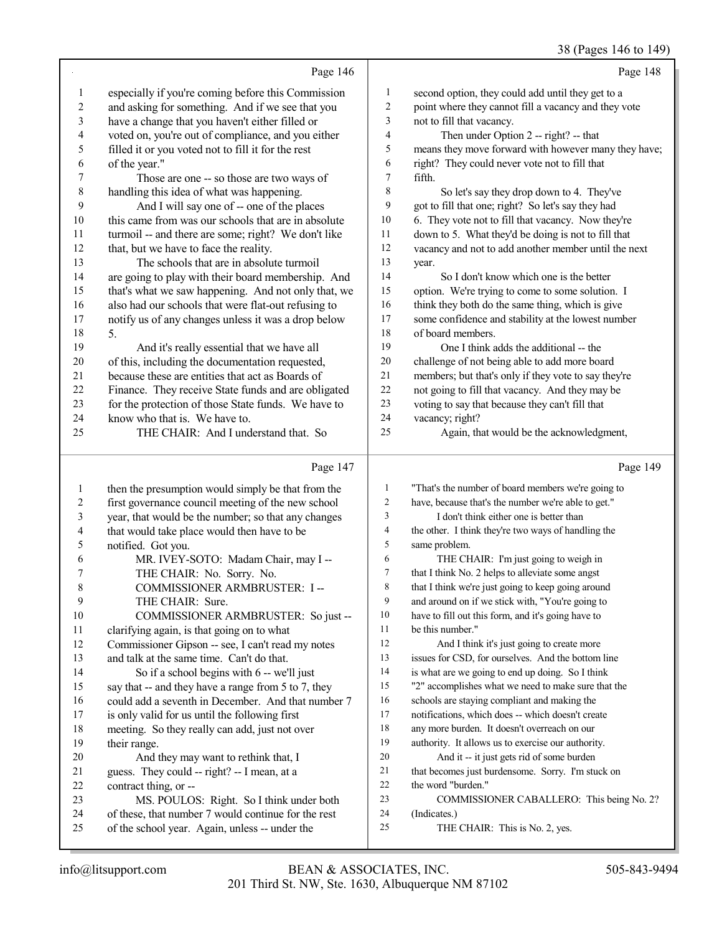## (Pages 146 to 14)

|                |                                                     |                          | 38 (Pages 146 to 149)                                |
|----------------|-----------------------------------------------------|--------------------------|------------------------------------------------------|
|                | Page 146                                            |                          | Page 148                                             |
| $\mathbf{1}$   | especially if you're coming before this Commission  | 1                        | second option, they could add until they get to a    |
| $\overline{c}$ | and asking for something. And if we see that you    | $\overline{2}$           | point where they cannot fill a vacancy and they vote |
| 3              | have a change that you haven't either filled or     | 3                        | not to fill that vacancy.                            |
| 4              | voted on, you're out of compliance, and you either  | $\overline{4}$           | Then under Option 2 -- right? -- that                |
| 5              | filled it or you voted not to fill it for the rest  | 5                        | means they move forward with however many they have; |
| 6              | of the year."                                       | 6                        | right? They could never vote not to fill that        |
| 7              | Those are one -- so those are two ways of           | $\tau$                   | fifth.                                               |
| $\,$ $\,$      | handling this idea of what was happening.           | $\,$ 8 $\,$              | So let's say they drop down to 4. They've            |
| 9              | And I will say one of -- one of the places          | 9                        | got to fill that one; right? So let's say they had   |
| 10             | this came from was our schools that are in absolute | $10\,$                   | 6. They vote not to fill that vacancy. Now they're   |
| 11             | turmoil -- and there are some; right? We don't like | 11                       | down to 5. What they'd be doing is not to fill that  |
| 12             | that, but we have to face the reality.              | $12\,$                   | vacancy and not to add another member until the next |
| 13             | The schools that are in absolute turmoil            | 13                       | year.                                                |
| 14             | are going to play with their board membership. And  | 14                       | So I don't know which one is the better              |
| 15             | that's what we saw happening. And not only that, we | 15                       | option. We're trying to come to some solution. I     |
| 16             | also had our schools that were flat-out refusing to | 16                       | think they both do the same thing, which is give     |
| 17             | notify us of any changes unless it was a drop below | $17\,$                   | some confidence and stability at the lowest number   |
| 18             | 5.                                                  | $18\,$                   | of board members.                                    |
| 19             | And it's really essential that we have all          | 19                       | One I think adds the additional -- the               |
| $20\,$         | of this, including the documentation requested,     | $20\,$                   | challenge of not being able to add more board        |
| 21             | because these are entities that act as Boards of    | 21                       | members; but that's only if they vote to say they're |
| 22             | Finance. They receive State funds and are obligated | $22\,$                   | not going to fill that vacancy. And they may be      |
| 23             | for the protection of those State funds. We have to | 23                       | voting to say that because they can't fill that      |
| 24             | know who that is. We have to.                       | 24                       | vacancy; right?                                      |
| 25             | THE CHAIR: And I understand that. So                | 25                       | Again, that would be the acknowledgment,             |
|                |                                                     |                          |                                                      |
|                | Page 147                                            |                          | Page 149                                             |
| $\mathbf{1}$   | then the presumption would simply be that from the  | $\mathbf{1}$             | "That's the number of board members we're going to   |
| $\overline{c}$ | first governance council meeting of the new school  | 2                        | have, because that's the number we're able to get."  |
| $\mathfrak{Z}$ | year, that would be the number; so that any changes | 3                        | I don't think either one is better than              |
| $\overline{4}$ | that would take place would then have to be         | $\overline{\mathcal{A}}$ | the other. I think they're two ways of handling the  |
| $\mathfrak s$  | notified. Got you.                                  | 5                        | same problem.                                        |
| 6              | MR. IVEY-SOTO: Madam Chair, may I --                | 6                        | THE CHAIR: I'm just going to weigh in                |
| 7              | THE CHAIR: No. Sorry. No.                           | $\overline{7}$           | that I think No. 2 helps to alleviate some angst     |
| 8              | COMMISSIONER ARMBRUSTER: I --                       | 8                        | that I think we're just going to keep going around   |
| 9              | THE CHAIR: Sure.                                    | 9                        | and around on if we stick with, "You're going to     |
| $10\,$         | COMMISSIONER ARMBRUSTER: So just --                 | 10                       | have to fill out this form, and it's going have to   |
| 11             | clarifying again, is that going on to what          | 11                       | be this number."                                     |
| 12             | Commissioner Gipson -- see, I can't read my notes   | 12                       | And I think it's just going to create more           |
| 13             | and talk at the same time. Can't do that.           | 13                       | issues for CSD, for ourselves. And the bottom line   |
| 14             | So if a school begins with 6 -- we'll just          | 14                       | is what are we going to end up doing. So I think     |
| 15             | say that -- and they have a range from 5 to 7, they | 15                       | "2" accomplishes what we need to make sure that the  |
| 16             | could add a seventh in December. And that number 7  | 16                       | schools are staying compliant and making the         |
| 17             | is only valid for us until the following first      | 17                       | notifications, which does -- which doesn't create    |
| 18             | meeting. So they really can add, just not over      | $18\,$                   | any more burden. It doesn't overreach on our         |
| 19             | their range.                                        | 19                       | authority. It allows us to exercise our authority.   |
| $20\,$         | And they may want to rethink that, I                | 20                       | And it -- it just gets rid of some burden            |
| 21             | guess. They could -- right? -- I mean, at a         | 21                       | that becomes just burdensome. Sorry. I'm stuck on    |
|                |                                                     |                          |                                                      |
| $22\,$         | contract thing, or --                               | 22                       | the word "burden."                                   |

- 24 (Indicates.)<br>25 THE
	- THE CHAIR: This is No. 2, yes.

 of these, that number 7 would continue for the rest of the school year. Again, unless -- under the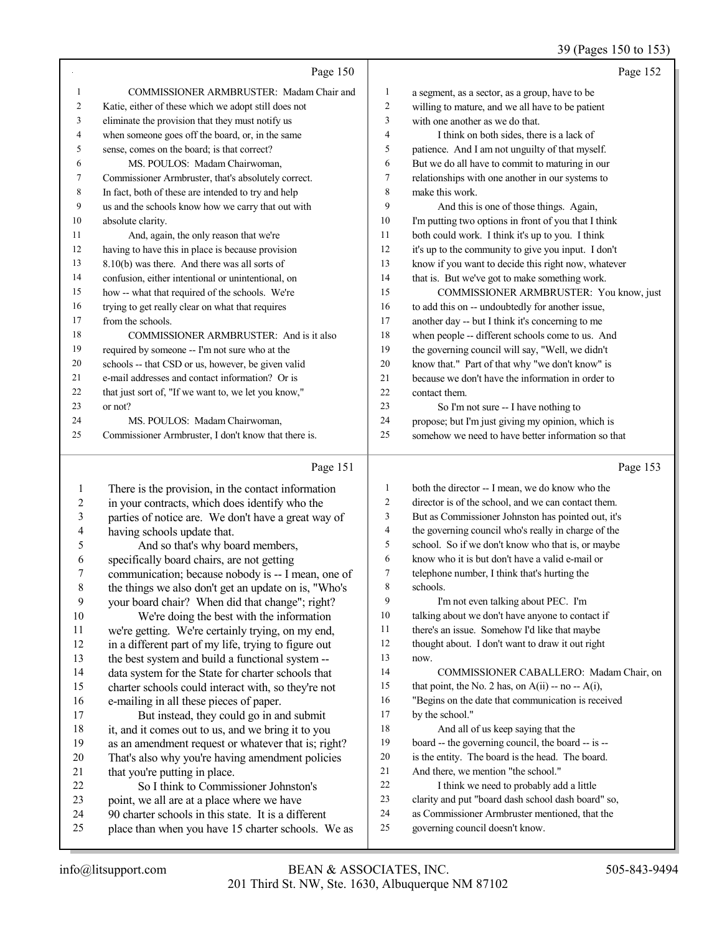## 39 (Pages 150 to 153)

|    | Page 150                                             |                | Page 152                                             |
|----|------------------------------------------------------|----------------|------------------------------------------------------|
|    | COMMISSIONER ARMBRUSTER: Madam Chair and             | 1              | a segment, as a sector, as a group, have to be       |
| 2  | Katie, either of these which we adopt still does not | $\overline{c}$ | willing to mature, and we all have to be patient     |
| 3  | eliminate the provision that they must notify us     | 3              | with one another as we do that.                      |
| 4  | when someone goes off the board, or, in the same     | 4              | I think on both sides, there is a lack of            |
| 5  | sense, comes on the board; is that correct?          | 5              | patience. And I am not unguilty of that myself.      |
| 6  | MS. POULOS: Madam Chairwoman,                        | 6              | But we do all have to commit to maturing in our      |
| 7  | Commissioner Armbruster, that's absolutely correct.  | 7              | relationships with one another in our systems to     |
| 8  | In fact, both of these are intended to try and help  | 8              | make this work.                                      |
| 9  | us and the schools know how we carry that out with   | 9              | And this is one of those things. Again,              |
| 10 | absolute clarity.                                    | 10             | I'm putting two options in front of you that I think |
| 11 | And, again, the only reason that we're               | 11             | both could work. I think it's up to you. I think     |
| 12 | having to have this in place is because provision    | 12             | it's up to the community to give you input. I don't  |
| 13 | 8.10(b) was there. And there was all sorts of        | 13             | know if you want to decide this right now, whatever  |
| 14 | confusion, either intentional or unintentional, on   | 14             | that is. But we've got to make something work.       |
| 15 | how -- what that required of the schools. We're      | 15             | COMMISSIONER ARMBRUSTER: You know, just              |
| 16 | trying to get really clear on what that requires     | 16             | to add this on -- undoubtedly for another issue,     |
| 17 | from the schools.                                    | 17             | another day -- but I think it's concerning to me     |
| 18 | COMMISSIONER ARMBRUSTER: And is it also              | 18             | when people -- different schools come to us. And     |
| 19 | required by someone -- I'm not sure who at the       | 19             | the governing council will say, "Well, we didn't     |
| 20 | schools -- that CSD or us, however, be given valid   | 20             | know that." Part of that why "we don't know" is      |
| 21 | e-mail addresses and contact information? Or is      | 21             | because we don't have the information in order to    |
| 22 | that just sort of, "If we want to, we let you know," | 22             | contact them.                                        |
| 23 | or not?                                              | 23             | So I'm not sure -- I have nothing to                 |
| 24 | MS. POULOS: Madam Chairwoman,                        | 24             | propose; but I'm just giving my opinion, which is    |
| 25 | Commissioner Armbruster, I don't know that there is. | 25             | somehow we need to have better information so that   |
|    | Page 151                                             |                | Page 153                                             |

#### Page 151 |

|                                                      | 1                                                  | both the director -- I mean, we do know who the         |
|------------------------------------------------------|----------------------------------------------------|---------------------------------------------------------|
| in your contracts, which does identify who the       | 2                                                  | director is of the school, and we can contact them.     |
| parties of notice are. We don't have a great way of  | 3                                                  | But as Commissioner Johnston has pointed out, it's      |
| having schools update that.                          | 4                                                  | the governing council who's really in charge of the     |
| And so that's why board members,                     | 5                                                  | school. So if we don't know who that is, or maybe       |
| specifically board chairs, are not getting           | 6                                                  | know who it is but don't have a valid e-mail or         |
| communication; because nobody is -- I mean, one of   | 7                                                  | telephone number, I think that's hurting the            |
| the things we also don't get an update on is, "Who's | 8                                                  | schools.                                                |
| your board chair? When did that change"; right?      | 9                                                  | I'm not even talking about PEC. I'm                     |
| We're doing the best with the information            | 10                                                 | talking about we don't have anyone to contact if        |
| we're getting. We're certainly trying, on my end,    | 11                                                 | there's an issue. Somehow I'd like that maybe           |
| in a different part of my life, trying to figure out | 12                                                 | thought about. I don't want to draw it out right        |
| the best system and build a functional system --     | 13                                                 | now.                                                    |
| data system for the State for charter schools that   | 14                                                 | COMMISSIONER CABALLERO: Madam Chair, on                 |
| charter schools could interact with, so they're not  | 15                                                 | that point, the No. 2 has, on $A(ii)$ -- no -- $A(i)$ , |
| e-mailing in all these pieces of paper.              | 16                                                 | "Begins on the date that communication is received      |
| But instead, they could go in and submit             | 17                                                 | by the school."                                         |
| it, and it comes out to us, and we bring it to you   | 18                                                 | And all of us keep saying that the                      |
| as an amendment request or whatever that is; right?  | 19                                                 | board -- the governing council, the board -- is --      |
| That's also why you're having amendment policies     | 20                                                 | is the entity. The board is the head. The board.        |
| that you're putting in place.                        | 21                                                 | And there, we mention "the school."                     |
| So I think to Commissioner Johnston's                | 22                                                 | I think we need to probably add a little                |
| point, we all are at a place where we have           | 23                                                 | clarity and put "board dash school dash board" so,      |
| 90 charter schools in this state. It is a different  | 24                                                 | as Commissioner Armbruster mentioned, that the          |
| place than when you have 15 charter schools. We as   | 25                                                 | governing council doesn't know.                         |
|                                                      | There is the provision, in the contact information |                                                         |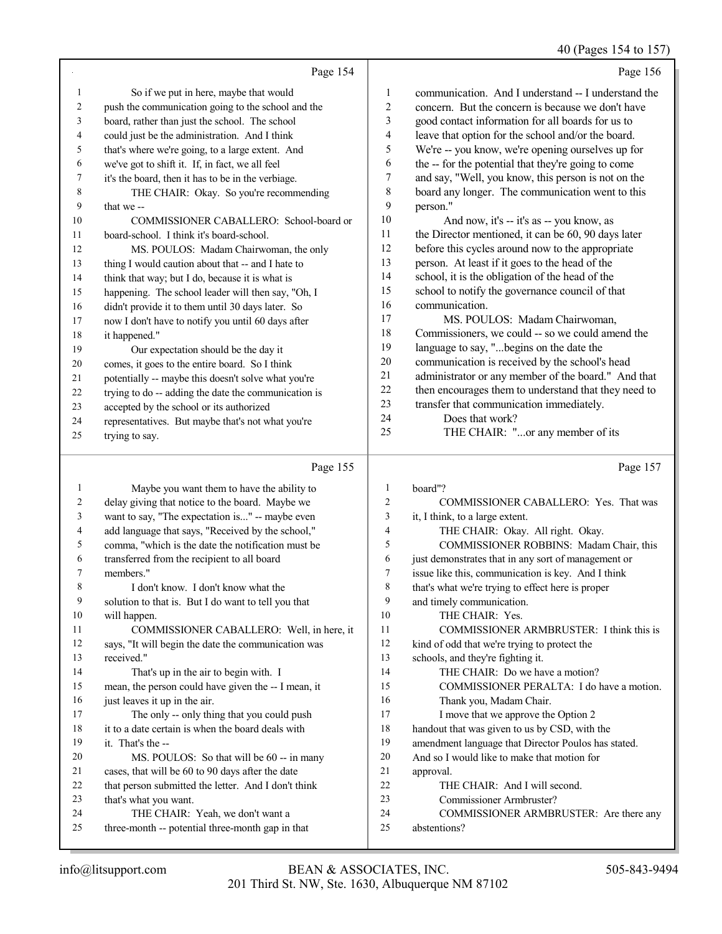$40 \text{ (Dogos } 154 \text{ to } 15$ 

|    |                                                      |                | 40 (Pages 154 to 157)                                |
|----|------------------------------------------------------|----------------|------------------------------------------------------|
|    | Page 154                                             |                | Page 156                                             |
| 1  | So if we put in here, maybe that would               | 1              | communication. And I understand -- I understand the  |
| 2  | push the communication going to the school and the   | $\overline{c}$ | concern. But the concern is because we don't have    |
| 3  | board, rather than just the school. The school       | 3              | good contact information for all boards for us to    |
| 4  | could just be the administration. And I think        | 4              | leave that option for the school and/or the board.   |
| 5  | that's where we're going, to a large extent. And     | 5              | We're -- you know, we're opening ourselves up for    |
| 6  | we've got to shift it. If, in fact, we all feel      | 6              | the -- for the potential that they're going to come  |
| 7  | it's the board, then it has to be in the verbiage.   | 7              | and say, "Well, you know, this person is not on the  |
| 8  | THE CHAIR: Okay. So you're recommending              | 8              | board any longer. The communication went to this     |
| 9  | that we-                                             | 9              | person."                                             |
| 10 | COMMISSIONER CABALLERO: School-board or              | 10             | And now, it's -- it's as -- you know, as             |
| 11 | board-school. I think it's board-school.             | 11             | the Director mentioned, it can be 60, 90 days later  |
| 12 | MS. POULOS: Madam Chairwoman, the only               | 12             | before this cycles around now to the appropriate     |
| 13 | thing I would caution about that -- and I hate to    | 13             | person. At least if it goes to the head of the       |
| 14 | think that way; but I do, because it is what is      | 14             | school, it is the obligation of the head of the      |
| 15 | happening. The school leader will then say, "Oh, I   | 15             | school to notify the governance council of that      |
| 16 | didn't provide it to them until 30 days later. So    | 16             | communication.                                       |
| 17 | now I don't have to notify you until 60 days after   | 17             | MS. POULOS: Madam Chairwoman,                        |
| 18 | it happened."                                        | 18             | Commissioners, we could -- so we could amend the     |
| 19 | Our expectation should be the day it                 | 19             | language to say, "begins on the date the             |
| 20 | comes, it goes to the entire board. So I think       | 20             | communication is received by the school's head       |
| 21 | potentially -- maybe this doesn't solve what you're  | 21             | administrator or any member of the board." And that  |
| 22 | trying to do -- adding the date the communication is | 22             | then encourages them to understand that they need to |
| 23 | accepted by the school or its authorized             | 23             | transfer that communication immediately.             |
| 24 | representatives. But maybe that's not what you're    | 24             | Does that work?                                      |
| 25 | trying to say.                                       | 25             | THE CHAIR: "or any member of its                     |
|    | Page 155                                             |                | Page 157                                             |
| -1 | Maybe you want them to have the ability to           | $\mathbf{1}$   | ho <sub>2</sub> rd''2                                |

Maybe you want them to have the ability to delay giving that notice to the board. Maybe we want to say, "The expectation is..." -- maybe even add language that says, "Received by the school," comma, "which is the date the notification must be 6 transferred from the recipient to all board<br>7 members " members." I don't know. I don't know what the solution to that is. But I do want to tell you that will happen. COMMISSIONER CABALLERO: Well, in here, it says, "It will begin the date the communication was received." That's up in the air to begin with. I mean, the person could have given the -- I mean, it 16 just leaves it up in the air. 17 The only -- only thing that you could push it to a date certain is when the board deals with it. That's the -- 20 MS. POULOS: So that will be 60 -- in many cases, that will be 60 to 90 days after the date 22 that person submitted the letter. And I don't think<br>
23 that's what you want that's what you want. THE CHAIR: Yeah, we don't want a three-month -- potential three-month gap in that board" COMMISSIONER CABALLERO: Yes. That was it, I think, to a large extent. 4 THE CHAIR: Okay. All right. Okay.<br>5 COMMISSIONER ROBBINS: Madar COMMISSIONER ROBBINS: Madam Chair, this just demonstrates that in any sort of management or 7 issue like this, communication is key. And I think<br>8 that's what we're trying to effect here is proper that's what we're trying to effect here is proper and timely communication. 10 THE CHAIR: Yes. COMMISSIONER ARMBRUSTER: I think this is kind of odd that we're trying to protect the schools, and they're fighting it. THE CHAIR: Do we have a motion? COMMISSIONER PERALTA: I do have a motion. Thank you, Madam Chair. 17 I move that we approve the Option 2 18 handout that was given to us by CSD, with the amendment language that Director Poulos has stated. And so I would like to make that motion for approval. 22 THE CHAIR: And I will second.<br>23 Commissioner Armbruster? Commissioner Armbruster? COMMISSIONER ARMBRUSTER: Are there any abstentions?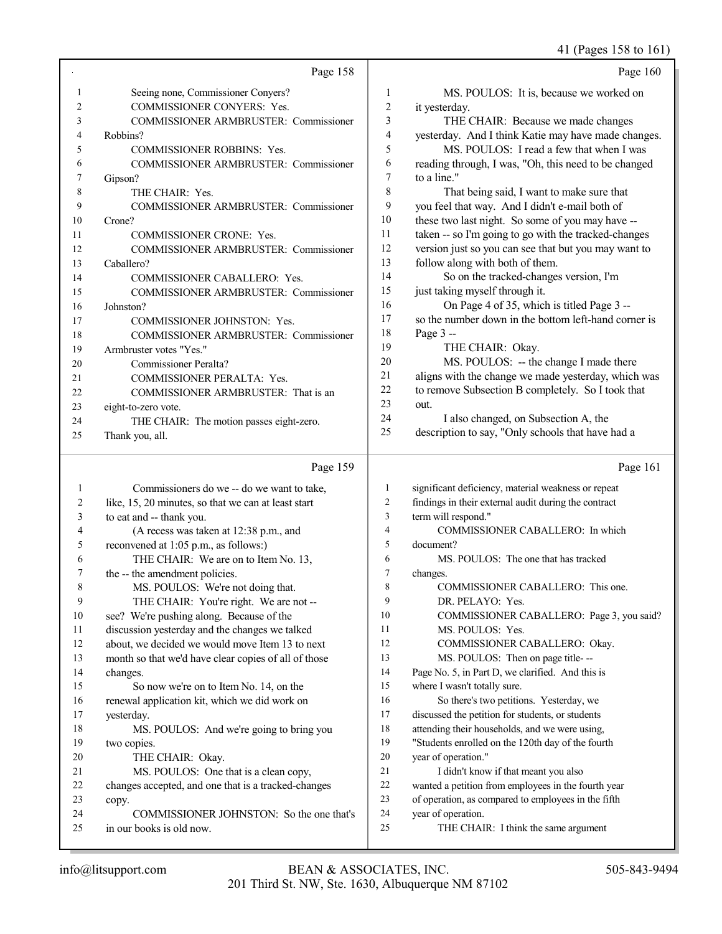#### 41 (Pages 158 to 161)

|                | Page 158                                             |                | Page 160                                             |
|----------------|------------------------------------------------------|----------------|------------------------------------------------------|
| 1              | Seeing none, Commissioner Conyers?                   | 1              | MS. POULOS: It is, because we worked on              |
| $\overline{c}$ | COMMISSIONER CONYERS: Yes.                           | $\overline{c}$ | it yesterday.                                        |
| 3              | COMMISSIONER ARMBRUSTER: Commissioner                | 3              | THE CHAIR: Because we made changes                   |
| 4              | Robbins?                                             | 4              | yesterday. And I think Katie may have made changes.  |
| 5              | COMMISSIONER ROBBINS: Yes.                           | 5              | MS. POULOS: I read a few that when I was             |
| 6              | COMMISSIONER ARMBRUSTER: Commissioner                | 6              | reading through, I was, "Oh, this need to be changed |
| 7              | Gipson?                                              | 7              | to a line."                                          |
| 8              | THE CHAIR: Yes.                                      | 8              | That being said, I want to make sure that            |
| 9              | COMMISSIONER ARMBRUSTER: Commissioner                | 9              | you feel that way. And I didn't e-mail both of       |
| 10             | Crone?                                               | 10             | these two last night. So some of you may have --     |
| 11             | <b>COMMISSIONER CRONE: Yes.</b>                      | 11             | taken -- so I'm going to go with the tracked-changes |
| 12             | COMMISSIONER ARMBRUSTER: Commissioner                | 12             | version just so you can see that but you may want to |
| 13             | Caballero?                                           | 13             | follow along with both of them.                      |
| 14             | COMMISSIONER CABALLERO: Yes.                         | 14             | So on the tracked-changes version, I'm               |
| 15             | COMMISSIONER ARMBRUSTER: Commissioner                | 15             | just taking myself through it.                       |
| 16             | Johnston?                                            | 16             | On Page 4 of 35, which is titled Page 3 --           |
| 17             | COMMISSIONER JOHNSTON: Yes.                          | 17             | so the number down in the bottom left-hand corner is |
| 18             | COMMISSIONER ARMBRUSTER: Commissioner                | 18             | Page 3 --                                            |
| 19             | Armbruster votes "Yes."                              | 19             | THE CHAIR: Okay.                                     |
| 20             | Commissioner Peralta?                                | 20             | MS. POULOS: -- the change I made there               |
|                |                                                      | 21             | aligns with the change we made yesterday, which was  |
| 21<br>22       | COMMISSIONER PERALTA: Yes.                           | 22             | to remove Subsection B completely. So I took that    |
|                | COMMISSIONER ARMBRUSTER: That is an                  | 23             | out.                                                 |
| 23             | eight-to-zero vote.                                  | 24             | I also changed, on Subsection A, the                 |
| 24             | THE CHAIR: The motion passes eight-zero.             | 25             | description to say, "Only schools that have had a    |
| 25             | Thank you, all.                                      |                |                                                      |
|                | Page 159                                             |                | Page 161                                             |
| 1              | Commissioners do we -- do we want to take,           | 1              | significant deficiency, material weakness or repeat  |
| 2              | like, 15, 20 minutes, so that we can at least start  | $\overline{c}$ | findings in their external audit during the contract |
| 3              | to eat and -- thank you.                             | 3              | term will respond."                                  |
| 4              | (A recess was taken at 12:38 p.m., and               | $\overline{4}$ | COMMISSIONER CABALLERO: In which                     |
| 5              | reconvened at 1:05 p.m., as follows:)                | 5              | document?                                            |
| 6              | THE CHAIR: We are on to Item No. 13,                 | 6              | MS. POULOS: The one that has tracked                 |
| 7              | the -- the amendment policies.                       | $\tau$         | changes.                                             |
| 8              | MS. POULOS: We're not doing that.                    | $\,$ $\,$      | COMMISSIONER CABALLERO: This one.                    |
| 9              | THE CHAIR: You're right. We are not --               | 9              | DR. PELAYO: Yes.                                     |
| 10             | see? We're pushing along. Because of the             | 10             | COMMISSIONER CABALLERO: Page 3, you said?            |
| 11             | discussion yesterday and the changes we talked       | 11             | MS. POULOS: Yes.                                     |
| 12             | about, we decided we would move Item 13 to next      | 12             | COMMISSIONER CABALLERO: Okay.                        |
| 13             | month so that we'd have clear copies of all of those | 13             | MS. POULOS: Then on page title---                    |
| 14             | changes.                                             | 14             | Page No. 5, in Part D, we clarified. And this is     |
| 15             | So now we're on to Item No. 14, on the               | 15             | where I wasn't totally sure.                         |
| 16             | renewal application kit, which we did work on        | 16             | So there's two petitions. Yesterday, we              |
| 17             | yesterday.                                           | 17             | discussed the petition for students, or students     |
| 18             | MS. POULOS: And we're going to bring you             | 18             | attending their households, and we were using,       |
| 19             | two copies.                                          | 19             | "Students enrolled on the 120th day of the fourth    |
| 20             | THE CHAIR: Okay.                                     | 20             | year of operation."                                  |
| 21             | MS. POULOS: One that is a clean copy,                | 21             | I didn't know if that meant you also                 |
| 22             | changes accepted, and one that is a tracked-changes  | 22             | wanted a petition from employees in the fourth year  |
| 23             | copy.                                                | 23             | of operation, as compared to employees in the fifth  |

copy.

 COMMISSIONER JOHNSTON: So the one that's in our books is old now.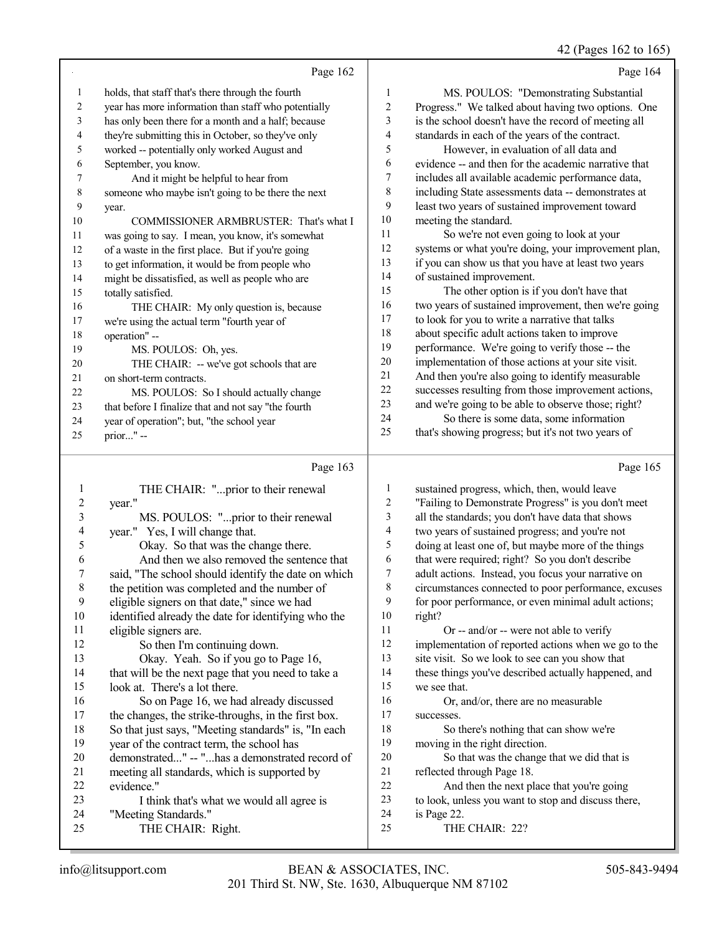42 (Pages 162 to 165)

|    | Page 162                                             |                | Page 164                                             |
|----|------------------------------------------------------|----------------|------------------------------------------------------|
| 1  | holds, that staff that's there through the fourth    | 1              | MS. POULOS: "Demonstrating Substantial               |
| 2  | year has more information than staff who potentially | $\overline{c}$ | Progress." We talked about having two options. One   |
| 3  | has only been there for a month and a half; because  | 3              | is the school doesn't have the record of meeting all |
| 4  | they're submitting this in October, so they've only  | $\overline{4}$ | standards in each of the years of the contract.      |
| 5  | worked -- potentially only worked August and         | 5              | However, in evaluation of all data and               |
| 6  | September, you know.                                 | 6              | evidence -- and then for the academic narrative that |
| 7  | And it might be helpful to hear from                 | 7              | includes all available academic performance data,    |
| 8  | someone who maybe isn't going to be there the next   | 8              | including State assessments data -- demonstrates at  |
| 9  | year.                                                | 9              | least two years of sustained improvement toward      |
| 10 | COMMISSIONER ARMBRUSTER: That's what I               | 10             | meeting the standard.                                |
| 11 | was going to say. I mean, you know, it's somewhat    | 11             | So we're not even going to look at your              |
| 12 | of a waste in the first place. But if you're going   | 12             | systems or what you're doing, your improvement plan, |
| 13 | to get information, it would be from people who      | 13             | if you can show us that you have at least two years  |
| 14 | might be dissatisfied, as well as people who are     | 14             | of sustained improvement.                            |
| 15 | totally satisfied.                                   | 15             | The other option is if you don't have that           |
| 16 | THE CHAIR: My only question is, because              | 16             | two years of sustained improvement, then we're going |
| 17 | we're using the actual term "fourth year of          | 17             | to look for you to write a narrative that talks      |
| 18 | operation" --                                        | 18             | about specific adult actions taken to improve        |
| 19 | MS. POULOS: Oh, yes.                                 | 19             | performance. We're going to verify those -- the      |
| 20 | THE CHAIR: -- we've got schools that are             | 20             | implementation of those actions at your site visit.  |
| 21 | on short-term contracts.                             | 21             | And then you're also going to identify measurable    |
| 22 | MS. POULOS: So I should actually change              | 22             | successes resulting from those improvement actions,  |
| 23 | that before I finalize that and not say "the fourth  | 23             | and we're going to be able to observe those; right?  |
| 24 | year of operation"; but, "the school year            | 24             | So there is some data, some information              |
| 25 | prior" --                                            | 25             | that's showing progress; but it's not two years of   |
|    |                                                      |                |                                                      |
|    | Page 163                                             |                | Page 165                                             |

### Page 163 |

|    | THE CHAIR: "prior to their renewal                  | 1  | sustained progress, which, then, would leave         |
|----|-----------------------------------------------------|----|------------------------------------------------------|
| 2  | year."                                              | 2  | "Failing to Demonstrate Progress" is you don't meet  |
| 3  | MS. POULOS: "prior to their renewal                 | 3  | all the standards; you don't have data that shows    |
| 4  | year." Yes, I will change that.                     | 4  | two years of sustained progress; and you're not      |
| 5  | Okay. So that was the change there.                 | 5  | doing at least one of, but maybe more of the things  |
| 6  | And then we also removed the sentence that          | 6  | that were required; right? So you don't describe     |
|    | said, "The school should identify the date on which | 7  | adult actions. Instead, you focus your narrative on  |
| 8  | the petition was completed and the number of        | 8  | circumstances connected to poor performance, excuses |
| 9  | eligible signers on that date," since we had        | 9  | for poor performance, or even minimal adult actions; |
| 10 | identified already the date for identifying who the | 10 | right?                                               |
| 11 | eligible signers are.                               | 11 | Or -- and/or -- were not able to verify              |
| 12 | So then I'm continuing down.                        | 12 | implementation of reported actions when we go to the |
| 13 | Okay. Yeah. So if you go to Page 16,                | 13 | site visit. So we look to see can you show that      |
| 14 | that will be the next page that you need to take a  | 14 | these things you've described actually happened, and |
| 15 | look at. There's a lot there.                       | 15 | we see that.                                         |
| 16 | So on Page 16, we had already discussed             | 16 | Or, and/or, there are no measurable                  |
| 17 | the changes, the strike-throughs, in the first box. | 17 | successes.                                           |
| 18 | So that just says, "Meeting standards" is, "In each | 18 | So there's nothing that can show we're               |
| 19 | year of the contract term, the school has           | 19 | moving in the right direction.                       |
| 20 | demonstrated" -- "has a demonstrated record of      | 20 | So that was the change that we did that is           |
| 21 | meeting all standards, which is supported by        | 21 | reflected through Page 18.                           |
| 22 | evidence."                                          | 22 | And then the next place that you're going            |
| 23 | I think that's what we would all agree is           | 23 | to look, unless you want to stop and discuss there,  |
| 24 | "Meeting Standards."                                | 24 | is Page 22.                                          |
| 25 | THE CHAIR: Right.                                   | 25 | THE CHAIR: 22?                                       |
|    |                                                     |    |                                                      |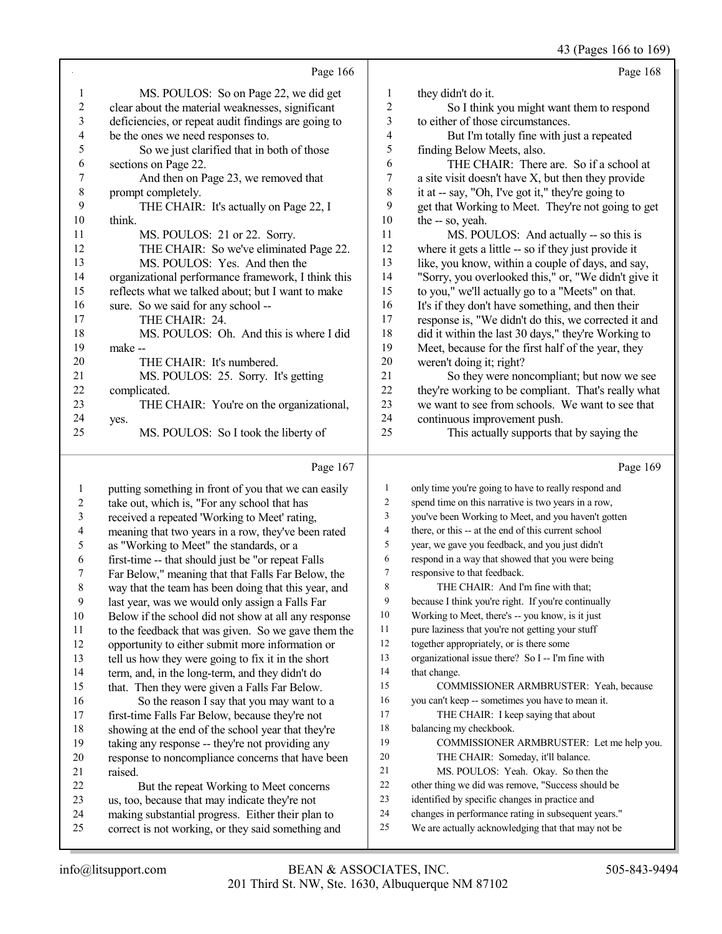43 (Pages 166 to 169)

|       |                                                      |    | (1.45011001010)                                      |
|-------|------------------------------------------------------|----|------------------------------------------------------|
|       | Page 166                                             |    | Page 168                                             |
| 1     | MS. POULOS: So on Page 22, we did get                | 1  | they didn't do it.                                   |
| 2     | clear about the material weaknesses, significant     | 2  | So I think you might want them to respond            |
| 3     | deficiencies, or repeat audit findings are going to  | 3  | to either of those circumstances.                    |
| 4     | be the ones we need responses to.                    | 4  | But I'm totally fine with just a repeated            |
| 5     | So we just clarified that in both of those           | 5  | finding Below Meets, also.                           |
| 6     | sections on Page 22.                                 | 6  | THE CHAIR: There are. So if a school at              |
| 7     | And then on Page 23, we removed that                 | 7  | a site visit doesn't have X, but then they provide   |
| $8\,$ | prompt completely.                                   | 8  | it at -- say, "Oh, I've got it," they're going to    |
| 9     | THE CHAIR: It's actually on Page 22, I               | 9  | get that Working to Meet. They're not going to get   |
| 10    | think.                                               | 10 | the -- so, yeah.                                     |
| 11    | MS. POULOS: 21 or 22. Sorry.                         | 11 | MS. POULOS: And actually -- so this is               |
| 12    | THE CHAIR: So we've eliminated Page 22.              | 12 | where it gets a little -- so if they just provide it |
| 13    | MS. POULOS: Yes. And then the                        | 13 | like, you know, within a couple of days, and say,    |
| 14    | organizational performance framework, I think this   | 14 | "Sorry, you overlooked this," or, "We didn't give it |
| 15    | reflects what we talked about; but I want to make    | 15 | to you," we'll actually go to a "Meets" on that.     |
| 16    | sure. So we said for any school --                   | 16 | It's if they don't have something, and then their    |
| 17    | THE CHAIR: 24.                                       | 17 | response is, "We didn't do this, we corrected it and |
| 18    | MS. POULOS: Oh. And this is where I did              | 18 | did it within the last 30 days," they're Working to  |
| 19    | make --                                              | 19 | Meet, because for the first half of the year, they   |
| 20    | THE CHAIR: It's numbered.                            | 20 | weren't doing it; right?                             |
| 21    | MS. POULOS: 25. Sorry. It's getting                  | 21 | So they were noncompliant; but now we see            |
| 22    | complicated.                                         | 22 | they're working to be compliant. That's really what  |
| 23    | THE CHAIR: You're on the organizational,             | 23 | we want to see from schools. We want to see that     |
| 24    | yes.                                                 | 24 | continuous improvement push.                         |
| 25    | MS. POULOS: So I took the liberty of                 | 25 | This actually supports that by saying the            |
|       | Page 167                                             |    | Page 169                                             |
| 1     | putting something in front of you that we can easily |    | only time you're going to have to really respond and |

#### take out, which is, "For any school that has 3 received a repeated 'Working to Meet' rating,<br>4 meaning that two years in a row they've been 4 meaning that two years in a row, they've been rated<br>5 as "Working to Meet" the standards, or a 5 as "Working to Meet" the standards, or a<br>6 first-time -- that should just be "or repeat first-time -- that should just be "or repeat Falls Far Below," meaning that that Falls Far Below, the way that the team has been doing that this year, and last year, was we would only assign a Falls Far 10 Below if the school did not show at all any response<br>11 to the feedback that was given So we gave them the 11 to the feedback that was given. So we gave them the<br>12 opportunity to either submit more information or 12 opportunity to either submit more information or<br>13 tell us how they were going to fix it in the short 13 tell us how they were going to fix it in the short<br>14 term and in the long-term and they didn't do 14 term, and, in the long-term, and they didn't do<br>15 that Then they were given a Falls Far Below that. Then they were given a Falls Far Below. 16 So the reason I say that you may want to a<br>17 first-time Falls Far Below, because they're not 17 first-time Falls Far Below, because they're not<br>18 showing at the end of the school year that they 18 showing at the end of the school year that they're<br>19 taking any response -- they're not providing any taking any response -- they're not providing any 20 response to noncompliance concerns that have been<br>21 raised.  $\begin{bmatrix} 21 & \text{ raised.} \\ 22 & 1 \end{bmatrix}$

| 1                        | only time you're going to have to really respond and |
|--------------------------|------------------------------------------------------|
| $\overline{2}$           | spend time on this narrative is two years in a row,  |
| 3                        | you've been Working to Meet, and you haven't gotten  |
| $\overline{\mathcal{L}}$ | there, or this -- at the end of this current school  |
| 5                        | year, we gave you feedback, and you just didn't      |
| 6                        | respond in a way that showed that you were being     |
| 7                        | responsive to that feedback.                         |
| 8                        | THE CHAIR: And I'm fine with that;                   |
| 9                        | because I think you're right. If you're continually  |
| 10                       | Working to Meet, there's -- you know, is it just     |
| 11                       | pure laziness that you're not getting your stuff     |
| 12                       | together appropriately, or is there some             |
| 13                       | organizational issue there? So I -- I'm fine with    |
| 14                       | that change.                                         |
| 15                       | COMMISSIONER ARMBRUSTER: Yeah, because               |
| 16                       | you can't keep -- sometimes you have to mean it.     |
| 17                       | THE CHAIR: I keep saying that about                  |
| 18                       | balancing my checkbook.                              |
| 19                       | COMMISSIONER ARMBRUSTER: Let me help you.            |
| 20                       | THE CHAIR: Someday, it'll balance.                   |
| 21                       | MS. POULOS: Yeah. Okay. So then the                  |
| 22                       | other thing we did was remove, "Success should be    |
| 23                       | identified by specific changes in practice and       |
| 24                       | changes in performance rating in subsequent years."  |
| 25                       | We are actually acknowledging that that may not be   |
|                          |                                                      |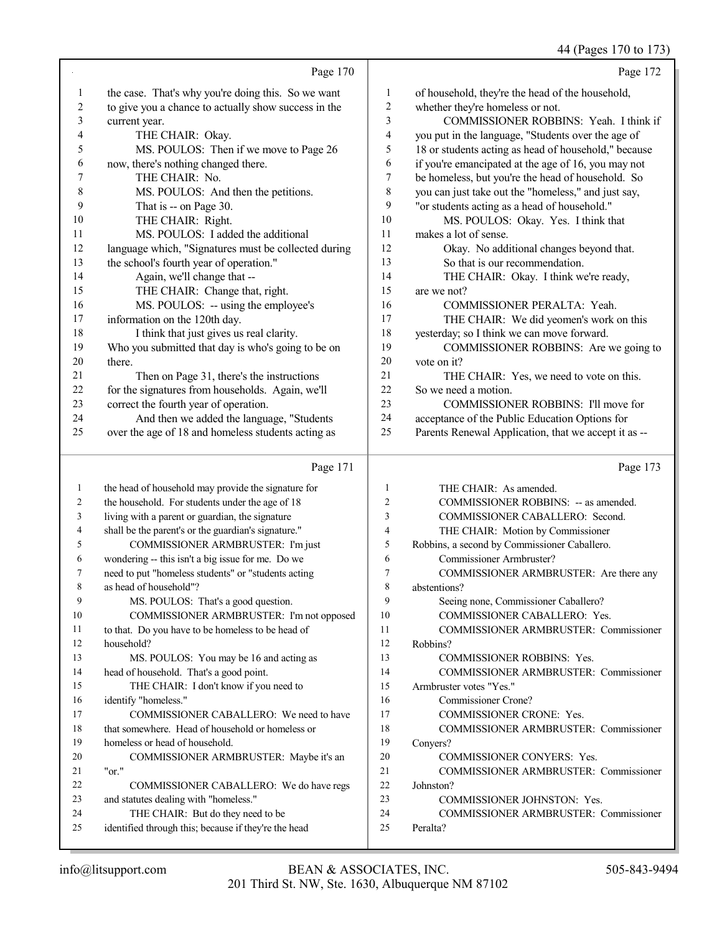|                |                                                      |              | 44 (Pages 170 to 173)                                |
|----------------|------------------------------------------------------|--------------|------------------------------------------------------|
|                | Page 170                                             |              | Page 172                                             |
| $\mathbf{1}$   | the case. That's why you're doing this. So we want   | $\mathbf{1}$ | of household, they're the head of the household,     |
| $\overline{c}$ | to give you a chance to actually show success in the | 2            | whether they're homeless or not.                     |
| 3              | current year.                                        | 3            | COMMISSIONER ROBBINS: Yeah. I think if               |
| 4              | THE CHAIR: Okay.                                     | 4            | you put in the language, "Students over the age of   |
| 5              | MS. POULOS: Then if we move to Page 26               | 5            | 18 or students acting as head of household," because |
| 6              | now, there's nothing changed there.                  | 6            | if you're emancipated at the age of 16, you may not  |
| 7              | THE CHAIR: No.                                       | 7            | be homeless, but you're the head of household. So    |
| $\,$ $\,$      | MS. POULOS: And then the petitions.                  | 8            | you can just take out the "homeless," and just say,  |
| 9              | That is -- on Page 30.                               | 9            | "or students acting as a head of household."         |
| 10             | THE CHAIR: Right.                                    | 10           | MS. POULOS: Okay. Yes. I think that                  |
| 11             | MS. POULOS: I added the additional                   | 11           | makes a lot of sense.                                |
| 12             | language which, "Signatures must be collected during | 12           | Okay. No additional changes beyond that.             |
| 13             | the school's fourth year of operation."              | 13           | So that is our recommendation.                       |
| 14             | Again, we'll change that --                          | 14           | THE CHAIR: Okay. I think we're ready,                |
| 15             | THE CHAIR: Change that, right.                       | 15           | are we not?                                          |
| 16             | MS. POULOS: -- using the employee's                  | 16           | COMMISSIONER PERALTA: Yeah.                          |
| 17             | information on the 120th day.                        | 17           | THE CHAIR: We did yeomen's work on this              |
| 18             | I think that just gives us real clarity.             | 18           | yesterday; so I think we can move forward.           |
| 19             | Who you submitted that day is who's going to be on   | 19           | COMMISSIONER ROBBINS: Are we going to                |
| 20             | there.                                               | 20           | vote on it?                                          |
| 21             | Then on Page 31, there's the instructions            | 21           | THE CHAIR: Yes, we need to vote on this.             |
| 22             | for the signatures from households. Again, we'll     | 22           | So we need a motion.                                 |
| 23             | correct the fourth year of operation.                | 23           | COMMISSIONER ROBBINS: I'll move for                  |
| 24             | And then we added the language, "Students            | 24           | acceptance of the Public Education Options for       |
| 25             | over the age of 18 and homeless students acting as   | 25           | Parents Renewal Application, that we accept it as -- |
|                | Page 171                                             |              | Page 173                                             |
| 1              | the head of household may provide the signature for  | $\mathbf{1}$ | THE CHAIR: As amended.                               |
| 2              | the household. For students under the age of 18      | 2            | COMMISSIONER ROBBINS: -- as amended.                 |
| 3              | living with a parent or guardian, the signature      | 3            | COMMISSIONER CABALLERO: Second.                      |
| 4              | shall be the parent's or the guardian's signature."  | 4            | THE CHAIR: Motion by Commissioner                    |
| 5              | COMMISSIONER ARMBRUSTER: I'm just                    | 5            | Robbins, a second by Commissioner Caballero.         |
| 6              | wondering -- this isn't a big issue for me. Do we    | 6            | Commissioner Armbruster?                             |
|                | need to put "homeless students" or "students acting  | 7            | COMMISSIONER ARMBRUSTER: Are there any               |
| 8              | as head of household"?                               | 8            | abstentions?                                         |
| 9              | MS. POULOS: That's a good question.                  | 9            | Seeing none, Commissioner Caballero?                 |
| 10             | COMMISSIONER ARMBRUSTER: I'm not opposed             | 10           | COMMISSIONER CABALLERO: Yes.                         |
| 11             | to that. Do you have to be homeless to be head of    | 11           | COMMISSIONER ARMBRUSTER: Commissioner                |
| 12             | household?                                           | 12           | Robbins?                                             |
| 13             | MS. POULOS: You may be 16 and acting as              | 13           | COMMISSIONER ROBBINS: Yes.                           |
| 14             | head of household. That's a good point.              | 14           | COMMISSIONER ARMBRUSTER: Commissioner                |
| 15             | THE CHAIR: I don't know if you need to               | 15           | Armbruster votes "Yes."                              |
| 16             | identify "homeless."                                 | 16           | Commissioner Crone?                                  |
| 17             | COMMISSIONER CABALLERO: We need to have              | 17           | COMMISSIONER CRONE: Yes.                             |

- that somewhere. Head of household or homeless or homeless or head of household. COMMISSIONER ARMBRUSTER: Maybe it's an "or." COMMISSIONER CABALLERO: We do have regs and statutes dealing with "homeless."
- THE CHAIR: But do they need to be

Johnston?

Conyers?

- COMMISSIONER JOHNSTON: Yes.
- COMMISSIONER ARMBRUSTER: Commissioner

COMMISSIONER ARMBRUSTER: Commissioner

Peralta?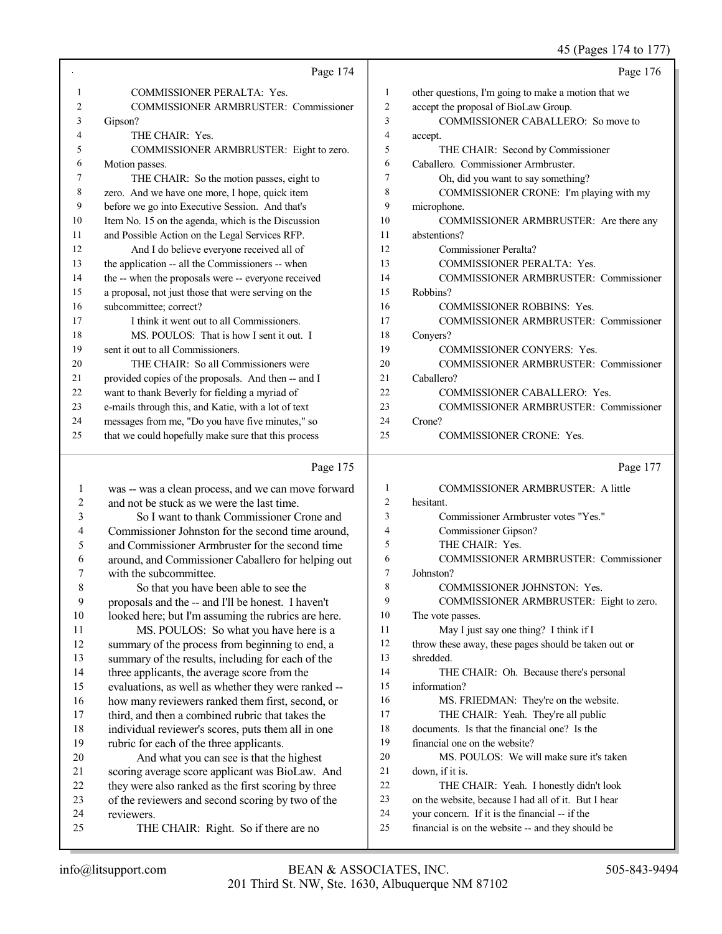45 (Pages 174 to 177)

|    | Page 174                                            |    | Page 176                                            |
|----|-----------------------------------------------------|----|-----------------------------------------------------|
| 1  | <b>COMMISSIONER PERALTA: Yes.</b>                   | 1  | other questions, I'm going to make a motion that we |
| 2  | <b>COMMISSIONER ARMBRUSTER: Commissioner</b>        | 2  | accept the proposal of BioLaw Group.                |
| 3  | Gipson?                                             | 3  | COMMISSIONER CABALLERO: So move to                  |
| 4  | THE CHAIR: Yes.                                     | 4  | accept.                                             |
| 5  | COMMISSIONER ARMBRUSTER: Eight to zero.             | 5  | THE CHAIR: Second by Commissioner                   |
| 6  | Motion passes.                                      | 6  | Caballero. Commissioner Armbruster.                 |
| 7  | THE CHAIR: So the motion passes, eight to           | 7  | Oh, did you want to say something?                  |
| 8  | zero. And we have one more, I hope, quick item      | 8  | COMMISSIONER CRONE: I'm playing with my             |
| 9  | before we go into Executive Session. And that's     | 9  | microphone.                                         |
| 10 | Item No. 15 on the agenda, which is the Discussion  | 10 | COMMISSIONER ARMBRUSTER: Are there any              |
| 11 | and Possible Action on the Legal Services RFP.      | 11 | abstentions?                                        |
| 12 | And I do believe everyone received all of           | 12 | Commissioner Peralta?                               |
| 13 | the application -- all the Commissioners -- when    | 13 | <b>COMMISSIONER PERALTA: Yes.</b>                   |
| 14 | the -- when the proposals were -- everyone received | 14 | <b>COMMISSIONER ARMBRUSTER: Commissioner</b>        |
| 15 | a proposal, not just those that were serving on the | 15 | Robbins?                                            |
| 16 | subcommittee; correct?                              | 16 | <b>COMMISSIONER ROBBINS: Yes.</b>                   |
| 17 | I think it went out to all Commissioners.           | 17 | COMMISSIONER ARMBRUSTER: Commissioner               |
| 18 | MS. POULOS: That is how I sent it out. I            | 18 | Convers?                                            |
| 19 | sent it out to all Commissioners.                   | 19 | <b>COMMISSIONER CONYERS: Yes.</b>                   |
| 20 | THE CHAIR: So all Commissioners were                | 20 | <b>COMMISSIONER ARMBRUSTER: Commissioner</b>        |
| 21 | provided copies of the proposals. And then -- and I | 21 | Caballero?                                          |
| 22 | want to thank Beverly for fielding a myriad of      | 22 | COMMISSIONER CABALLERO: Yes.                        |
| 23 | e-mails through this, and Katie, with a lot of text | 23 | <b>COMMISSIONER ARMBRUSTER: Commissioner</b>        |
| 24 | messages from me, "Do you have five minutes," so    | 24 | Crone?                                              |
| 25 | that we could hopefully make sure that this process | 25 | <b>COMMISSIONER CRONE: Yes.</b>                     |

## Page 175

| Page 175                                            |                | Page 177                                             |
|-----------------------------------------------------|----------------|------------------------------------------------------|
| was -- was a clean process, and we can move forward | 1              | <b>COMMISSIONER ARMBRUSTER: A little</b>             |
| and not be stuck as we were the last time.          | $\overline{c}$ | hesitant.                                            |
| So I want to thank Commissioner Crone and           | 3              | Commissioner Armbruster votes "Yes."                 |
| Commissioner Johnston for the second time around,   | 4              | Commissioner Gipson?                                 |
| and Commissioner Armbruster for the second time     | 5              | THE CHAIR: Yes.                                      |
| around, and Commissioner Caballero for helping out  | 6              | <b>COMMISSIONER ARMBRUSTER: Commissioner</b>         |
| with the subcommittee.                              | 7              | Johnston?                                            |
| So that you have been able to see the               | 8              | <b>COMMISSIONER JOHNSTON: Yes.</b>                   |
| proposals and the -- and I'll be honest. I haven't  | 9              | COMMISSIONER ARMBRUSTER: Eight to zero.              |
| looked here; but I'm assuming the rubrics are here. | 10             | The vote passes.                                     |
| MS. POULOS: So what you have here is a              | 11             | May I just say one thing? I think if I               |
| summary of the process from beginning to end, a     | 12             | throw these away, these pages should be taken out or |
| summary of the results, including for each of the   | 13             | shredded.                                            |
| three applicants, the average score from the        | 14             | THE CHAIR: Oh. Because there's personal              |
| evaluations, as well as whether they were ranked -- | 15             | information?                                         |
| how many reviewers ranked them first, second, or    | 16             | MS. FRIEDMAN: They're on the website.                |
| third, and then a combined rubric that takes the    | 17             | THE CHAIR: Yeah. They're all public                  |
| individual reviewer's scores, puts them all in one  | 18             | documents. Is that the financial one? Is the         |
| rubric for each of the three applicants.            | 19             | financial one on the website?                        |
| And what you can see is that the highest            | 20             | MS. POULOS: We will make sure it's taken             |
| scoring average score applicant was BioLaw. And     | 21             | down, if it is.                                      |
| they were also ranked as the first scoring by three | 22             | THE CHAIR: Yeah. I honestly didn't look              |
| of the reviewers and second scoring by two of the   | 23             | on the website, because I had all of it. But I hear  |
| reviewers.                                          | 24             | your concern. If it is the financial -- if the       |
| THE CHAIR: Right. So if there are no                | 25             | financial is on the website -- and they should be    |
|                                                     |                |                                                      |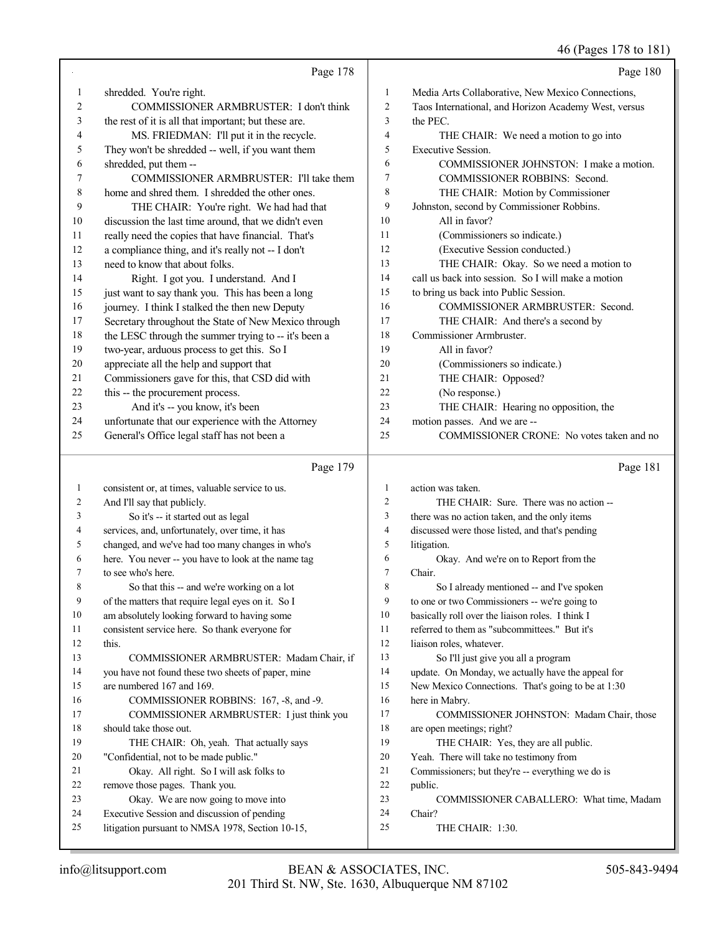46 (Pages 178 to 181)

|              |                                                                       |                | 46 (Pages 178 to 181)                                |
|--------------|-----------------------------------------------------------------------|----------------|------------------------------------------------------|
|              | Page 178                                                              |                | Page 180                                             |
| 1            | shredded. You're right.                                               | 1              | Media Arts Collaborative, New Mexico Connections,    |
| 2            | COMMISSIONER ARMBRUSTER: I don't think                                | $\mathfrak{2}$ | Taos International, and Horizon Academy West, versus |
| 3            | the rest of it is all that important; but these are.                  | 3              | the PEC.                                             |
| 4            | MS. FRIEDMAN: I'll put it in the recycle.                             | $\overline{4}$ | THE CHAIR: We need a motion to go into               |
| 5            | They won't be shredded -- well, if you want them                      | 5              | Executive Session.                                   |
| 6            | shredded, put them --                                                 | 6              | COMMISSIONER JOHNSTON: I make a motion.              |
| 7            | COMMISSIONER ARMBRUSTER: I'll take them                               | 7              | COMMISSIONER ROBBINS: Second.                        |
| 8            | home and shred them. I shredded the other ones.                       | 8              | THE CHAIR: Motion by Commissioner                    |
| 9            | THE CHAIR: You're right. We had had that                              | 9              | Johnston, second by Commissioner Robbins.            |
| 10           | discussion the last time around, that we didn't even                  | 10             | All in favor?                                        |
| 11           | really need the copies that have financial. That's                    | 11             | (Commissioners so indicate.)                         |
| 12           | a compliance thing, and it's really not -- I don't                    | 12             | (Executive Session conducted.)                       |
| 13           | need to know that about folks.                                        | 13             | THE CHAIR: Okay. So we need a motion to              |
| 14           | Right. I got you. I understand. And I                                 | 14             | call us back into session. So I will make a motion   |
| 15           | just want to say thank you. This has been a long                      | 15             | to bring us back into Public Session.                |
| 16           | journey. I think I stalked the then new Deputy                        | 16             | COMMISSIONER ARMBRUSTER: Second.                     |
| 17           | Secretary throughout the State of New Mexico through                  | 17             | THE CHAIR: And there's a second by                   |
| 18           | the LESC through the summer trying to -- it's been a                  | 18             | Commissioner Armbruster.                             |
| 19           | two-year, arduous process to get this. So I                           | 19             | All in favor?                                        |
| 20           | appreciate all the help and support that                              | 20             | (Commissioners so indicate.)                         |
| 21           | Commissioners gave for this, that CSD did with                        | 21             | THE CHAIR: Opposed?                                  |
| 22           | this -- the procurement process.                                      | 22             | (No response.)                                       |
| 23           | And it's -- you know, it's been                                       | 23             | THE CHAIR: Hearing no opposition, the                |
| 24           | unfortunate that our experience with the Attorney                     | 24             | motion passes. And we are --                         |
| 25           | General's Office legal staff has not been a                           | 25             | COMMISSIONER CRONE: No votes taken and no            |
|              | Page 179                                                              |                | Page 181                                             |
| $\mathbf{1}$ | consistent or, at times, valuable service to us.                      | 1              | action was taken.                                    |
| 2            | And I'll say that publicly.                                           | $\mathfrak{2}$ | THE CHAIR: Sure. There was no action --              |
| 3            | So it's -- it started out as legal                                    | 3              | there was no action taken, and the only items        |
| 4            | services, and, unfortunately, over time, it has                       | $\overline{4}$ | discussed were those listed, and that's pending      |
| 5            | changed, and we've had too many changes in who's                      | 5              | litigation.                                          |
| 6            | here. You never -- you have to look at the name tag                   | 6              | Okay. And we're on to Report from the                |
| 7            | to see who's here.                                                    | $\overline{7}$ | Chair.                                               |
| 8            | So that this -- and we're working on a lot                            | 8              | So I already mentioned -- and I've spoken            |
| 9            | of the matters that require legal eyes on it. So I                    | 9              | to one or two Commissioners -- we're going to        |
| 10           | am absolutely looking forward to having some                          | 10             | basically roll over the liaison roles. I think I     |
| 11           | consistent service here. So thank everyone for                        | 11             | referred to them as "subcommittees." But it's        |
| 12           | this.                                                                 | 12             | liaison roles, whatever.                             |
| 13           | COMMISSIONER ARMBRUSTER: Madam Chair, if                              | 13             | So I'll just give you all a program                  |
| 14           | you have not found these two sheets of paper, mine                    | 14             | update. On Monday, we actually have the appeal for   |
| 15           | are numbered 167 and 169.                                             | 15             | New Mexico Connections. That's going to be at 1:30   |
| 16           | COMMISSIONER ROBBINS: 167, -8, and -9.                                | 16             | here in Mabry.                                       |
| 17           | COMMISSIONER ARMBRUSTER: I just think you                             | 17             | COMMISSIONER JOHNSTON: Madam Chair, those            |
| 18           | should take those out.                                                | 18             | are open meetings; right?                            |
| 19           | THE CHAIR: Oh, yeah. That actually says                               | 19             | THE CHAIR: Yes, they are all public.                 |
| 20           | "Confidential, not to be made public."                                | 20             | Yeah. There will take no testimony from              |
| 21<br>22     | Okay. All right. So I will ask folks to                               | 21<br>22       | Commissioners; but they're -- everything we do is    |
| 23           | remove those pages. Thank you.<br>Okay. We are now going to move into | 23             | public.<br>COMMISSIONER CABALLERO: What time, Madam  |
| 24           | Executive Session and discussion of pending                           | 24             | Chair?                                               |
| 25           | litigation pursuant to NMSA 1978, Section 10-15,                      | 25             | THE CHAIR: 1:30.                                     |
|              |                                                                       |                |                                                      |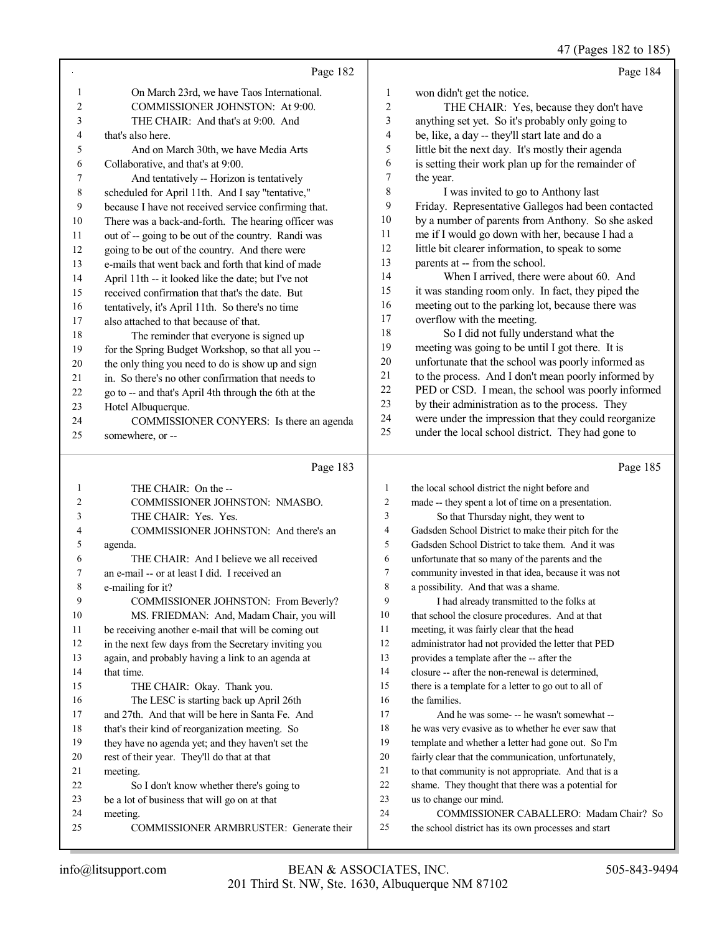47 (Pages 182 to 185)

|          | Page 182                                                 |                                | Page 184                                                                                              |
|----------|----------------------------------------------------------|--------------------------------|-------------------------------------------------------------------------------------------------------|
| 1        | On March 23rd, we have Taos International.               | $\mathbf{1}$                   | won didn't get the notice.                                                                            |
| 2        | COMMISSIONER JOHNSTON: At 9:00.                          | $\overline{2}$                 | THE CHAIR: Yes, because they don't have                                                               |
| 3        | THE CHAIR: And that's at 9:00. And                       | 3                              | anything set yet. So it's probably only going to                                                      |
| 4        | that's also here.                                        | 4                              | be, like, a day -- they'll start late and do a                                                        |
| 5        | And on March 30th, we have Media Arts                    | 5                              | little bit the next day. It's mostly their agenda                                                     |
| 6        | Collaborative, and that's at 9:00.                       | 6                              | is setting their work plan up for the remainder of                                                    |
| 7        | And tentatively -- Horizon is tentatively                | 7                              | the year.                                                                                             |
| $\,8\,$  | scheduled for April 11th. And I say "tentative,"         | 8                              | I was invited to go to Anthony last                                                                   |
| 9        | because I have not received service confirming that.     | 9                              | Friday. Representative Gallegos had been contacted                                                    |
| 10       | There was a back-and-forth. The hearing officer was      | 10                             | by a number of parents from Anthony. So she asked                                                     |
| 11       | out of -- going to be out of the country. Randi was      | 11                             | me if I would go down with her, because I had a                                                       |
| 12       | going to be out of the country. And there were           | 12                             | little bit clearer information, to speak to some                                                      |
| 13       | e-mails that went back and forth that kind of made       | 13                             | parents at -- from the school.                                                                        |
| 14       | April 11th -- it looked like the date; but I've not      | 14                             | When I arrived, there were about 60. And                                                              |
| 15       | received confirmation that that's the date. But          | 15                             | it was standing room only. In fact, they piped the                                                    |
| 16       | tentatively, it's April 11th. So there's no time         | 16                             | meeting out to the parking lot, because there was                                                     |
| 17       | also attached to that because of that.                   | 17                             | overflow with the meeting.                                                                            |
| 18       | The reminder that everyone is signed up                  | 18                             | So I did not fully understand what the                                                                |
| 19       | for the Spring Budget Workshop, so that all you --       | 19                             | meeting was going to be until I got there. It is                                                      |
| 20       | the only thing you need to do is show up and sign        | 20                             | unfortunate that the school was poorly informed as                                                    |
| 21       | in. So there's no other confirmation that needs to       | 21                             | to the process. And I don't mean poorly informed by                                                   |
| 22       | go to -- and that's April 4th through the 6th at the     | 22                             | PED or CSD. I mean, the school was poorly informed                                                    |
| 23       | Hotel Albuquerque.                                       | 23                             | by their administration as to the process. They                                                       |
| 24       | COMMISSIONER CONYERS: Is there an agenda                 | 24                             | were under the impression that they could reorganize                                                  |
| 25       | somewhere, or --                                         | 25                             | under the local school district. They had gone to                                                     |
|          | Page 183                                                 |                                | Page 185                                                                                              |
|          |                                                          |                                |                                                                                                       |
| 1<br>2   | THE CHAIR: On the --<br>COMMISSIONER JOHNSTON: NMASBO.   | $\mathbf{1}$<br>$\overline{c}$ | the local school district the night before and<br>made -- they spent a lot of time on a presentation. |
| 3        | THE CHAIR: Yes. Yes.                                     | 3                              | So that Thursday night, they went to                                                                  |
| 4        | COMMISSIONER JOHNSTON: And there's an                    | 4                              | Gadsden School District to make their pitch for the                                                   |
| 5        | agenda.                                                  | 5                              | Gadsden School District to take them. And it was                                                      |
| 6        | THE CHAIR: And I believe we all received                 | 6                              | unfortunate that so many of the parents and the                                                       |
| 7        | an e-mail -- or at least I did. I received an            | $\tau$                         | community invested in that idea, because it was not                                                   |
| 8        | e-mailing for it?                                        | 8                              | a possibility. And that was a shame.                                                                  |
| 9        | COMMISSIONER JOHNSTON: From Beverly?                     | 9                              | I had already transmitted to the folks at                                                             |
| 10       | MS. FRIEDMAN: And, Madam Chair, you will                 | 10                             | that school the closure procedures. And at that                                                       |
| 11       |                                                          |                                |                                                                                                       |
|          |                                                          |                                |                                                                                                       |
|          | be receiving another e-mail that will be coming out      | 11                             | meeting, it was fairly clear that the head                                                            |
| 12       | in the next few days from the Secretary inviting you     | 12                             | administrator had not provided the letter that PED                                                    |
| 13       | again, and probably having a link to an agenda at        | 13                             | provides a template after the -- after the                                                            |
| 14       | that time.                                               | 14                             | closure -- after the non-renewal is determined,                                                       |
| 15       | THE CHAIR: Okay. Thank you.                              | 15                             | there is a template for a letter to go out to all of                                                  |
| 16       | The LESC is starting back up April 26th                  | 16<br>17                       | the families.                                                                                         |
| 17<br>18 | and 27th. And that will be here in Santa Fe. And         | 18                             | And he was some--- he wasn't somewhat --                                                              |
| 19       | that's their kind of reorganization meeting. So          | 19                             | he was very evasive as to whether he ever saw that                                                    |
| 20       | they have no agenda yet; and they haven't set the        | 20                             | template and whether a letter had gone out. So I'm                                                    |
| 21       | rest of their year. They'll do that at that              | 21                             | fairly clear that the communication, unfortunately,                                                   |
| 22       | meeting.                                                 | 22                             | to that community is not appropriate. And that is a                                                   |
| 23       | So I don't know whether there's going to                 | 23                             | shame. They thought that there was a potential for                                                    |
| 24       | be a lot of business that will go on at that<br>meeting. | 24                             | us to change our mind.<br>COMMISSIONER CABALLERO: Madam Chair? So                                     |
| 25       | COMMISSIONER ARMBRUSTER: Generate their                  | 25                             | the school district has its own processes and start                                                   |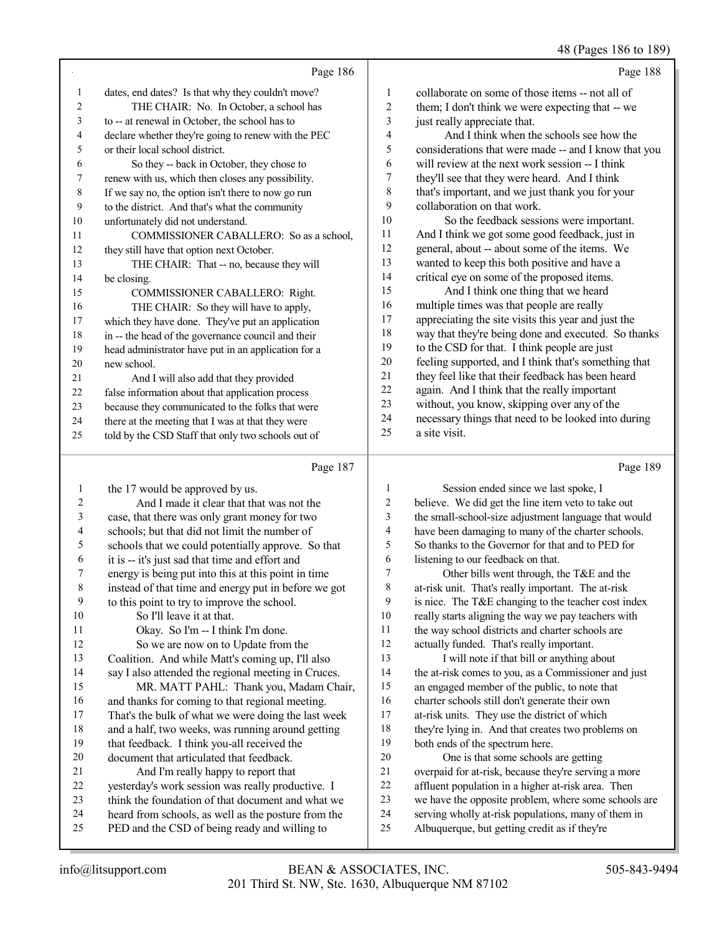|                |                                                     |                | $(2.45 - 100 - 100)$                                 |
|----------------|-----------------------------------------------------|----------------|------------------------------------------------------|
|                | Page 186                                            |                | Page 188                                             |
| 1              | dates, end dates? Is that why they couldn't move?   | 1              | collaborate on some of those items -- not all of     |
| $\overline{c}$ | THE CHAIR: No. In October, a school has             | $\overline{c}$ | them; I don't think we were expecting that -- we     |
| 3              | to -- at renewal in October, the school has to      | 3              | just really appreciate that.                         |
| 4              | declare whether they're going to renew with the PEC | 4              | And I think when the schools see how the             |
| 5              | or their local school district.                     | 5              | considerations that were made -- and I know that you |
| 6              | So they -- back in October, they chose to           | 6              | will review at the next work session -- I think      |
| 7              | renew with us, which then closes any possibility.   | $\tau$         | they'll see that they were heard. And I think        |
| 8              | If we say no, the option isn't there to now go run  | 8              | that's important, and we just thank you for your     |
| 9              | to the district. And that's what the community      | 9              | collaboration on that work.                          |
| 10             | unfortunately did not understand.                   | 10             | So the feedback sessions were important.             |
| 11             | COMMISSIONER CABALLERO: So as a school,             | 11             | And I think we got some good feedback, just in       |
| 12             | they still have that option next October.           | 12             | general, about -- about some of the items. We        |
| 13             | THE CHAIR: That -- no, because they will            | 13             | wanted to keep this both positive and have a         |
| 14             | be closing.                                         | 14             | critical eye on some of the proposed items.          |
| 15             | COMMISSIONER CABALLERO: Right.                      | 15             | And I think one thing that we heard                  |
| 16             | THE CHAIR: So they will have to apply,              | 16             | multiple times was that people are really            |
| 17             | which they have done. They've put an application    | 17             | appreciating the site visits this year and just the  |
| 18             | in -- the head of the governance council and their  | 18             | way that they're being done and executed. So thanks  |
| 19             | head administrator have put in an application for a | 19             | to the CSD for that. I think people are just         |
| 20             | new school.                                         | 20             | feeling supported, and I think that's something that |
| 21             | And I will also add that they provided              | 21             | they feel like that their feedback has been heard    |
| 22             | false information about that application process    | 22             | again. And I think that the really important         |
| 23             | because they communicated to the folks that were    | 23             | without, you know, skipping over any of the          |
| 24             | there at the meeting that I was at that they were   | 24             | necessary things that need to be looked into during  |
| 25             | told by the CSD Staff that only two schools out of  | 25             | a site visit.                                        |
|                |                                                     |                |                                                      |

## Page 187

| 1              | the 17 would be approved by us.                      | 1  | Session ended since we last spoke, I                 |
|----------------|------------------------------------------------------|----|------------------------------------------------------|
| $\overline{2}$ | And I made it clear that that was not the            | 2  | believe. We did get the line item veto to take out   |
| 3              | case, that there was only grant money for two        | 3  | the small-school-size adjustment language that would |
| 4              | schools; but that did not limit the number of        | 4  | have been damaging to many of the charter schools.   |
| 5              | schools that we could potentially approve. So that   | 5  | So thanks to the Governor for that and to PED for    |
| 6              | it is -- it's just sad that time and effort and      | 6  | listening to our feedback on that.                   |
| 7              | energy is being put into this at this point in time  | 7  | Other bills went through, the T&E and the            |
| 8              | instead of that time and energy put in before we got | 8  | at-risk unit. That's really important. The at-risk   |
| 9              | to this point to try to improve the school.          | 9  | is nice. The T&E changing to the teacher cost index  |
| 10             | So I'll leave it at that.                            | 10 | really starts aligning the way we pay teachers with  |
| 11             | Okay. So I'm -- I think I'm done.                    | 11 | the way school districts and charter schools are     |
| 12             | So we are now on to Update from the                  | 12 | actually funded. That's really important.            |
| 13             | Coalition. And while Matt's coming up, I'll also     | 13 | I will note if that bill or anything about           |
| 14             | say I also attended the regional meeting in Cruces.  | 14 | the at-risk comes to you, as a Commissioner and just |
| 15             | MR. MATT PAHL: Thank you, Madam Chair,               | 15 | an engaged member of the public, to note that        |
| 16             | and thanks for coming to that regional meeting.      | 16 | charter schools still don't generate their own       |
| 17             | That's the bulk of what we were doing the last week  | 17 | at-risk units. They use the district of which        |
| 18             | and a half, two weeks, was running around getting    | 18 | they're lying in. And that creates two problems on   |
| 19             | that feedback. I think you-all received the          | 19 | both ends of the spectrum here.                      |
| 20             | document that articulated that feedback.             | 20 | One is that some schools are getting                 |
| 21             | And I'm really happy to report that                  | 21 | overpaid for at-risk, because they're serving a more |
| 22             | yesterday's work session was really productive. I    | 22 | affluent population in a higher at-risk area. Then   |
| 23             | think the foundation of that document and what we    | 23 | we have the opposite problem, where some schools are |
| 24             | heard from schools, as well as the posture from the  | 24 | serving wholly at-risk populations, many of them in  |
| 25             | PED and the CSD of being ready and willing to        | 25 | Albuquerque, but getting credit as if they're        |
|                |                                                      |    |                                                      |

Page 189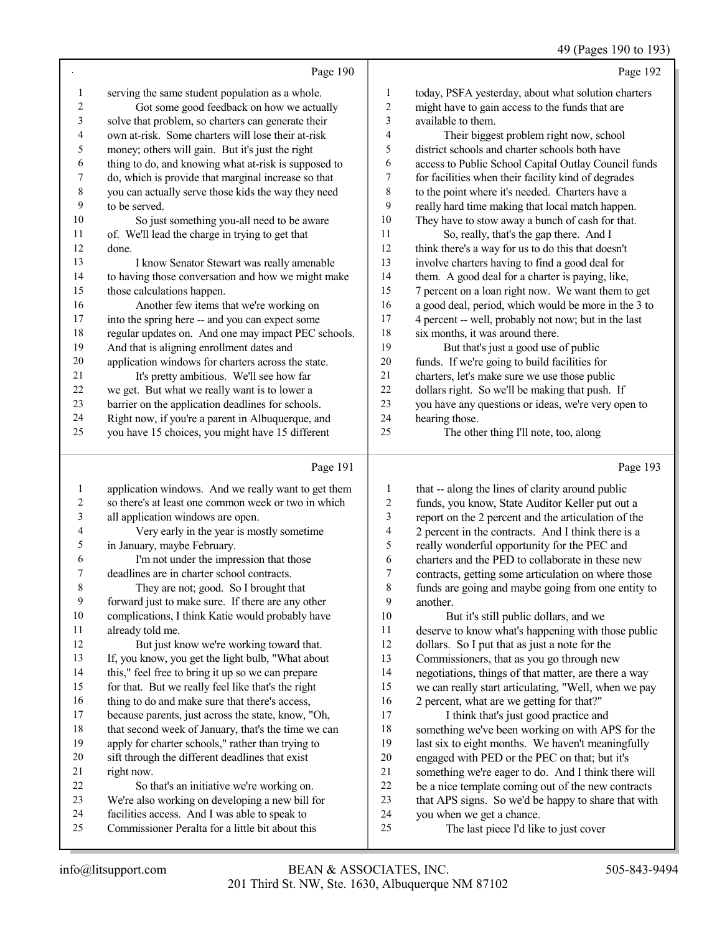## 49 (Pages 190 to 193)

|                | Page 190                                             |                | Page 192                                             |
|----------------|------------------------------------------------------|----------------|------------------------------------------------------|
| 1              | serving the same student population as a whole.      | 1              | today, PSFA yesterday, about what solution charters  |
| $\overline{2}$ | Got some good feedback on how we actually            | $\overline{2}$ | might have to gain access to the funds that are      |
| 3              | solve that problem, so charters can generate their   | 3              | available to them.                                   |
| $\overline{4}$ | own at-risk. Some charters will lose their at-risk   | 4              | Their biggest problem right now, school              |
| 5              | money; others will gain. But it's just the right     | 5              | district schools and charter schools both have       |
| 6              | thing to do, and knowing what at-risk is supposed to | 6              | access to Public School Capital Outlay Council funds |
| 7              | do, which is provide that marginal increase so that  | 7              | for facilities when their facility kind of degrades  |
| $\,$ 8 $\,$    | you can actually serve those kids the way they need  | 8              | to the point where it's needed. Charters have a      |
| 9              | to be served.                                        | 9              | really hard time making that local match happen.     |
| 10             | So just something you-all need to be aware           | 10             | They have to stow away a bunch of cash for that.     |
| 11             | of. We'll lead the charge in trying to get that      | 11             | So, really, that's the gap there. And I              |
| 12             | done.                                                | 12             | think there's a way for us to do this that doesn't   |
| 13             | I know Senator Stewart was really amenable           | 13             | involve charters having to find a good deal for      |
| 14             | to having those conversation and how we might make   | 14             | them. A good deal for a charter is paying, like,     |
| 15             | those calculations happen.                           | 15             | 7 percent on a loan right now. We want them to get   |
| 16             | Another few items that we're working on              | 16             | a good deal, period, which would be more in the 3 to |
| 17             | into the spring here -- and you can expect some      | 17             | 4 percent -- well, probably not now; but in the last |
| 18             | regular updates on. And one may impact PEC schools.  | 18             | six months, it was around there.                     |
| 19             | And that is aligning enrollment dates and            | 19             | But that's just a good use of public                 |
| 20             | application windows for charters across the state.   | 20             | funds. If we're going to build facilities for        |
| 21             | It's pretty ambitious. We'll see how far             | 21             | charters, let's make sure we use those public        |
| 22             | we get. But what we really want is to lower a        | 22             | dollars right. So we'll be making that push. If      |
| 23             | barrier on the application deadlines for schools.    | 23             | you have any questions or ideas, we're very open to  |
| 24             | Right now, if you're a parent in Albuquerque, and    | 24             | hearing those.                                       |
| 25             | you have 15 choices, you might have 15 different     | 25             | The other thing I'll note, too, along                |
|                | Page 191                                             |                | Page 193                                             |

| $\mathbf{1}$   | application windows. And we really want to get them | $\mathbf{1}$   | that            |
|----------------|-----------------------------------------------------|----------------|-----------------|
| $\overline{2}$ | so there's at least one common week or two in which | $\overline{2}$ | fun             |
| 3              | all application windows are open.                   | 3              | rep             |
| $\overline{4}$ | Very early in the year is mostly sometime           | 4              | 2 p             |
| 5              | in January, maybe February.                         | 5              | real            |
| 6              | I'm not under the impression that those             | 6              | cha             |
| 7              | deadlines are in charter school contracts.          | 7              | con             |
| $\,8\,$        | They are not; good. So I brought that               | 8              | fun             |
| 9              | forward just to make sure. If there are any other   | 9              | ano             |
| 10             | complications, I think Katie would probably have    | 10             |                 |
| 11             | already told me.                                    | 11             | des             |
| 12             | But just know we're working toward that.            | 12             | dol             |
| 13             | If, you know, you get the light bulb, "What about   | 13             | Co <sub>1</sub> |
| 14             | this," feel free to bring it up so we can prepare   | 14             | neg             |
| 15             | for that. But we really feel like that's the right  | 15             | we              |
| 16             | thing to do and make sure that there's access,      | 16             | 2 p             |
| 17             | because parents, just across the state, know, "Oh,  | 17             |                 |
| 18             | that second week of January, that's the time we can | 18             | son             |
| 19             | apply for charter schools," rather than trying to   | 19             | last            |
| 20             | sift through the different deadlines that exist     | 20             | eng             |
| 21             | right now.                                          | 21             | son             |
| 22             | So that's an initiative we're working on.           | 22             | be :            |
| 23             | We're also working on developing a new bill for     | 23             | tha             |
| 24             | facilities access. And I was able to speak to       | 24             | you             |
| 25             | Commissioner Peralta for a little bit about this    | 25             |                 |
|                |                                                     |                |                 |

| 1              | that -- along the lines of clarity around public     |
|----------------|------------------------------------------------------|
| $\overline{2}$ | funds, you know, State Auditor Keller put out a      |
| 3              | report on the 2 percent and the articulation of the  |
| $\overline{4}$ | 2 percent in the contracts. And I think there is a   |
| 5              | really wonderful opportunity for the PEC and         |
| 6              | charters and the PED to collaborate in these new     |
| 7              | contracts, getting some articulation on where those  |
| 8              | funds are going and maybe going from one entity to   |
| 9              | another.                                             |
| 10             | But it's still public dollars, and we                |
| 11             | deserve to know what's happening with those public   |
| 12             | dollars. So I put that as just a note for the        |
| 13             | Commissioners, that as you go through new            |
| 14             | negotiations, things of that matter, are there a way |
| 15             | we can really start articulating, "Well, when we pay |
| 16             | 2 percent, what are we getting for that?"            |
| 17             | I think that's just good practice and                |
| 18             | something we've been working on with APS for the     |
| 19             | last six to eight months. We haven't meaningfully    |
| 20             | engaged with PED or the PEC on that; but it's        |
| 21             | something we're eager to do. And I think there will  |
| 22             | be a nice template coming out of the new contracts   |
| 23             | that APS signs. So we'd be happy to share that with  |
| 24             | you when we get a chance.                            |
| 25             | The last piece I'd like to just cover                |
|                |                                                      |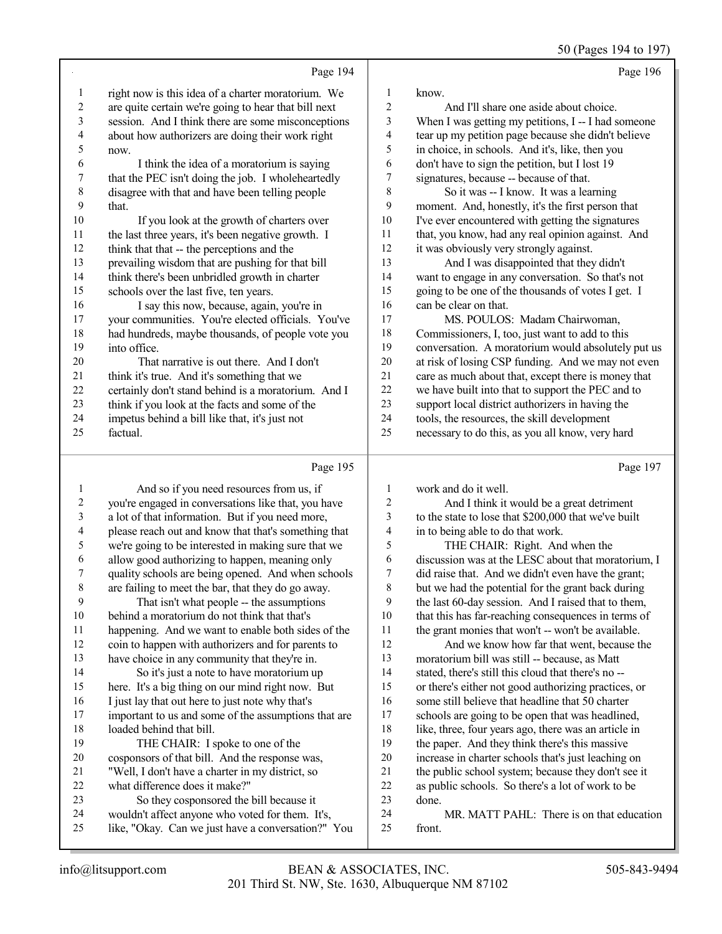50 (Pages 194 to 197)

|    | Page 194                                             |                | Page 196                                            |
|----|------------------------------------------------------|----------------|-----------------------------------------------------|
| 1  | right now is this idea of a charter moratorium. We   | 1              | know.                                               |
| 2  | are quite certain we're going to hear that bill next | $\overline{2}$ | And I'll share one aside about choice.              |
| 3  | session. And I think there are some misconceptions   | 3              | When I was getting my petitions, I -- I had someone |
| 4  | about how authorizers are doing their work right     | 4              | tear up my petition page because she didn't believe |
| 5  | now.                                                 | 5              | in choice, in schools. And it's, like, then you     |
| 6  | I think the idea of a moratorium is saying           | 6              | don't have to sign the petition, but I lost 19      |
| 7  | that the PEC isn't doing the job. I wholeheartedly   | 7              | signatures, because -- because of that.             |
| 8  | disagree with that and have been telling people      | 8              | So it was -- I know. It was a learning              |
| 9  | that.                                                | 9              | moment. And, honestly, it's the first person that   |
| 10 | If you look at the growth of charters over           | 10             | I've ever encountered with getting the signatures   |
| 11 | the last three years, it's been negative growth. I   | 11             | that, you know, had any real opinion against. And   |
| 12 | think that that -- the perceptions and the           | 12             | it was obviously very strongly against.             |
| 13 | prevailing wisdom that are pushing for that bill     | 13             | And I was disappointed that they didn't             |
| 14 | think there's been unbridled growth in charter       | 14             | want to engage in any conversation. So that's not   |
| 15 | schools over the last five, ten years.               | 15             | going to be one of the thousands of votes I get. I  |
| 16 | I say this now, because, again, you're in            | 16             | can be clear on that.                               |
| 17 | your communities. You're elected officials. You've   | 17             | MS. POULOS: Madam Chairwoman,                       |
| 18 | had hundreds, maybe thousands, of people vote you    | 18             | Commissioners, I, too, just want to add to this     |
| 19 | into office.                                         | 19             | conversation. A moratorium would absolutely put us  |
| 20 | That narrative is out there. And I don't             | 20             | at risk of losing CSP funding. And we may not even  |
| 21 | think it's true. And it's something that we          | 21             | care as much about that, except there is money that |
| 22 | certainly don't stand behind is a moratorium. And I  | 22             | we have built into that to support the PEC and to   |
| 23 | think if you look at the facts and some of the       | 23             | support local district authorizers in having the    |
| 24 | impetus behind a bill like that, it's just not       | 24             | tools, the resources, the skill development         |
| 25 | factual.                                             | 25             | necessary to do this, as you all know, very hard    |
|    | Page 195                                             |                | Page 197                                            |
|    | And so if you need resources from us if              | $\mathbf{1}$   | urork and do it well                                |

|    | And so if you need resources from us, if             | 1  | work and do it well.                                 |
|----|------------------------------------------------------|----|------------------------------------------------------|
| 2  | you're engaged in conversations like that, you have  | 2  | And I think it would be a great detriment            |
| 3  | a lot of that information. But if you need more,     | 3  | to the state to lose that \$200,000 that we've built |
| 4  | please reach out and know that that's something that | 4  | in to being able to do that work.                    |
| 5  | we're going to be interested in making sure that we  | 5  | THE CHAIR: Right. And when the                       |
| 6  | allow good authorizing to happen, meaning only       | 6  | discussion was at the LESC about that moratorium, I  |
| 7  | quality schools are being opened. And when schools   | 7  | did raise that. And we didn't even have the grant;   |
| 8  | are failing to meet the bar, that they do go away.   | 8  | but we had the potential for the grant back during   |
| 9  | That isn't what people -- the assumptions            | 9  | the last 60-day session. And I raised that to them,  |
| 10 | behind a moratorium do not think that that's         | 10 | that this has far-reaching consequences in terms of  |
| 11 | happening. And we want to enable both sides of the   | 11 | the grant monies that won't -- won't be available.   |
| 12 | coin to happen with authorizers and for parents to   | 12 | And we know how far that went, because the           |
| 13 | have choice in any community that they're in.        | 13 | moratorium bill was still -- because, as Matt        |
| 14 | So it's just a note to have moratorium up            | 14 | stated, there's still this cloud that there's no --  |
| 15 | here. It's a big thing on our mind right now. But    | 15 | or there's either not good authorizing practices, or |
| 16 | I just lay that out here to just note why that's     | 16 | some still believe that headline that 50 charter     |
| 17 | important to us and some of the assumptions that are | 17 | schools are going to be open that was headlined,     |
| 18 | loaded behind that bill.                             | 18 | like, three, four years ago, there was an article in |
| 19 | THE CHAIR: I spoke to one of the                     | 19 | the paper. And they think there's this massive       |
| 20 | cosponsors of that bill. And the response was,       | 20 | increase in charter schools that's just leaching on  |
| 21 | "Well, I don't have a charter in my district, so     | 21 | the public school system; because they don't see it  |
| 22 | what difference does it make?"                       | 22 | as public schools. So there's a lot of work to be    |
| 23 | So they cosponsored the bill because it              | 23 | done.                                                |
| 24 | wouldn't affect anyone who voted for them. It's,     | 24 | MR. MATT PAHL: There is on that education            |
| 25 | like, "Okay. Can we just have a conversation?" You   | 25 | front.                                               |
|    |                                                      |    |                                                      |